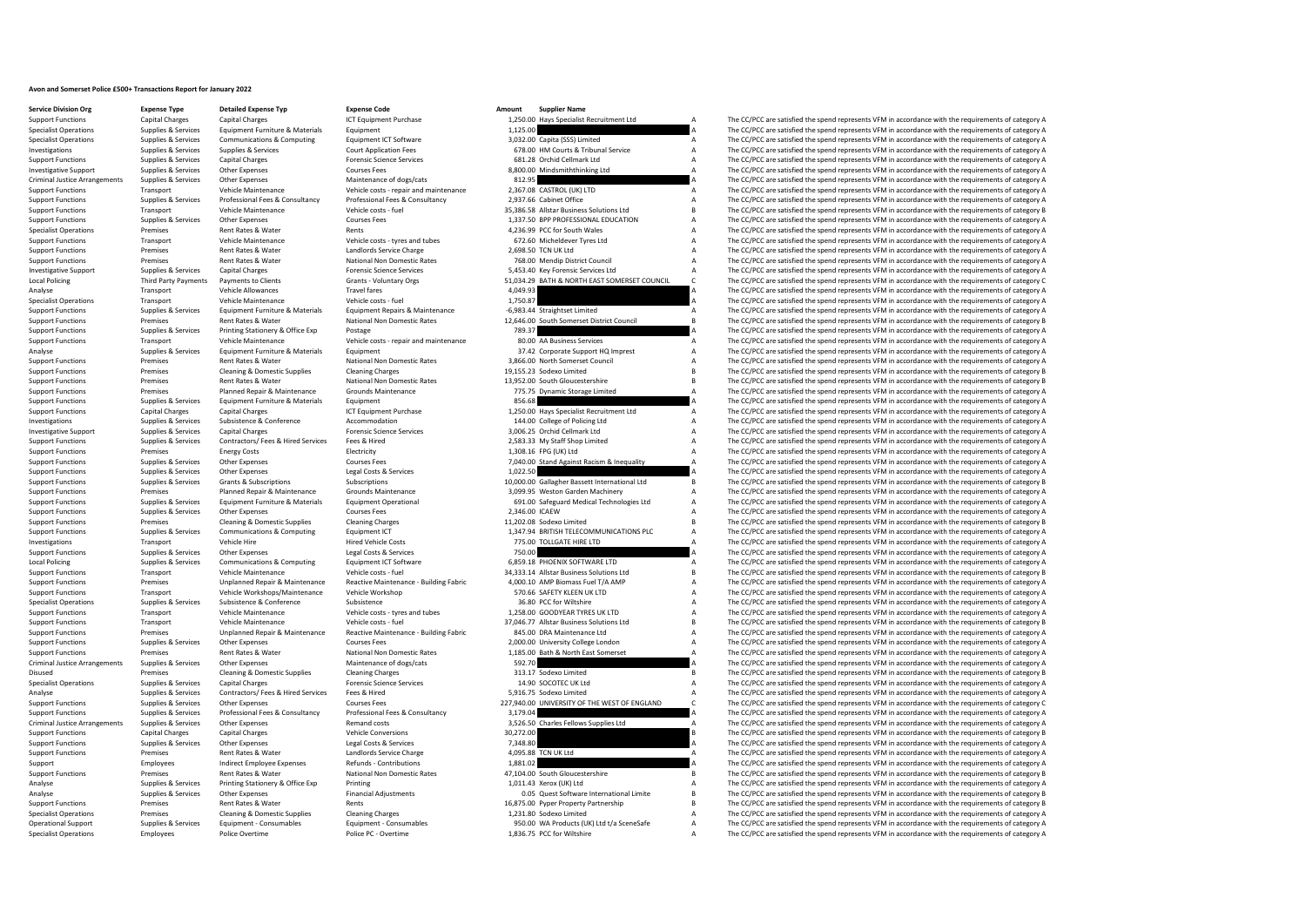## **Avon and Somerset Police £500+ Transactions Report for January 2022**

**Service Division Org Expense Type Change Betailed Expense Typ Expense Code Expense Code Amount Supplier Name**<br> **Support Functions Capital Charges** Capital Charges **Amount** ICT Equipment Purchase **1.250.00** H

Support Functions Capital Charges Capital Charges Capital Charges ICT Equipment Purchase Inc. 2,250.00 Hays Specialist Recruitment Ltd A The CC/PCC are satisfied the spend represents VFM in accordance with the requirements Specialist Operations Supplies & Services Equipment Furniture & Materials Equipment Equipment Equipment Equipment 1,125.00 A The CC/PCC are satisfied the spend represents VFM in accordance with the requirements of category Specialist Operations Supplies & Services Communications & Computing Equipment ICT Software Equipment ICT Software 3,032.00 Capita (SSS) Limited A The CC/PCC are satisfied the spend represents VFM in accordance with the re Investigations Supplies & Services Supplies & Services Court Application Fees 678.00 HM Courts & Tribunal Service A The CC/PCC are satisfied the spend represents VFM in accordance with the requirements of category A Suppli Support Functions Supplies & Services Capital Charges Support Forensic Science Services Forensic Science Services 681.28 Orchid Cellmark Ltd A The CC/PCC are satisfied the spend represents VFM in accordance with the requir  $\frac{1}{2}$  S,800.00 Mindsmiththinking Ltd A The CC/PCC are satisfied the spend represents VFM in accordance with the requirements of category A The CC/PCC are satisfied the spend represents VFM in accordance with the requi Criminal Justice Arrangements Supplies & Services Other Expenses Maintenance of dogs/cats Maintenance of dogs/cats 812.95 812.95 A The CC/PCC are satisfied the spend represents VFM in accordance with the requirements of ca Support Functions Transport Vehicle Maintenance Vehicle costs - repair and maintenance 2,367.08 CASTROL (UK) LTD A The CC/PCC are satisfied the spend represents VFM in accordance with the requirements of category A<br>Support Support Functions Supplies & Services Professional Fees & Consultancy Professional Fees & Consultancy Professional Fees & Consultancy 2,937.66 Cabinet Office and The CC/PCC are satisfied the spend represents VFM in accorda Support Functions Transport Vehicle Maintenance Vehicle costs - fuel 35,386.58 Allstar Business Solutions Ltd B The CC/PCC are satisfied the spend represents VFM in accordance with the requirements of category B Courses Co Support Functions Supplies & Services Other Expenses Courses Fees Courses Courses Courses Courses Fees 1,337.50 BPP PROFESSIONAL EDUCATION A The CC/PCC are satisfied the spend represents VFM in accordance with the requirem Specialist Operations Premises Rent Rates & Water Rents Rents Rents Rents Rents Rents Rents A A The CC/PCC are satisfied the spend represents VFM in accordance with the requirements of category A Vehicle Maintenance Vehicl SUPPORT TRANSPORT FUNCTIONS TRANSPORT TRANSPORT TRANSPORT TRANSPORT TRANSPORT OF THE CC/PCC are satisfied the spend represents VFM in accordance with the requirements of category A The CC/PCC are satisfied the spend repres Support Functions Premises Rent Rates & Water Landlords Service Charge 2,698.50 TCN UK Ltd 2,698.50 TCN UK Ltd A The CC/PCC are satisfied the spend represents VFM in accordance with the requirements of category A National Support Functions Premises Rent Rates & Water National Non Domestic Rates 768.00 Mendip District Council A The CC/PCC are satisfied the spend represents VFM in accordance with the requirements of category A Investigative S Investigative Support Supplies & Services Capital Charges Forensic Science Services Forensic Science Services Support Support Support Support Support Support Support Support Support Support Support Support Support Support Grants - Voluntary Orgs 61,034.29 BATH & NORTH EAST SOMERSET COUNCIL C<br>
4.049.93 4.049.93 A The CC/PCC are satisfied the spend represents VFM in accordance with the requirements of category C Analyse CPPCC are astisfied the spend represents VFM in accordance with the requirements of category A The CC/PCC are satisfied the spend represents VFM in accordance with the requirements of category A Specialist Operatio Specialist Operations Transport Vehicle Maintenance Vehicle costs - fuel Vehicle costs - fuel Vehicle costs - fuel 1,750.87 a The CC/PCC are satisfied the spend represents VFM in accordance with the requirements of categor Support Functions Supplies & Services Equipment Functive & Materials Equipment Repairs Equipment Repairs & Maintenance -6,983.44 Straightset Limited -6,993.44 Straightset Limited A The CC/PCC are satisfied the spend repres Support Functions Premises Rent Rates & Water National Non Domestic Rates 12,646.00 South Somerset District Council B The CC/PCC are satisfied the spend represents VFM in accordance with the requirements of category B Supp Support Functions Supplies & Services Printing Stationery & Office Exp Postage Protage 789.37 789.37 A The CC/PCC are satisfied the spend represents VFM in accordance with the requirements of category A Vehicle Maintenance Support Transport Vehicle Maintenance Vehicle costs - repair and maintenance 80.00 AA Business Services A The CC/PCC are satisfied the spend represents VFM in accordance with the requirements of category A Support Punction Analyse Supplies & Services Equipment Furniture & Materials Equipment Equipment Equipment Equipment Equipment<br>
Support Equipment Analyse A Demission Material Material Material Material Material Material Material a The CC/P Premises Rent Rates & Water Mational Non Domestic Rates 3,866.00 North Somerset Council A The CC/PCC are satisfied the spend represents VFM in accordance with the requirements of category A Support Functions Premises Cleaning & Domestic Supplies Cleaning Charges Cleaning Charges Cleaning Charges Cleaning Charges 19,155.23 Sodexo Limited B The CC/PCC are satisfied the spend represents VFM in accordance with th Support Functions Premises Rent Rates & Water National Non Domestic Rates 13,952.00 South Gloucestershire B The CC/PCC are satisfied the spend represents VFM in accordance with the requirements of category B<br>Support Functi Premises Planned Repair & Maintenance Grounds Maintenance Crounds Communications Premises Premised A The CC/PCC are satisfied the spend represents VFM in accordance with the requirements of category A Specific Storage Limi Support Functions Supplies & Services Equipment Functive & Materials Equipment Equipment Equipment Equipment Equipment Equipment and the Services and the Services and the CC/PCC are satisfied the spend represents VFM in ac The CC/PCC are satisfied the spend represents VFM in accordance with the requirements of category A Investigations Supplies & Services Subsistence Subsistence Accommodation accommodation 144.00 College of Policing Ltd A The CC/PCC are satisfied the spend represents VFM in accordance with the requirements of category A Th Capital Charges Support Science Services 3,006.25 Orchid Cellmark Ltd A The CC/PCC are satisfied the spend represents VFM in accordance with the requirements of category A The CC/PCC are satisfied the spend represents VFM Support Functions Supplies & Services Contractors/ Fees & Hired Services Fees & Hired 2,583.33 My Staff Shop Limited A The CC/PCC are satisfied the spend represents VFM in accordance with the requirements of category A Fee Support Functions Premises Energy Costs Energy Costs Electricity Electricity Electricity Electricity 1,308.16 FPG (UK) Ltd A The CC/PCC are satisfied the spend represents VFM in accordance with the requirements of category Support Functions Supplies & Services Other Expenses Courses Fees Courses Fees 7,040.00 Stand Against Racism & Inequality A The CC/PCC are satisfied the spend represents VFM in accordance with the requirements of category Support Functions Support Costs Services Costs and Control Control Control Control of the COST of the Services Control Control Control Control Control of the spend represents VFM in accordance with the requirements of cate Support Functions Support Functions Subscriptions Subscriptions Subscriptions Subscriptions Subscriptions Subscriptions Subscriptions Subscriptions and the spend of the CC/PCC are satisfied the spend represents VFM in acco Support Functions Premises Premises Planned Repair & Maintenance Grounds Maintenance Grounds Maintenance and the Support Functions A The CC/PCC are satisfied the spend represents VFM in accordance with the requirements of Supplies & Services Equipment Furniture & Materials Equipment Operational only the SOLOD Safeguard Medical Technologies Ltd A The CC/PCC are satisfied the spend represents VFM in accordance with the requirements of categor Support Functions Supplies & Services Other Expenses Courses Fees 2,346.00 ICAEW A The CC/PCC are satisfied the spend represents VFM in accordance with the requirements of category A Cleaning Cleaning Courses Fees 2,346.00 Support Functions Cleaning B The CC/PCC are satisfied the spend represents VFM in accordance with the requirements of category B The CC/PCC are satisfied the spend represents VFM in accordance with the requirements of cate Support Functions Supplies & Services Communications & Computing Equipment ICT 1,347.94 BRITISH TELECOMMUNICATIONS PLC A The CC/PCC are satisfied the spend represents VFM in accordance with the requirements of category A H Investigations Transport Vehicle Hire Hired Vehicle Costs 775.00 TOLLGATE HIRE LTD A The CC/PCC are satisfied the spend represents VFM in accordance with the requirements of category A The Crime of Costs 750.00 Suppliers o Support Functions Supplies & Services Other Expenses Legal Costs & Services 2014 2014 2014 750.00 750.00 A The CC/PCC are satisfied the spend represents VFM in accordance with the requirements of category A<br>1. [1] Local Po Local Policing Supplies & Services Communications & Computing Equipment ICT Software 6,859.18 PHOENIX SOFTWARE LTD A The CC/PCC are satisfied the spend represents VFM in accordance with the requirements of category A Vehic Support Transport Vehicle Maintenance Vehicle costs - fuel Vehicle costs - fuel 34,333.14 Allstar Business Solutions Ltd B The CC/PCC are satisfied the spend represents VFM in accordance with the requirements of category B Premises Unplanned Repair & Maintenance Reactive Maintenance - Building Fabric (ADOLO AMP Biomass Fuel T/A AMP<br>Transport Transport (PCC are satisfied the spend represents VFM in accordance with the requirements of category Support Functions Transport Vehicle Workshops/Maintenance Vehicle Workshop Control Vehicle Workshop Control Vehicle Workshop STO.66 SAFETY KLEEN UK LTD A The CC/PCC are satisfied the spend represents VFM in accordance with Specialist Operations Supplies & Services Subsistence Subsistence Subsistence Subsistence Subsistence Subsistence<br>
36.80 PCC for Wiltshire A The CC/PCC are satisfied the spend represents VFM in accordance with the requirem Support Functions Transport Vehicle Maintenance Vehicle costs - tyres and tubes 1,258.00 GOODYEAR TYRES UK LTD A The CC/PCC are satisfied the spend represents VFM in accordance with the requirements of category A Vehicle M Vehicle Maintenance Vehicle costs - fuel 37,046.77 Allstar Business Solutions Ltd B The CC/PCC are satisfied the spend represents VFM in accordance with the requirements of category B a control a The CC/PCC are satisfied t Support Functions and Dramics Dramics (Unplanned Renair & Maintenance Reactive Maintenance Ruilding Fabric SAS 00 DRA Maintenance Itd a The CC/PCC are satisfied the spend represents VFM in accordance with the requirements Support Functions Supplies & Services Other Expenses Courses Fees Courses Fees 2,000.00 University College London A The CC/PCC are satisfied the spend represents VFM in accordance with the requirements of category A Suppor Experiences Rent Rates & Water Mational Non Domestic Rates 1,185.00 Bath & North East Somerset A The CC/PCC are satisfied the spend represents VFM in accordance with the requirements of category A S92.70 Supplies A The CC/ Criminal Justice Arrangements Supplies & Services Other Expenses Maintenance of dogs/cats Maintenance of dogs/cats 592.70 A The CC/PCC are satisfied the spend represents VFM in accordance with the requirements of category Disused Premises Cleaning & Domestic Supplies Cleaning Charges Cleaning Charges Cleaning Charges Cleaning Charges 313.17 Sodexo Limited B The CC/PCC are satisfied the spend represents VFM in accordance with the requirement Specialist Operations Supplies & Services Capital Charges Forensic Science Services Forensic Science Services 14.90 SOCOTEC UK Ltd A The CC/PCC are satisfied the spend represents VFM in accordance with the requirements of Analyse S,916.75 Sodexo Limited A The CC/PCC are satisfied the spend represents VFM in accordance with the requirements of category A<br>27 Φαρου Πουστεκίες Του Ερνικό Του Τρικό Του Τρικό Του Τρικό Τρικό της Γερμανίας Από το Support Functions Supplies & Services Other Expenses Courses Courses Fees 227,940.00 UNIVERSITY OF THE WEST OF ENGLAND C The CC/PCC are satisfied the spend represents VFM in accordance with the requirements of category C S Support Functions Supplies & Services Professional Fees & Consultancy Professional Fees & Consultancy Professional Fees & Consultancy 3,179.04 a The CC/PCC are satisfied the spend represents VFM in accordance with the requ Criminal Justice Arrangements Supplies & Services Other Expenses Remand costs Remand costs 3,526.50 Charles Fellows Supplies Ltd A The CC/PCC are satisfied the spend represents VFM in accordance with the requirements of ca Support Functions Capital Charges Capital Charges Vehicle Conversions Vehicle Conversions Support Conversions 30,272.00 B The CC/PCC are satisfied the spend represents VFM in accordance with the requirements of category B<br> The CC/PCC are satisfied the spend represents VFM in accordance with the requirements of category A Support Functions Premises Rent Rates & Water Landlords Service Charge 4,095.88 TCN UK Ltd A The CC/PCC are satisfied the spend represents VFM in accordance with the requirements of category A Support Functions Refunds - C Support Employees Indirect Employee Expenses Refunds - Contributions 1,881.02 A The CC/PCC are satisfied the spend represents VFM in accordance with the requirements of category A<br>Support Functions Premises Rent Rates & Wa Rent Rates & Water Mational Non Domestic Rates 47,104.00 South Gloucestershire The CC/PCC are satisfied the spend represents VFM in accordance with the requirements of category B and the spend represents VFM in accordance Analyse Supplies & Services Printing Stationery & Office Exp Printing Printing Printing 1,011.43 Xerox (UK) Ltd A The CC/PCC are satisfied the spend represents VFM in accordance with the requirements of category A range of Analyse Supplies & Services Other Expenses Financial Adjustments Contracts Contracts Contracts Contracts Contracts Contracts Contracts Contracts Out and the spend represents VFM in accordance with the requirements of categ The CC/PCC are satisfied the spend represents VFM in accordance with the requirements of category B Specialist Operations Premises Cleaning & Domestic Supplies Cleaning Charges Cleaning Charges 1,231.80 Sodexo Limited A The CC/PCC are satisfied the spend represents VFM in accordance with the requirements of category A Th Operational Suppliers Cualities Consider Equipment Consumption Equipment Consumption of care consumption of CUALITY (UV) Hd +/a Consection of the CUALITY of CUACITY of CUACITY of CONSUMPTION OF CONSUMPTION OF CONSUMPTION O Specialist Operations Employees Police Overtime Police PC - Overtime Police PC - Overtime 1,836.75 PCC for Wiltshire A The CC/PCC are satisfied the spend represents VFM in accordance with the requirements of category A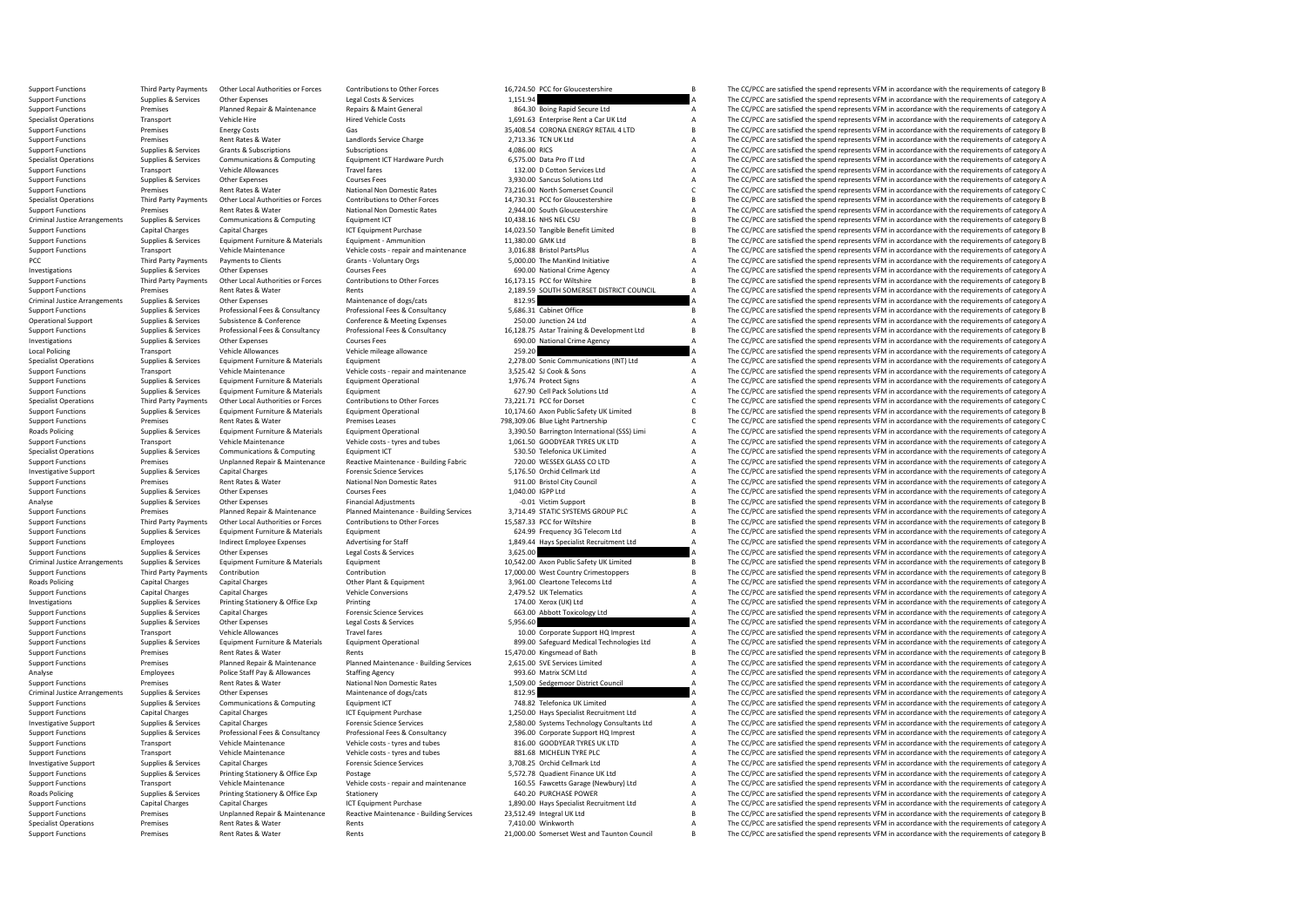Support Functions Third Party Payments Other Local Authorities or Forces Contributions to Other Forces 16,724.50 PCC for Gloucestershire B The CC/PCC are satisfied the spend represents VFM in accordance with the requiremen Support Functions Supplies & Services Other Expenses Legal Costs & Services Legal Costs & Services Legal Costs & Services 1,151.94 a The CC/PCC are satisfied the spend represents VFM in accordance with the requirements of Support Functions Premises Planned Repair & Maintenance Repairs & Maint General 864.30 Boing Rapid Secure Ltd A The CC/PCC are satisfied the spend represents VFM in accordance with the requirements of category A Specialist Specialist Operations Transport Vehicle Hire Wehicle Hired Vehicle Costs 1,691.63 Enterprise Rent a Car UK Ltd A The CC/PCC are satisfied the spend represents VFM in accordance with the requirements of category A Cas Same Support Functions Premises Energy Costs Gas Gas Gas Support Support Energy Costs Gas Support Functions Premises Energy Costs Gas Support Functions Premises Energy Costs Gas Concerned Control of Concerned Concerned Concerne Support Functions Premises Rent Rates & Water Landlords Service Charge 2,713.36 TCN UK Ltd A The CC/PCC are satisfied the spend represents VFM in accordance with the requirements of category A Superfunctions Superinting Se Support Functions Supplies & Services Grants & Subscriptions Subscriptions Subscriptions Subscriptions Subscriptions Subscriptions and the spend of the CC/PCC are satisfied the spend represents VFM in accordance with the r Specialist Operations Supplies & Services Communications & Computing Equipment ICT Hardware Purch 6,575.00 Data Pro IT Ltd A The CC/PCC are satisfied the spend represents VFM in accordance with the requirements of category Support Functions Transport Functions Travel A The CC/PCC are satisfied the spend represents VFM in accordance with the requirements of category A The CC/PCC are satisfied the spend represents VFM in accordance with the r Support Functions Supplies & Services Other Expenses Courses Fees Courses Fees 3,930.00 Sancus Solutions Ltd A The CC/PCC are satisfied the spend represents VFM in accordance with the requirements of category A Nutional No Support Functions Premises Premises Rent Rates & Water National Non Domestic Rates 73,216.00 North Somerset Council C The CC/PCC are satisfied the spend represents VFM in accordance with the requirements of category C Cont Specialist Operations Third Party Payments Other Local Authorities or Forces Contributions to Other Forces 14,730.31 PCC for Gloucestershire B The CC/PCC are satisfied the spend represents VFM in accordance with the requir Support Functions Premises Rent Rates & Water National Non Domestic Rates 2,944.00 South Gloucestershire A The CC/PCC are satisfied the spend represents VFM in accordance with the requirements of category A Criminal Justic Criminal Justice Arrangements Supplies Arrangement Criminal Justice Arrangement Computing Capital Criminal Justice Arrangement ICT Equipment Purchase 10,038.16 NHS NEL CSU B The CC/PCC are satisfied the spend represents VF Support Functions Capital Charges Capital Charges Capital Charges ICT Equipment Purchase 14,023.50 Tangible Benefit Limited B The CC/PCC are satisfied the spend represents VFM in accordance with the requirements of categor Support Functions Support Functions Supplies Ammunitions Supplies The CC/PCC are satisfied the spend represents VFM in accordance with the requirements of category B The CC/PCC are satisfied the spend represents VFM in acc Support Functions Transport Vehicle Maintenance Vehicle costs - repair and maintenance 3,016.88 Bristol PartsPlus A The CC/PCC are satisfied the spend represents VFM in accordance with the requirements of category A Critic PCC Third Party Payments of Payments of Clients Grants - Voluntary Orgs 5,000.00 The ManKind Initiative A The CC/PCC are satisfied the spend represents VFM in accordance with the requirements of category A Curres Fees Curr Investigations Supplies & Services Other Expenses Courses Fees Courses Fees 690.00 National Crime Agency A The CC/PCC are satisfied the spend represents VFM in accordance with the requirements of category A Supplies & Serv 16,173.15 PCC for Wiltshire<br>2.189.59 The CC/PCC are satisfied the spend represents VFM in accordance with the requirements of category B<br>2.189.59 SOLITH SOMERSET DISTRICT COLINCII A The CC/PCC are satisfied the spend repre Support Functions Premises Premises Rent Rates & Water Rents Rents Rents Rents Rents Rents Rents Rents Rents Rents Rents Rents Rents Rents Premises Rent Rents Rent Rents Rents Rents Rents 2,189.59 SOUTH SOMERSET DISTRICT C Criminal Justice Arrangements Supplies & Services Other Expenses Maintenance of dogs/cats Maintenance of dogs/cats 812.95 812.95 A The CC/PCC are satisfied the spend represents VFM in accordance with the requirements of ca Support Functions of Supplies & Services Professional Fees & Consultancy Professional Fees & Consultancy Professional Fees & Consultancy 5,686.31 Cabinet Office The CC/PCC are satisfied the spend represents VFM in accordan Operational Support Supplies & Services Subsistence & Conference Conference Conference Conference Conference Conference Conference a Meeting Expenses 250.00 Junction 24 Ltd A The CC/PCC are satisfied the spend represents V Support Functions Supplies & Services Professional Fees & Consultancy Professional Fees & Consultancy Professional Fees & Consultancy 16,128.75 Astar Training & Development Ltd B The CC/PCC are satisfied the spend represen Investigations Supplies & Services Other Expenses Courses Fees Courses Fees 690.00 National Crime Agency A The CC/PCC are satisfied the spend represents VFM in accordance with the requirements of category A The Crime Agenc Local Policing Equipment Vehicle Allowances Vehicle mileage allowance 259.20 259.20 A The CC/PCC are satisfied the spend represents VFM in accordance with the requirements of category A Christmas Vehicle Mileage allowance  $\frac{1}{2}$  and  $\frac{1}{2}$  and  $\frac{1}{2}$  and  $\frac{1}{2}$  and  $\frac{1}{2}$  and  $\frac{1}{2}$  and  $\frac{1}{2}$  and  $\frac{1}{2}$  and  $\frac{1}{2}$  and  $\frac{1}{2}$  are catisfied the spend represents VFM in accordance with the requirements of categor Support Functions Transport Vehicle Maintenance Vehicle costs - repair and maintenance 3,525.42 SJ Cook & Sons A The CC/PCC are satisfied the spend represents VFM in accordance with the requirements of category A Support F Support Functions Supplies & Services Equipment Furniture & Materials Equipment Operational Equipment Operational 1,976.74 Protect Signs A The CC/PCC are satisfied the spend represents VFM in accordance with the requiremen Support Functions Support Functions Supplies According to the CC/PCC are still A The CC/PCC are satisfied the spend represents VFM in accordance with the requirements of category A The CC/PCC are satisfied the spend repres Specialist Operations Third Party Payments Other Local Authorities or Forces Contributions to Other Forces 73,221.71 PCC for Dorset Contributions and the COPCC are satisfied the spend represents VFM in accordance with the The CC/PCC are satisfied the spend represents VFM in accordance with the requirements of category B Support Functions Premises Premises Premises Rent Rates & Water Premises Premises Leases Premises Leases Premises Premises Leases Premises Premises Premises Premises Leases Premises Leases 798,309.06 Blue Light Partnership 3,390.50 Barrington International (SSS) Limi A The CC/PCC are satisfied the spend represents VFM in accordance with the requirements of category A<br>1.061.50 GOODYEAR TYRES IIK ITD Support Functions Transport Vehicle Maintenance Vehicle Costs - tyres and tubes 1,061.50 GOODYEAR TYRES UK LTD A The CC/PCC are satisfied the spend represents VFM in accordance with the requirements of category A Specialist Operations Supplies & Services Communications & Computing Equipment ICT Equipment ICT 530.50 Telefonica UK Limited A The CC/PCC are satisfied the spend represents VFM in accordance with the requirements of categ Support Functions Support Premises Departion Unplanned Repair & Maintenance Reactive Maintenance Building Fabric 720.00 WESSEX GLASS COLITD A The CC/PCC are satisfied the spend represents VFM in accordance with the require Capital Charges Capital Charges Forensic Science Services Capital Charges Capital Charges Capital Charges Forensic Science Services Capital Charges Supplies Charges Forensic Science Services 5,176.50 Orchid Cellmark Ltd A Support Functions Premises Rent Rates Rent Rates Rent Rates National Non Domestic Rates 911.00 Bristol City Council A The CC/PCC are satisfied the spend represents VFM in accordance with the requirements of category A Supp Support Functions Supplies & Services Other Expenses Courses Fees Courses Fees and Courses Fees 1,040.00 IGPP Ltd A The CC/PCC are satisfied the spend represents VFM in accordance with the requirements of category A Thanci Analyse Supplies & Services Other Expenses Financial Adjustments Financial Adjustments -0.01 Victim Support -0.01 Victim Support B The CC/PCC are satisfied the spend represents VFM in accordance with the requirements of ca Support Functions Support Punnises Premises Planned Repair & Maintenance Pulanned Maintenance-Building Services 3,714.49 STATIC SYSTEMS GROUP PLC A The CC/PCC are satisfied the spend represents VFM in accordance with the r The CC/PCC are satisfied the spend represents VFM in accordance with the requirements of category B Support Functions Supplies & Services Equipment Furniture & Materials Equipment Equipment Equipment COM COM COM COM COM COM A The CC/PCC are satisfied the spend represents VFM in accordance with the requirements of categor Employees Indirect Employee Expenses Advertising for Staff 1,849.44 Hays Specialist Recruitment Ltd A The CC/PCC are satisfied the spend represents VFM in accordance with the requirements of category A Services and the req Support Functions Supplies & Services Other Expenses Legal Costs & Services Legal Costs & Services Legal Costs & Services 3,625.00 A The CC/PCC are satisfied the spend represents VFM in accordance with the requirements of Criminal Justice Arrangements Supplies & Services Equipment Furniture & Materials Equipment Equipment Equipment<br>
Support Functions The CC/PCC are satisfied the spend represents VFM in accordance with the requirements of ca Support Functions Third Party Payments Contribution Contribution Contribution Contribution Contribution Contribution Contribution 17,000.00 West Country Crimestoppers B The CC/PCC are satisfied the spend represents VFM in Capital Charges Capital Charges Other Plant & Equipment 3,961.00 Cleartone Telecoms Ltd A The CC/PCC are satisfied the spend represents VFM in accordance with the requirements of category A Vehicle Conversions 2,479.5 Ltd Support Functions Capital Charges Capital Charges Vehicle Conversions Vehicle Conversions 2,479.52 UK Telematics A The CC/PCC are satisfied the spend represents VFM in accordance with the requirements of category A The Cri Investigations Supplies & Services Printing Stationery & Office Exp Printing Printing Printing Printing Printing 174.00 Xerox (UK) Ltd A The CC/PCC are satisfied the spend represents VFM in accordance with the requirements Support Functions Supplies & Services Capital Charges Capital Charges Forensic Science Services 663.00 Abbott Toxicology Ltd A The CC/PCC are satisfied the spend represents VFM in accordance with the requirements of catego Support Functions Support Functions Support Functions Support Functions of CONSIDENT CONSIDENT CONSIDENT CONSIDENT CONSIDENT A The CC/PCC are satisfied the spend represents VFM in accordance with the requirements of catego Support Functions Transport Vehicle Allowances Travel fares Travel fares Travel fares Travel fares Travel fares Travel fares a The CC/PC are satisfied the spend represents VFM in accordance with the requirements of categor Supplies & Services Equipment Furniture & Materials Equipment Operational and the services environment of category A<br>Supplies a Supplies Services Rent Rates & Mater Rent Rent Rent Rent Supplies and Rent Rent Controller and Rent Functions Rents Rents Rents Rents and the Support Functions 15,470.00 Kingsmead of Bath B The CC/PCC are satisfied the spend represents VFM in accordance with the requirements of category B The CC/PCC are satisfied th Comport Functions of Premises Provides Provident Planned Maintenance Pulling Services 2,615.00 SVE Services Limited Maintenance Ault and The CC/PCC are satisfied the spend represents VFM in accordance with the requirements Analyse Employees Police Staff Pay & Allowances Staffing Agency 993.60 Matrix SCM Ltd A The CC/PCC are satisfied the spend represents VFM in accordance with the requirements of category A<br>Support Functions and Democratic R Support Functions Premises Premises Rent Rates & Water National Non Domestic Rates 1,509.00 Sedgemoor District Council A The CC/PCC are satisfied the spend represents VFM in accordance with the requirements of category A C The CC/PCC are satisfied the spend represents VFM in accordance with the requirements of category A Support Functions Supplies & Services Communications & Computing Equipment ICT 748.82 Telefonica UK Limited A The CC/PCC are satisfied the spend represents VFM in accordance with the requirements of category A Support Functions Capital Charges Capital Charges Capital Charges ICT Equipment Purchase 1,250.00 Hays Specialist Recruitment Ltd A The CC/PCC are satisfied the spend represents VFM in accordance with the requirements of c Investigative Support Supplies & Services Capital Charges Forensic Science Services 2,580.00 Systems Technology Consultants Ltd A The CC/PCC are satisfied the spend represents VFM in accordance with the requirements of category A Support Functions Supplies & Services Professional Fees & Consultancy Professional Fees & Consultancy Professional Fees & Consultancy Professional Fees & Consultancy 396.00 Corporate Support HQ Imprest Manuscultus A The CC Transport Vehicle Maintenance Vehicle costs - tyres and tubes 816.00 GOODYEAR TYRES UK LTD A The CC/PCC are satisfied the spend represents VFM in accordance with the requirements of category A Support Functions Transport Vehicle Maintenance Vehicle costs - tyres and tubes 881.68 MICHELIN TYRE PLC A The CC/PCC are satisfied the spend represents VFM in accordance with the requirements of category A represents VFM Investigative Support Supplies & Services Capital Charges Forensic Science Services Forensic Science Services 3,708.25 Orchid Cellmark Ltd A The CC/PCC are satisfied the spend represents VFM in accordance with the requirem Postage S.572.78 Quadient Finance UK Ltd A The CC/PCC are satisfied the spend represents VFM in accordance with the requirements of category A Support Eurotions Transport Vehicle Maintenance Vehicle costs - repair and maintenance 160.55 Fawcetts Garage (Newbury) Ltd A The CC/PCC are satisfied the spend represents VFM in accordance with the requirements of categor Roads Policing Supplies & Services Printing Stationery & Office Exp Stationery Stationery Stationery Stationery Stationery Stationery Stationery Stationery and the Stationery Capital Changes Capital Changes Capital Changes The CC/PCC are satisfied the spend represents VFM in accordance with the requirements of category A Support Functions Premises Unplanned Repair & Maintenance Reactive Maintenance - Building Services 23.512.49 Integral UK Ltd Build The CC/PCC are satisfied the spend represents VFM in accordance with the requirements of ca  $S_{\text{A}}$  Specialist Operations Rents Rents Rents Rents Rents Rents Rents Rents Rents Rents Rents Rents Rents Rents Rents Rents Rents Rents Rents Rents Rents Rents Rents Rents Rents Rents Rents Rents Rents Rents Rents Rent Support Functions Premises Rent Rates & Water Rents Rents Rents 21,000.00 Somerset West and Taunton Council B The CC/PCC are satisfied the spend represents VFM in accordance with the requirements of category B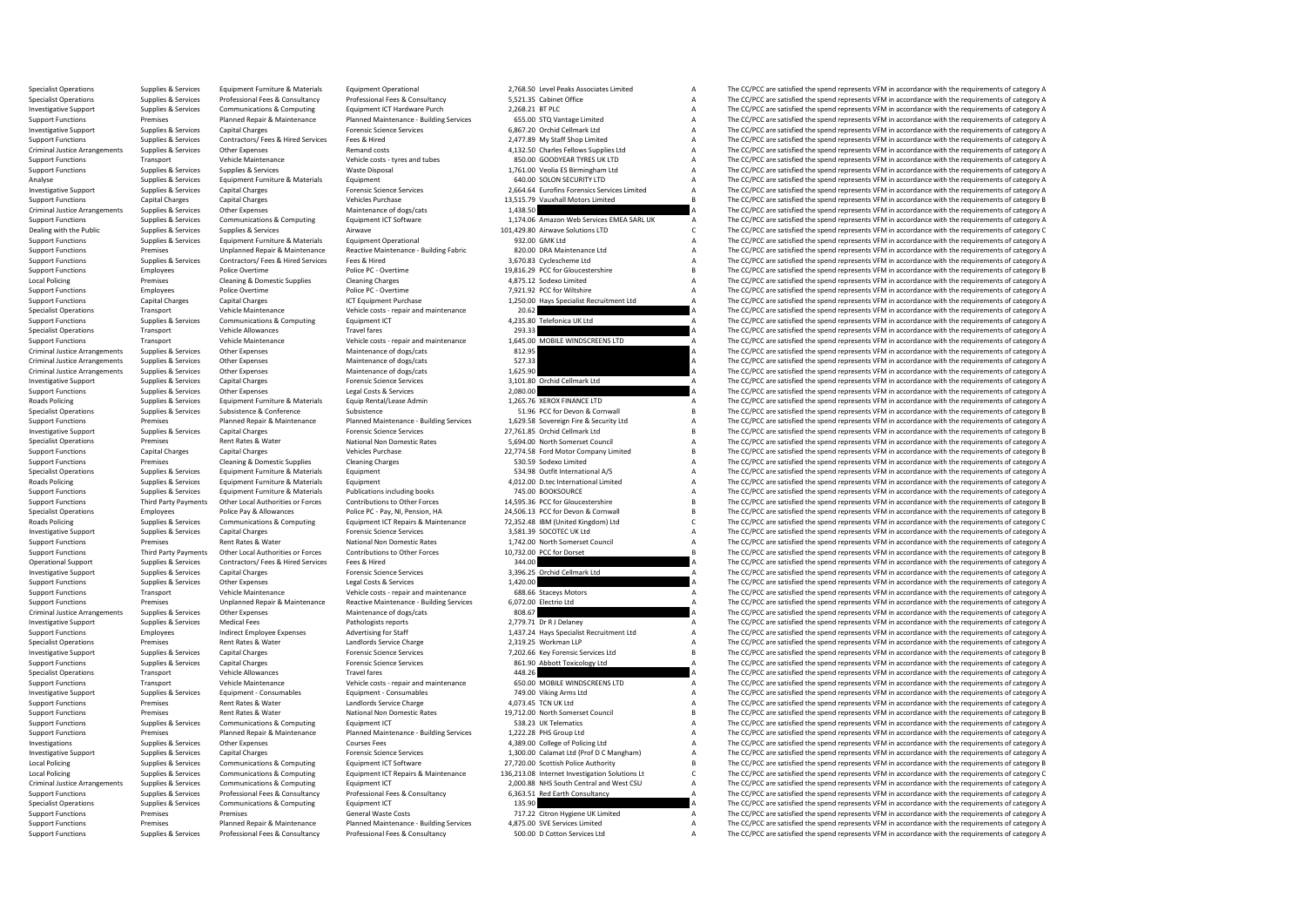Specialist Operations Supplies & Services Equipment Furniture & Materials Equipment Operational Equipment Operational 2,768.50 Level Peaks Associates Limited A The CC/PCC are satisfied the spend represents VFM in accordanc Specialist Operations Supplies & Services Professional Fees & Consultancy Professional Fees & Consultancy Professional Fees & Consultancy 5,521.35 Cabinet Office Manus A The CC/PCC are satisfied the spend represents VFM in Investigative Support Supplies & Services Communications & Computing Equipment ICT Hardware Purch 2,268.21 BT PLC A The CC/PCC are satisfied the spend represents VFM in accordance with the requirements of category A Suppor Support Functions Premises Planned Repair & Maintenance Pulanned Maintenance- Building Services 655.00 STQ Vantage Limited A The CC/PCC are satisfied the spend represents VFM in accordance with the requirements of category Investigative Support Supplies & Services Capital Charges Forensic Science Services Forensic Science Services 6,867.20 Orchid Cellmark Ltd A The CC/PCC are satisfied the spend represents VFM in accordance with the requirem Support Functions Supplies & Services Contractors/ Fees & Hired Services Fees & Hired 2,477.89 My Staff Shop Limited A The CC/PCC are satisfied the spend represents VFM in accordance with the requirements of category A Rem Criminal Justice Arrangements Supplies & Services Other Expenses Remand costs Remand costs Remand costs and tubes 4,132.50 Charles Fellows Supplies Ltd A The CC/PCC are satisfied the spend represents VFM in accordance with Support Functions Transport Vehicle Maintenance Vehicle costs - tyres and tubes 850.00 GOODYEAR TYRES UK LTD A The CC/PCC are satisfied the spend represents VFM in accordance with the requirements of category A Vaste Dispo Supplies & Services Waste Disposal Waste Disposal 1,761.00 Veolia ES Birmingham Ltd A The CC/PCC are satisfied the spend represents VFM in accordance with the requirements of category A CAD CONSCRIPTION CONSCRIPTION A The Analyse Supplies & Services Equipment Furniture & Materials Equipment Equipment Equipment Equipment Equipment Equipment Equipment and Equipment and Security EQUITY LTD A The CC/PCC are satisfied the spend represents VFM in Investigative Support Supplies & Services Capital Charges Margary Procnsic Services Environment Capital Charges Capital Charges Forensic Services (2,664,64 Eurofins Forensics Services Limited A The CC/PCC are satisfied the Support Functions Capital Charges Capital Charges Vehicles Purchase Vehicles Purchase 13,515.79 Vauxhall Motors Limited B The CC/PCC are satisfied the spend represents VFM in accordance with the requirements of category B Criminal Justice Arrangements Supplies & Services Other Expenses Maintenance of dogs/cats Maintenance of dogs/cats 1,438.50 A The CC/PCC are satisfied the spend represents VFM in accordance with the requirements of categor Support Functions Supplies & Services Communications & Computing Equipment ICT Software 1,174.06 Amazon Web Services EMEA SARL UK A The CC/PCC are satisfied the spend represents VFM in accordance with the requirements of c Dealing with the Public Supplies & Services Supplies & Services Airwave Airwave Airwave 101,429.80 Airwave Solutions LTD C The CC/PCC are satisfied the spend represents VFM in accordance with the requirements of category C Support Functions Support Functions Supplies A The CC/PCC are satisfied the spend represents VFM in accordance with the requirements of category A The CC/PCC are satisfied the spend represents VFM in accordance with the re Support Functions Support Premises Unplanned Repair & Maintenance Reactive Maintenance - Building Fabric and a search of the Sean and the COPCC are satisfied the spend represents VFM in accordance with the requirements of Support Functions Supplies & Services Contractors/ Fees & Hired Fees & Hired The Services Fees & Hired The Services Fees & Hired A The CC/PCC are satisfied the spend represents VFM in accordance with the requirements of ca Support Functions Employees Police Overtime Police PC-Overtime Police PC-Overtime 19,816.29 PCC for Gloucestershire B The CC/PCC are satisfied the spend represents VFM in accordance with the requirements of category B Clea Premises Cleaning & Domestic Supplies Cleaning Charges Cleaning Charges Cleaning Charges Cleaning Charges Cleaning Charges 4,875.12 Sodexo Limited A The CC/PCC are satisfied the spend represents VFM in accordance with the Support Functions Employees Police Overtime Police Police PC-Overtime Police PC-Overtime Police PC-Overtime Police PC-Overtime 7,921.92 PCC for Wiltshire A The CC/PCC are satisfied the spend represents VFM in accordance wi Support Functions Capital Charges Capital Charges Capital Charges ICT Equipment Purchase 1,250.00 Hays Specialist Recruitment Ltd A The CC/PCC are satisfied the spend represents VFM in accordance with the requirements of c Specialist Operations Transport Vehicle Maintenance Vehicle costs - repair and maintenance 20.62 A The CC/PCC are satisfied the spend represents VFM in accordance with the requirements of category A<br>Support Functions Suppl Support Functions Supplies & Services Communications & Computing Equipment ICT 4,235.80 Telefonica UK Ltd A The CC/PCC are satisfied the spend represents VFM in accordance with the requirements of category A Service and Th Specialist Operations Transport Vehicle Allowances Travel fares Travel fares 293.33 A The CC/PCC are satisfied the spend represents VFM in accordance with the requirements of category A<br>Support Transport Vehicle Maintenanc Support Functions Transport Vehicle Maintenance Vehicle costs - repair and maintenance 1,645.00 MOBILE WINDSCREENS LTD A The CC/PCC are satisfied the spend represents VFM in accordance with the requirements of category A M Criminal Justice Arrangements Supplies & Services Other Expenses Maintenance of dogs/cats Maintenance of dogs/cats 812.95 a The CC/PCC are satisfied the spend represents VFM in accordance with the requirements of category Criminal Justice Arrangements of dogs/cats Arrangements of dogs/cats 527.33 A The CC/PCC are satisfied the spend represents VFM in accordance with the exquirements of category A The CC/PCC are satisfied the spend represent Criminal Justice Arrangements Supplies & Services Other Expenses Maintenance of dogs/cats Maintenance of dogs/cats 1,625.90 a The CC/PCC are satisfied the spend represents VFM in accordance with the requirements of categor Investigative Support Supplies & Services Capital Charges Capital Charges Forensic Science Services Services 3,101.80 Orchid Cellmark Ltd A The CC/PCC are satisfied the spend represents VFM in accordance with the requireme Support Functions Support Functions (Legal Costs & Services 2,080.00 A The CC/PCC are satisfied the spend represents VFM in accordance with the requirements of category A<br>
Equipment Furniture & Materials Equip Rental/Lease Roads Policing Supplies & Services Equipment Furniture & Materials Equip Rental/Lease Admin 1,265.76 XEROX FINANCE LTD A The CC/PCC are satisfied the spend represents VFM in accordance with the requirements of category A S The CC/PCC are satisfied the spend represents VFM in accordance with the requirements of category B Support Functions Premises Premises Planned Repair & Maintenance Pulanned Maintenance Building Services 1,629.58 Sovereign Fire & Security Ltd A The CC/PCC are satisfied the spend represents VFM in accordance with the requ Investigative Support Supplies & Services Capital Charges Capital Charges Forensic Science Services 27,761.85 Orchid Cellmark Ltd B The CC/PCC are satisfied the spend represents VFM in accordance with the requirements of c Premises Rent Rates & Water National Non Domestic Rates 5,694.00 North Somerset Council A The CC/PCC are satisfied the spend represents VFM in accordance with the requirements of category A Support Functions Capital Charges Capital Charges Vehicles Purchase Vehicles Purchase 22,774.58 Ford Motor Company Limited B The CC/PCC are satisfied the spend represents VFM in accordance with the requirements of category Support Functions Premises Cleaning & Domestic Supplies Cleaning Charges Cleaning Charges Cleaning Charges Cleaning Charges Cleaning Charges 530.59 Sodexo Limited A The CC/PCC are satisfied the spend represents VFM in acco Specialist Operations Supplies & Services Equipment Furniture & Materials Equipment Equipment Equipment Equipment Equipment Equipment Satisfied the Services Equipment of category A The CC/PCC are satisfied the spend repres Roads Policing Supplies & Services Equipment Furniture & Materials Equipment Equipment Equipment Equipment Equipment Equipment A The CC/PCC are satisfied the spend represents VFM in accordance with the requirements of cate Support Functions Supplies & Services Equipment Furniture & Materials Publications including books 745.00 BOOKSOURCE A The CC/PCC are satisfied the spend represents VFM in accordance with the requirements of category A Sup Support Functions Third Party Payments Other Local Authorities or Forces Contributions to Other Forces 14,595.36 PCC for Gloucestershire B The CC/PCC are satisfied the spend represents VFM in accordance with the requiremen Specialist Operations Employees Police Pay & Allowances Police PC-Pay, NJ, Pension, HA 24,506.13 PCC for Devon & Communal B The CC/PCC are satisfied the spend represents VFM in accordance with the requirements of category 72,352.48 IBM (United Kingdom) Ltd CCC CCC The CC/PCC are satisfied the spend represents VFM in accordance with the requirements of category C<br>3,581.39 SOCOTEC UK Ltd CCCC Are Satisfied the spend represents VFM in accordan Investigative Support Support Support Support Support Support Support Support Support Support Support Support Support Support Support Support Support Support Support Support Support Support Support Support Support Support Support Functions Premises Rent Rates & Water National Non Domestic Rates 1,742.00 North Somerset Council A The CC/PCC are satisfied the spend represents VFM in accordance with the requirements of category A Support Functi Third Party Payments Other Local Authorities or Forces Contributions to Other Forces 10,732.00 PCC for Dorset<br>
344.00 Supplies & Services VFM in accordance with the requirements of category B<br>
344.00 A The CC/PCC are satis Operational Support Supplies & Services Contractors/ Fees & Hired Services Fees & Hired Fees & Hired Services Fees & Hired 344.00 a The CC/PCC are satisfied the spend represents VFM in accordance with the requirements of c Investigative Support Supplies & Services Capital Charges Capital Charges Forensic Science Services 3,396.25 Orchid Cellmark Ltd A The CC/PCC are satisfied the spend represents VFM in accordance with the requirements of ca Support Functions Support Functions Control of The CC/PCC are satisfied the spend represents VFM in accordance with the requirements of category A The CC/PCC are satisfied the spend represents VFM in accordance with the re Support Functions Transport Vehicle Maintenance Vehicle costs - repair and maintenance 688.66 Staceys Motors A The CC/PCC are satisfied the spend represents VFM in accordance with the requirements of category A Support Fun Support Functions Premises Unplanned Repair & Maintenance Reactive Maintenance - Building Services 6,072.00 Electrio Ltd A The CC/PCC are satisfied the spend represents VFM in accordance with the requirements of category A Criminal Justice Arrangements Supplies & Services Other Expenses Maintenance of dogs/cats Maintenance of dogs/cats 808.67 A The CC/PCC are satisfied the spend represents VFM in accordance with the requirements of category Pathologists reports<br>
2,779.71 Dr R J Delaney A The CC/PCC are satisfied the spend represents VFM in accordance with the requirements of category A<br>
A The CC/PCC are satisfied the spend represents VFM in accordance with th Support Functions Employees Indirect Employee Expenses Advertising for Staff 1,437.24 Hays Specialist Recruitment Ltd A The CC/PCC are satisfied the spend represents VFM in accordance with the requirements of category A Specialist Operations Premises Rent Rates & Water Landlords Service Charge 2,319.25 Workman LLP A The CC/PCC are satisfied the spend represents VFM in accordance with the requirements of category A reversion of the spend o Investigative Support Supplies & Services Capital Charges Forensic Science Services Forensic Science Services 7,202.66 Key Forensic Services Ltd B The CC/PCC are satisfied the spend represents VFM in accordance with the re The CC/PCC are satisfied the spend represents VFM in accordance with the requirements of category A Specialist Operations Transport Vehicle Allowances Travel fares Travel fares 448.26 A The CC/PCC are satisfied the spend represents VFM in accordance with the requirements of category A<br>Support Transport Vehicle Maintenanc Support Functions Transport Vehicle Maintenance Vehicle costs - repair and maintenance 650.00 MOBILE WINDSCREENS LTD A The CC/PCC are satisfied the spend represents VFM in accordance with the requirements of category A Inv The CC/PCC are satisfied the spend represents VFM in accordance with the requirements of category A Support Functions Premises Rent Rates & Water Landlords Service Charge 4,073.45 TCN UK Ltd A The CC/PC are satisfied the spend represents VFM in accordance with the requirements of category A The CC/PC are satisfied the sp Support Functions Premises Premises Rent Rates & Water National Non Domestic Rates 19,712.00 North Somerset Council B The CC/PCC are satisfied the spend represents VFM in accordance with the requirements of category B<br>Supp Support Functions Supplies & Services Communications & Computing Equipment ICT 538.23 UK Telematics A The CC/PCC are satisfied the spend represents VFM in accordance with the requirements of category A Support Functions Pr Support Functions Premises Planned Repair & Maintenance Planned Maintenance - Building Services 1,222.28 PHS Group Ltd A The CC/PCC are satisfied the spend represents VFM in accordance with the requirements of category A C Supplies & Services Other Expenses Courses Fees Courses Fees and Courses Fees 4,389.00 College of Policing Ltd A The CC/PCC are satisfied the spend represents VFM in accordance with the requirements of category A Supplies Investigative Support Supplies & Services Capital Charges Forensic Science Services Forensic Science Services<br>
Support Support Support Support Services Communications & Communications & Communications & Communications Comm Local Policing Supplies & Services Communications & Computing Equipment ICT Software 27,720.00 Scottish Police Authority B The CC/PCC are satisfied the spend represents VFM in accordance with the requirements of category B The CC/PCC are satisfied the spend represents VFM in accordance with the requirements of category C Criminal Justice Arrangements Supplies & Services Communications & Computing Equipment ICT 2,000.88 NHS South Central and West CSU A The CC/PCC are satisfied the spend represents VFM in accordance with the requirements of Support Functions Supplies & Services Professional Fees & Consultancy Professional Fees & Consultancy Professional Fees & Consultancy 6,363.51 Red Earth Consultancy A The CC/PCC are satisfied the spend represents VFM in ac The CC/PCC are satisfied the spend represents VFM in accordance with the requirements of category A Support Functions Premises Premises Premises Costs 717.22 Citron Hygiene UK Limited A The CC/PCC are satisfied the spend represents VFM in accordance with the requirements of category A The CC/PCC are satisfied the spend r Cunnet Eurotiance Demicro Dennico Dennico Dennico Dennico Dennico Deliverance Duilding Comicac 4.075.00 SUS Capital Dennico A The CC (DCC are esticiad the condense and top condense with the requirements of estendary A Support Functions Supplies & Services Professional Fees & Consultancy Professional Fees & Consultancy Professional Fees & Consultancy S00.00 D Cotton Services Ltd A The CC/PCC are satisfied the spend represents VFM in acco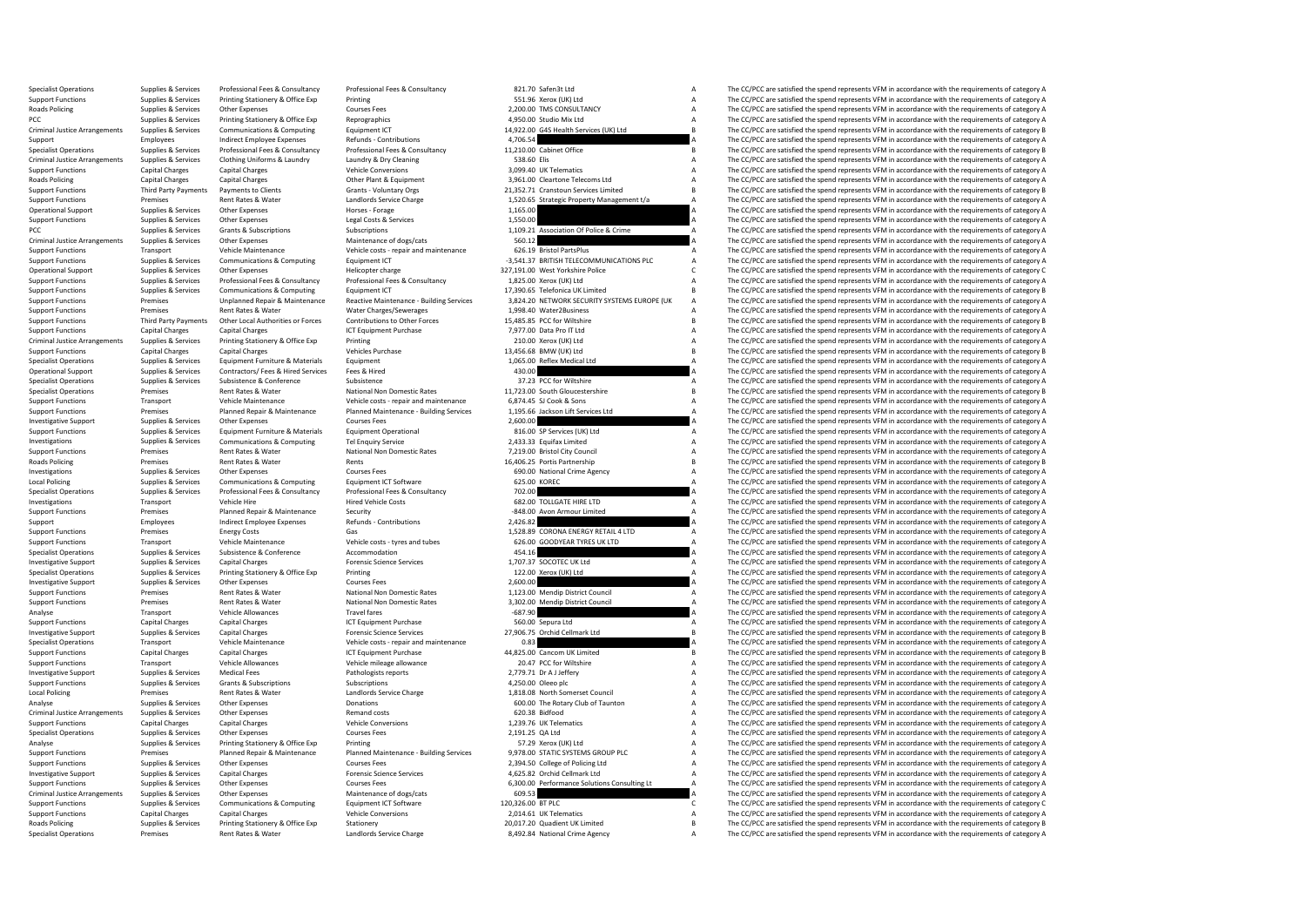Specialist Operations Supplies & Services Professional Fees & Consultancy Professional Fees & Consultancy Professional Fees & Consultancy 821.70 Safen3t Ltd Services A The CC/PCC are satisfied the spend represents VFM in a Support Functions Supplies & Services Printing Stationery & Office Exp Printing Printing Printing Station Station Station Support Functions A The CC/PCC are satisfied the spend represents VFM in accordance with the require Roads Policing Supplies & Services Other Expenses Courses Courses Fees Courses Fees 2,200.00 TMS CONSULTANCY A The CC/PCC are satisfied the spend represents VFM in accordance with the requirements of category A PCC are sat PCC Supplies & Services Printing Stationery & Office Exp Reprographics and A ASSO.00 Studio Mix Ltd A The CC/PCC are satisfied the spend represents VFM in accordance with the requirements of category A Criminal Justice Arr Criminal Justice Arrangements Supplies & Services Communications & Computing Equipment CT = 14,922.00 G4S Health Services (UK) Ltd B The CC/PCC are satisfied the spend represents VFM in accordance with the requirements of Support Employees Indirect Employee Expenses Refunds - Contributions 4,706.54 A The CC/PCC are satisfied the spend represents VFM in accordance with the requirements of category A The CC/PC are satisfied the spend represen Specialist Operations Supplies & Services Professional Fees & Consultancy Professional Fees & Consultancy Professional Fees & Consultancy 11,210.00 Cabinet Office The CC/PCC are satisfied the spend represents VFM in accord Criminal Justice Arrangements Supplies & Services Clothing Uniforms & Laundry Laundry & Dry Cleaning Laundry Entering 538.60 Elis A The CC/PCC are satisfied the spend represents VFM in accordance with the requirements of c The CC/PCC are satisfied the spend represents VFM in accordance with the requirements of category A Roads Policing Capital Charges Capital Charges Capital Charges Other Plant & Equipment Charges Capital Charges Other Plant & Equipment Charges Capital Charges Capital Charges Other Plant & Equipment Schements of category B Support Functions Third Party Payments Payments to Clients Grants - Voluntary Orgs 21,352.71 Cranstoun Services Limited B The CC/PCC are satisfied the spend represents VFM in accordance with the requirements of category B Support Functions Premises Rent Rates & Water Landlords Service Charge Landlords Service Charge 1,520.65 Strategic Property Management t/a A The CC/PCC are satisfied the spend represents VFM in accordance with the requirem Operational Support Supplies & Services Other Expenses Horses Forage Horses Forage 1,165.00 A The CC/PCC are satisfied the spend represents VFM in accordance with the requirements of category A<br>Support Functions Supplies & Supplies & Services Other Expenses Content Constant Costs Cervices Constant Costs Agencies Constant Costs Agencies Costs Agencies 1,550.00 1,550.00 A The CC/PCC are satisfied the spend represents VFM in accordance with the PCC Supplies & Services Grants & Subscriptions Subscriptions Subscriptions Subscriptions Subscriptions Subscriptions Subscriptions and the service are and the CC/PCC are satisfied the spend represents VFM in accordance wit Criminal Justice Arrangements of category Arrangements of cats Arrangements Supplies Arrangements Arrangements of category A<br>A The CC/PCC are satisfied the spend represents VFM in accordance with the requirements of catego Support Functions Transport Vehicle Maintenance Vehicle costs - repair and maintenance 626.19 Bristol PartsPlus<br>Support Functions A The CC/PCC are satisfied the spend represents VFM in accordance supported the support of c Support Functions Supplies & Services Communications & Computing Equipment ICT -3,541.37 BRITISH TELECOMMUNICATIONS PLC A The CC/PCC are satisfied the spend represents VFM in accordance with the requirements of category A<br> Operational Support Supplies & Services Other Expenses Helicopter charge Helicopter charge 327,191.00 West Yorkshire Police C The CC/PCC are satisfied the spend represents VFM in accordance with the requirements of categor 1,825.00 Xerox (UK) Ltd<br>The CC/PCC are satisfied the spend represents VFM in accordance with the requirements of category A<br>The CC/PCC are satisfied the spend represents VFM in accordance with the requirements of category Support Functions Supplies & Services Communications & Computing Equipment ICT Equipment ICT 17,390.65 Telefonica UK Limited B The CC/PCC are satisfied the spend represents VFM in accordance with the requirements of catego Support Functions Support Premises Crequirements of category A Unplanned Repair & Maintenance Reactive Maintenance - Building Services 3,824.20 NETWORK SECURITY SYSTEMS EUROPE (UK A The CC/PCC are satisfied the spend repre Support Functions Premises Rent Rates & Water Water Water Charges/Sewerages 1,998.40 Water2Business A The CC/PCC are satisfied the spend represents VFM in accordance with the requirements of category A Support Functions an Support Functions Third Party Payments Other Local Authorities or Forces Contributions to Other Forces 15,485.85 PCC for Will shifter and the COPCC are satisfied the spend represents VFM in accordance with the requirements Support Functions Capital Charges Capital Charges Capital Charges Capital Charges ICT Equipment Purchase ICT Equipment Purchase 7,977.00 Data Pro IT Ltd A The CC/PCC are satisfied the spend represents VFM in accordance wit Criminal Justice Arrangements Supplies & Services Printing Stationery & Office Exp Printing Printing Printing 210.00 Xerox (UK) Ltd A The CC/PCC are satisfied the spend represents VFM in accordance with the requirements of Support Functions Capital Charges Capital Charges Vehicles Purchase Vehicles Purchase 13,456.68 BMW (UK) Ltd B The CC/PCC are satisfied the spend represents VFM in accordance with the requirements of category B Specialist Equipment 1,065.00 Reflex Medical Ltd A The CC/PCC are satisfied the spend represents VFM in accordance with the requirements of category A The CC/PCC are satisfied the spend represents VFM in accordance with the requireme Operational Support Supplies & Services Contractors/ Fees & Hired Services Fees & Hired 430.00 A The CC/PCC are satisfied the spend represents VFM in accordance with the requirements of category A Services Support of the S Specialist Operations Supplies & Services Subsistence Subsistence Subsistence Subsistence Subsistence Subsistence<br>
Specialist Operations Premises Premises Rent Rates Water National Non Domestic Rates 11,723.00 South Glouce Premises Rent Rates & Water Mational Non Domestic Rates 11,723.00 South Gloucestershire B The CC/PCC are satisfied the spend represents VFM in accordance with the requirements of category B Vehicle costs repair and mainten Support Functions Transport Vehicle Maintenance Vehicle costs - repair and maintenance 6,874.45 SJ Cook & Sons A The CC/PCC are satisfied the spend represents VFM in accordance with the requirements of category A Dannel Ma The CC/PCC are satisfied the spend represents VEM in accordance with the requirements of category A Investigative Support Supplies & Services Other Expenses Courses Fees Courses Fees 2,600.00 a The CC/PCC are satisfied the spend represents VFM in accordance with the requirements of category A Support Courses Fees 2,600.0 Support Functions Supplies Active Supplies A Supplies A The CC/PCC are satisfied the spend represents VFM in accordance with the requirements of category A<br>The CC/PCC are satisfied the spend represents VFM in accordance wi Investigations Supplies & Services Communications & Computing Tel Enquiry Service 2,433.33 Equifax Limited 2,433.33 Equifax Limited A The CC/PCC are satisfied the spend represents VFM in accordance with the requirements of Support Functions Premises Rent Rates & Water National Non Domestic Rates 7,219.00 Bristol City Council A The CC/PCC are satisfied the spend represents VFM in accordance with the requirements of category A<br>Roads Policing P Roads Policing Premises Premises Rent Rates & Water Rents Rents Rents Rents Rents Rents Rents 16,406.25 Portis Partnership B The CC/PCC are satisfied the spend represents VFM in accordance with the requirements of category Other Expenses Courses Fees Courses Fees Courses Courses Fees Courses Courses Courses Fees CODO National Crime Agency A The CC/PCC are satisfied the spend represents VFM in accordance with the requirements of category A T Local Policing Supplies Aservices Communications & Computing Equipment ICT Software 625.00 KOREC A The CC/PCC are satisfied the spend represents VFM in accordance with the requirements of category A Specialist Operations S Specialist Operations Supplies & Services Professional Fees & Consultancy Professional Fees & Consultancy Professional Fees & Consultancy 702.00 702.00 Professional A The CC/PCC are satisfied the spend represents VFM in ac Investigations Transport Vehicle Hire Vehicle Hire Hired Vehicle Costs 682.00 TOLLGATE HIRE LTD A The CC/PCC are satisfied the spend represents VFM in accordance with the requirements of category A<br>Support Functions a Prem Support Functions Premises Planned Repair & Maintenance Security -848.00 Avon Armour Limited A The CC/PCC are satisfied the spend represents VFM in accordance with the requirements of category A Support Functions and the r Support Employee The CC/PCC are satisfied the spend represents VFM in accordance with the requirements of category A The CC/PCC are satisfied the spend represents VFM in accordance with the requirements of category A The C Support Functions Premises Energy Costs Gas Gas Gas COSTS (1,528.89 CORONA ENERGY RETAIL 4 LTD A The CC/PCC are satisfied the spend represents VFM in accordance with the requirements of category A Support Functions (are sa Support Functions Transport Vehicle Maintenance Vehicle costs - tyres and tubes 626.00 GOODYEAR TYRES UK LTD A The CC/PCC are satisfied the spend represents VFM in accordance with the requirements of category A Secretion A Supplies & Services Subsistence & Conference Accommodation accommodation 454.16 A The CC/PCC are satisfied the spend represents VFM in accordance with the requirements of category A<br>Supplies & Services Capital Charges Acco Investigative Support Support Support Support Supportes Capital Charges Capital Charges Forensic Science Services Forensic Science Services Control of the spend of the CC/PC are satisfied the spend represents VFM in accord Specialist Operations Supplies & Services Printing Stationery & Office Exp Printing Printing Printing Printing 122.00 Xerox (UK) Ltd A The CC/PCC are satisfied the spend represents VFM in accordance with the requirements o The CC/PCC are satisfied the spend represents VFM in accordance with the requirements of category A Courses Fees 2014<br>2,600.00 A The CC/PCC are satisfied the spend represents VFM in accordance with the requirements of cate Support Functions Premises Rent Rates & Water National Non Domestic Rates 1,123.00 Mendip District Council A The CC/PCC are satisfied the spend represents VFM in accordance with the requirements of category A National Non Support Functions Premises Rent Rates & Water Mational Non Domestic Rates 3,302.00 Mendip District Council A The CC/PCC are satisfied the spend represents VFM in accordance with the requirements of category A Thanking Dist Analyse Transport Vehicle Allowances Travel fares Travel fares -687.90 A The CC/PCC are satisfied the spend represents VFM in accordance with the requirements of category A<br>Support Functions - Capital Charges Capital Charg Support Functions CT Equipment Purchase 560.00 Sepura Ltd 560.00 Sepura Ltd A The CC/PCC are satisfied the spend represents VFM in accordance with the requirements of category A The Crip Consider A The Crip COPCC are satis Investigative Support Supplies & Services Capital Charges Capital Charges Forensic Science Services Procensic Science Services 27,906.75 Orchid Cellmark Ltd B The CC/PCC are satisfied the spend represents VFM in accordance Specialist Operations Transport Vehicle Maintenance Vehicle costs - repair and maintenance 0.83 0.83 A The CC/PCC are satisfied the spend represents VFM in accordance with the requirements of category A Capital Chapter Cap Support Functions Capital Charges Capital Charges Capital Charges ICT Equipment Purchase 14,825.00 Cancom UK Limited B The CC/PCC are satisfied the spend represents VFM in accordance with the requirements of category B Veh Transport Vehicle Allowances Vehicle mileage allowance 20.47 PCC for Wiltshire A The CC/PCC are satisfied the spend represents VFM in accordance with the requirements of category A Investigative Support Supplies & Services Medical Fees Pathologists reports Pathologists reports 2,779.71 Dr A J Jeffery A The CC/PCC are satisfied the spend represents VFM in accordance with the requirements of category A Support Functions Support Grants Subscriptions Subscriptions Subscriptions Subscriptions Subscriptions Subscriptions at A The CC/PCC are satisfied the spend represents VFM in accordance with the requirements of category A The CC/PCC are satisfied the spend represents VFM in accordance with the requirements of category A Analyse Supplies Services Other Expenses Donations Donations Club of Taunton A The CC/PCC are satisfied the spend represents VFM in accordance with the requirements of category A Criminal Justice Arrangements Supplies & Services Other Expenses Managements of cerrangements of category and costs 620.38 Bidfood A Support Capital Chapter and Costs Capital Chapter Criminal Justice Arrangements of catego Support Functions Capital Charges Capital Charges Capital Charges Vehicle Conversions Vehicle Conversions 1,239.76 UK Telematics A The CC/PCC are satisfied the spend represents VFM in accordance with the requirements of ca Specialist Operations Supplies & Services Other Expenses Courses Fees Courses Fees 2,191.25 QA Ltd A The CC/PCC are satisfied the spend represents VFM in accordance with the requirements of category A Courses Printine Supp Printing States Analyse States Assembly Category A The CC/PCC are satisfied the spend represents VFM in accordance with the requirements of category A The CC/PCC are satisfied the spend represents VFM in accordance with th Support Functions Support Premises Premises Planned Repair & Maintenance Planned Maintenance Building Services 9,978.00 STATIC SYSTEMS GROUP PLC Mainten A The CC/PCC are satisfied the spend represents VFM in accordance wit Support Functions Supplies & Services Other Expenses Courses Courses Fees 2,394.50 College of Policing Ltd A The CC/PCC are satisfied the spend represents VFM in accordance with the requirements of category A The CC/PCC ar The CC/PCC are satisfied the spend represents VFM in accordance with the requirements of category A Support Functions Supplies & Services Other Expenses Courses Fees Courses Fees 6,300.00 Performance Solutions Consulting Lt A The CC/PCC are satisfied the spend represents VFM in accordance with the requirements of categor Criminal Justice Arrangements Supplies & Services Other Expenses Maintenance of dogs/cats Maintenance of dogs/cats 609.53 A The CC/PCC are satisfied the spend represents VFM in accordance with the requirements of category The CC/PCC are satisfied the spend represents VFM in accordance with the requirements of category C Support Functions Capital Capital Capital Charges Capital Charges Capital Charges Vehicle Conversions 2,014.61 UK The CC/PCC are satisfied the spend represents VFM in accordance with the equirements of category A The CC/PC Roads Policing Supplies & Services Printing Stationery & Office Exp Stationery 20,017.20 Quadient UK Limited B The CC/PCC are satisfied the spend represents VEM in accordance with the requirements of category B Specialist Operations Premises Rent Rates & Water Landlords Service Charge 8,492.84 National Crime Agency A The CC/PCC are satisfied the spend represents VFM in accordance with the requirements of category A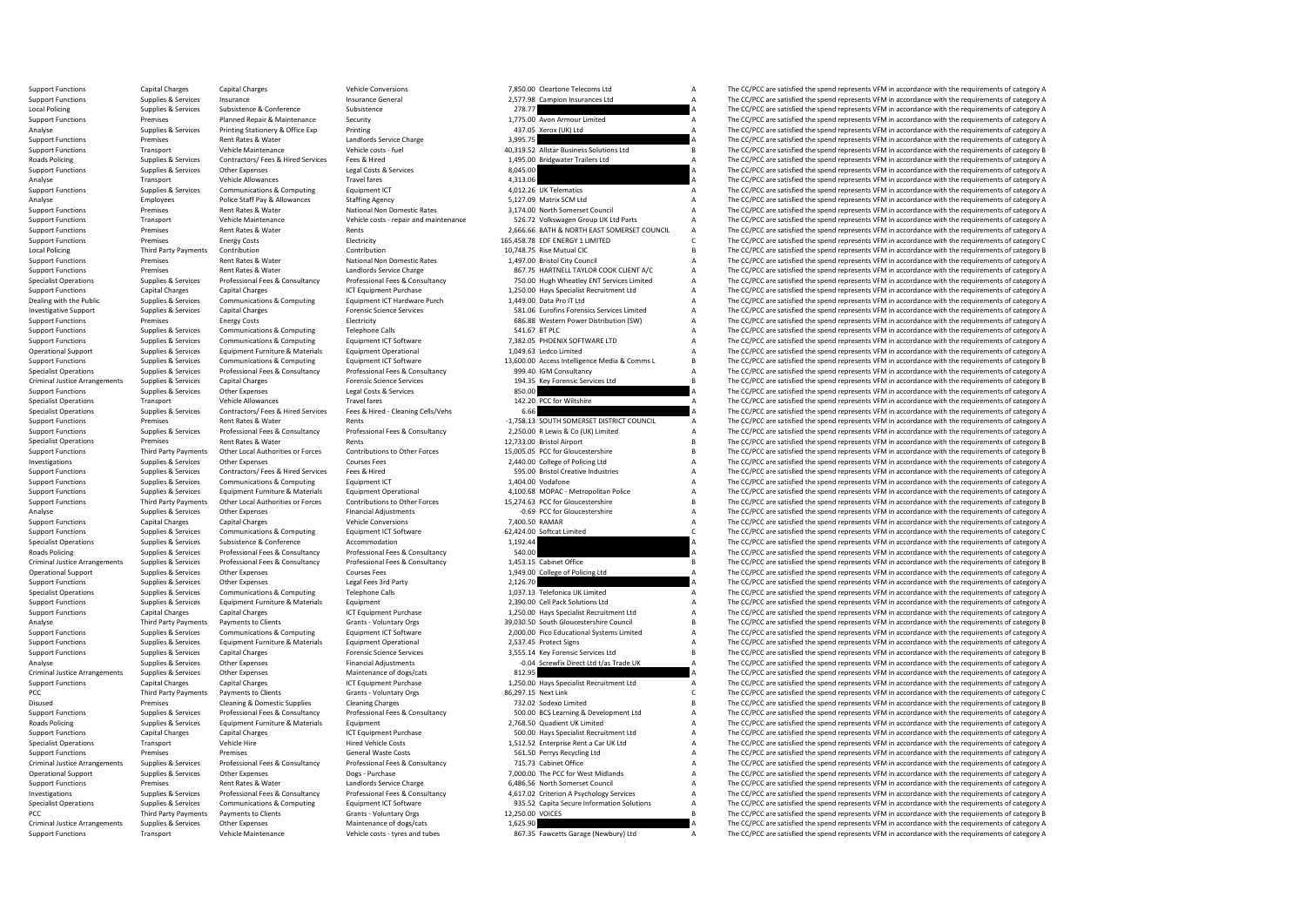| 7.98 C | ampion Insurances Ltd                                                         | А      |
|--------|-------------------------------------------------------------------------------|--------|
| 8.77   |                                                                               | A      |
|        | 5.00 Avon Armour Limited                                                      | A<br>A |
| 5.75   | 7.05 Xerox (UK) Ltd                                                           | A      |
|        | 9.52 Allstar Business Solutions Ltd                                           | В      |
|        | 5.00 Bridgwater Trailers Ltd                                                  | A      |
| 5.00   |                                                                               | А      |
| 3.06   |                                                                               | А      |
|        | 2.26 UK Telematics                                                            | А      |
|        | 7.09 Matrix SCM Ltd                                                           | A      |
|        | 4.00 North Somerset Council                                                   | A      |
|        | 6.72 Volkswagen Group UK Ltd Parts<br>6.66 BATH & NORTH EAST SOMERSET COUNCIL | A<br>A |
|        |                                                                               | C      |
|        | 8.78 EDF ENERGY 1 LIMITED<br>8.75 Rise Mutual CIC                             | B      |
|        | 7.00 Bristol City Council                                                     | А      |
|        | 7.75 HARTNELL TAYLOR COOK CLIENT A/C                                          | A      |
|        | 0.00 Hugh Wheatley ENT Services Limited                                       | A      |
|        | 0.00 Hays Specialist Recruitment Ltd                                          | A      |
|        | 9.00 Data Pro IT Ltd                                                          | A      |
|        | 1.06 Eurofins Forensics Services Limited                                      | А      |
|        | 6.88 Western Power Distribution (SW)                                          | А<br>А |
|        | 1.67 BT PLC<br>2.05 PHOENIX SOFTWARE LTD                                      | A      |
|        | 9.63 Ledco Limited                                                            | А      |
|        | 0.00 Access Intelligence Media & Comms L                                      | В      |
|        | 9.40 IGM Consultancy                                                          | A      |
|        | 4.35 Key Forensic Services Ltd                                                | B      |
| 0.00   |                                                                               | A      |
|        | 2.20 PCC for Wiltshire                                                        | A      |
| 6.66   |                                                                               | A      |
|        | 8.13 SOUTH SOMERSET DISTRICT COUNCIL<br>0.00 R Lewis & Co (UK) Limited        | A<br>A |
|        | 3.00 Bristol Airport                                                          | B      |
|        | 5.05 PCC for Gloucestershire                                                  | B      |
|        | 0.00 College of Policing Ltd                                                  | A      |
|        | 5.00 Bristol Creative Industries                                              | A      |
|        | 4.00 Vodafone                                                                 | A      |
|        | 0.68 MOPAC - Metropolitan Police                                              | A      |
|        | 4.63 PCC for Gloucestershire                                                  | B      |
|        | 0.69 PCC for Gloucestershire                                                  | A      |
| 4.00   | 0.50 RAMAR<br>Softcat Limited                                                 | A<br>C |
| 2.44   |                                                                               | A      |
| 0.00   |                                                                               | A      |
|        | 3.15 Cabinet Office                                                           | B      |
|        | 9.00 College of Policing Ltd                                                  | A      |
| 6.70   |                                                                               | A      |
|        | 7.13 Telefonica UK Limited<br>0.00 Cell Pack Solutions Ltd                    | A      |
|        |                                                                               | A      |
|        | 0.00 Hays Specialist Recruitment Ltd                                          | A<br>B |
|        | 0.50 South Gloucestershire Council<br>0.00 Pico Educational Systems Limited   | А      |
|        | 7.45 Protect Signs                                                            | A      |
|        | 5.14 Key Forensic Services Ltd                                                | B      |
|        | 0.04 Screwfix Direct Ltd t/as Trade UK                                        | A      |
| 2.95   |                                                                               | A      |
|        | 0.00 Hays Specialist Recruitment Ltd                                          | A      |
|        | 7.15 Next Link                                                                | C      |
|        | 2.02 Sodexo Limited                                                           | B      |
|        | 0.00 BCS Learning & Development Ltd<br>8.50 Quadient UK Limited               | A<br>A |
|        | 0.00 Hays Specialist Recruitment Ltd                                          | A      |
|        | 2.52 Enterprise Rent a Car UK Ltd                                             | A      |
|        | 1.50 Perrys Recycling Ltd                                                     | А      |
|        | 5.73 Cabinet Office                                                           | А      |
|        | 0.00 The PCC for West Midlands                                                | А      |
|        | 6.56 North Somerset Council                                                   | А      |
|        | 7.02 Criterion A Psychology Services                                          | А      |
|        | 5.52 Capita Secure Information Solutions<br>0.00 VOICES                       | А      |
| 5.90   |                                                                               | B<br>A |
| 7.35   | Fawcetts Garage (Newbury) Ltd                                                 | A      |
|        |                                                                               |        |

Support Functions Capital Charges Capital Charges Vehicle Conversions 7,850.00 Cleartone Telecoms Ltd A The CC/PCC are satisfied the spend represents VFM in accordance with the requirements of category A Support Functions Support Functions Supplies & Services Insurance Conference Insurance General 2,577.98 Campion Insurances Ltd A The CC/PCC are satisfied the spend represents VFM in accordance with the requirements of category A Ltd a Ltd a Local Policing Supplies Supplies & Services Subsistence 2016 Subsistence 2018 2018.77 A The CC/PCC are satisfied the spend represents VFM in accordance with the requirements of category A<br>2019 Support Functions and the spe Support Functions Premises Planned Repair & Maintenance Security Support The Maintenance Security 1,775.00 Avon Armour Limited A The CC/PCC are satisfied the spend represents VFM in accordance with the requirements of cate Analyse Supplies & Services Printing Stationery & Office Exp Printing Printing Printing Printing Printing Printing A The CC/PCC are satisfied the spend represents VFM in accordance with the requirements of category A Suppl Support Functions Premises Rent Rates & Water Landlords Service Charge 3,995.75 Alltrar Russiness Solutions of the CC/PCC are satisfied the spend represents VFM in accordance with the requirements of category A Charge Serv Support Functions Transport Vehicle Maintenance Vehicle costs - fuel 40,319.52 Allstar Business Solutions Ltd B The CC/PCC are satisfied the spend represents VFM in accordance with the requirements of category B<br>Business A Roads Policing Supplies & Services Contractors/ Fees & Hired Services Fees & Hired Hired Tees and A The CC/PCC are satisfied the spend represents VFM in accordance with the requirements of category A Leal Costs & Services The CC/PCC are satisfied the spend represents VFM in accordance with the requirements of category A Analyse Transport Vehicle Allowances Travel fares Travel fares 4,313.06 A The CC/PCC are satisfied the spend represents VFM in accordance with the requirements of category A Support Functions Computing Equipment ICT 4,012. Support Functions Supplies & Services Communications & Computing Equipment ICT 4,012.26 UK Telematics A The CC/PCC are satisfied the spend represents VFM in accordance with the requirements of category A a requirement of c Analyse Employees Police Staff Pay & Allowances Staffing Agency Stating Agency 5,127.09 Matrix SCM Ltd A The CC/PCC are satisfied the spend represents VFM in accordance with the requirements of category A Sunnor Functions Support Functions Premises Rent Rates & Water National Non Domestic Rates 3,174.00 North Somerset Council A The CC/PCC are satisfied the spend represents VFM in accordance with the requirements of category A Vehicle Missio Examport Fransport Wehicle Maintenance Wehicle costs - repair and maintenance 526.72 Volkswagen Group UK Ltd Parts A The CC/PCC are satisfied the spend represents VFM in accordance with the requirements of category A Cuppo Support Functions Premises Rent Rates & Water Rents Rents Rents Rents Rents 2,666.66 BATH & NORTH EAST SOMERSET COUNCIL A The CC/PCC are satisfied the spend represents VFM in accordance with the requirements of category C<br> The CC/PCC are satisfied the spend represents VFM in accordance with the requirements of category C Local Policing Third Party Payments Contribution Contribution 10,748.75 Rise Mutual Contribution 10,748.75 Rise Mutual CIC B The CC/PCC are satisfied the spend represents VFM in accordance with the requirements of category Support Functions Premises Rent Rates & Water National Non Domestic Rates 1,497.00 Bristol City Council Council A The CC/PCC are satisfied the spend represents VFM in accordance with the requirements of category A Satisfie Support Functions Premises Premises Rent Rates & Water Landlords Service Charge and and the Service Charge 867.75 HARTNELL TAYLOR COOK CLIENT A/C A The CC/PCC are satisfied the spend represents VFM in accordance with the r 750.00 Hugh Wheatley ENT Services Limited A The CC/PCC are satisfied the spend represents VFM in accordance with the requirements of category A Support Functions Capital Charges Capital Charges Capital Charges ICT Equipment Purchase 1,250.00 Hays Specialist Recruitment Ltd A The CC/PCC are satisfied the spend represents VFM in accordance with the requirements of c Dealing with the Public Supplies & Services Communications & Computing Equipment ICT Hardware Purch 1,449.00 Data Pro ITLtd A The CC/PCC are satisfied the spend represents VFM in accordance with the requirements of categor For ensists of the comparison of the comparison of the comparison of the comparison of the comparison of the comparison of the comparison of the comparison of the comparison of the comparison of the comparison of the compa Support Functions Premises Energy Costs Energy Costs Electricity Electricity Electricity 686.88 Western Power Distribution (SW) A The CC/PCC are satisfied the spend represents VFM in accordance with the requirements of cat Support Functions Supplies & Services Communications & Computing Telephone Calls 541.67 BTPLC SALLS 547.67 BTPLC A The CC/PCC are satisfied the spend represents VFM in accordance with the requirements of category A<br>Support Support Functions Supplies & Services Communications & Computing Equipment ICT Software 7,382.05 PHOENIX SOFTWARE LTD A The CC/PCC are satisfied the spend represents VFM in accordance with the requirements of category A Co Supplies & Services Equipment Furniture & Materials Equipment Operational 1,049.63 Ledco Limited 1,049.63 Ledco Limited A The CC/PCC are satisfied the spend represents VFM in accordance with the requirements of category A Support Functions Supplies & Services Communications & Computing Equipment ICT Software 13,600.00 Access Intelligence Media & Comms L B The CC/PCC are satisfied the spend represents VFM in accordance with the requirements Supplies & Services And Professional Front Professional Fees & Consultancy Professional Fees & Consultancy and Deal of the COPCC are satisfied the spend represents VFM in accordance with the requirements of category A<br>Crim Criminal Justice Arrangements Supplies & Services Capital Charges Capital Charges Forensic Science Services (Criminal Justice Arrangements of provides to the equirements of category B<br>Consuming Supplies Services Other Expe SSO.00 A The CC/PCC are satisfied the spend represents VFM in accordance with the requirements of category A<br>A The CC/PCC are satisfied the spend represents VFM in accordance with the requirements of category A Specialist Operations Transport Vehicle Allowances Travel fares Travel fares 142.20 PCC for Wiltshire A The CC/PCC are satisfied the spend represents VFM in accordance with the requirements of category A Specialist Operati The CC/PCC are satisfied the spend represents VFM in accordance with the requirements of category A Support Functions Premises Premises Rent Rates & Water Rents Rents Rents Rents Rents Rents Rents Rents Rents Rents Rents Rents Rents Professional Fees & Consultancy Professional Fees & Consultancy 2,250.00 R Lewis & GO (UK The CC/PCC are satisfied the spend represents VFM in accordance with the requirements of category A Specialist Operations Premises Rent Rates & Water Rents Rents Rents Rents Rents Rents Rents Rents Rents Rents 12,733.00 Bristol Airport B The CC/PCC are satisfied the spend represents VFM in accordance with the requirement Support Functions Third Party Payments Other Local Authorities or Forces Contributions to Other Forces 15,005.05 PCC for Gloucestershire B The CC/PCC are satisfied the spend represents VFM in accordance with the requiremen Investigations Supplies & Services Other Expenses Courses Courses Fees 2,440.00 College of Policing Ltd A The CC/PCC are satisfied the spend represents VFM in accordance with the requirements of category A Supplies & Servi The CC/PCC are satisfied the spend represents VFM in accordance with the requirements of category A Support Functions Supplies & Services Communications & Computing Equipment ICT Equipment ICT 1,404.00 Vodafone 1,404.00 Vodafone A The CC/PCC are satisfied the spend represents VFM in accordance with the requirements of ca Support Functions Supplies & Services Equipment Furniture & Materials Equipment Operational Equipment Operational<br>Third Party Payments Other Local Authorities or Forces Contributions to Other Forces 15,274.63 PCC for Glouc Third Party Payments Other Local Authorities or Forces Contributions to Other Forces 15,274.63 PCC for Gloucestershire B<br>Channel Assembly Channel Contributions of the Francial Adjustments of Category B Contributions to the Analyse Supplies & Services Other Expenses Financial Adjustments -0.69 PCC for Gloucestershire -0.69 PCC for Gloucestershire A The CC/PCC are satisfied the spend represents VFM in accordance with the requirements of catego The CC/PCC are satisfied the spend represents VFM in accordance with the requirements of category A Support Functions Supplies & Services Communications & Computing Equipment ICT Software 62,424.00 Softcat Limited C The CC/PCC are satisfied the spend represents VFM in accordance with the requirements of category C Suppli Specialist Operations Supplies & Services Subsistence (Subsistence Accommodation accommodation accommodation 1,192.44 A The CC/PCC are satisfied the spend represents VFM in accordance with the requirements of category A Su Roads Policing Supplies & Services Professional Fees & Consultancy Professional Fees & Consultancy Professional Fees & Consultancy 540.00 540.00 A The CC/PCC are satisfied the spend represents VFM in accordance with the re Criminal Justice Arrangements Supplies & Services Professional Fees & Consultancy Professional Fees & Consultancy Professional Fees & Consultancy 1,453.15 Cabinet Office The CC/PCC are satisfied the spend represents VFM in Operational Support Supplies & Services Other Expenses Courses Courses Fees 1,949.00 College of Policing Ltd A The CC/PCC are satisfied the spend represents VFM in accordance with the requirements of category A Support Fun Support Functions Support Functions (Support Functions Support Functions Supplies and The CC/PCC are satisfied the spend represents VFM in accordance with the requirements of category A The CC/PCC are satisfied the spend r Specialist Operations Supplies & Services Communications & Computing Telephone Calls 1,037.13 Telefonica UK Limited A The CC/PCC are satisfied the spend represents VFM in accordance with the requirements of category A Supp Support Functions Supplies & Services Equipment Furniture & Materials Equipment Lucineals Equipment Purchase Comment 2,390.00 Cell Pack Solutions Ltd A The CC/PCC are satisfied the spend represents VFM in accordance with t Support Functions Capital Charges Capital Charges Capital Charges ICT Equipment Purchase 1,250.00 Hays Specialist Recruitment Ltd A The CC/PCC are satisfied the spend represents VFM in accordance with the requirements of c Third Party Payments Payments to Clients Grants - Voluntary Orgs 39,030.50 South Gloucestershire Council and the CC/PCC are satisfied the spend represents VFM in accordance with the requirements of category B Strategory B Support Functions Supplies & Services Communications & Communications & Communications & Communications & Communications Communities Foundance Communications Foundance Foundance Communications Communications Foundance Foun Support Functions Supplies & Services Equipment Furniture & Materials Equipment Operational Equipment Operational 2,537.45 Protect Signs A The CC/PCC are satisfied the spend represents VFM in accordance with the requiremen Supplies & Services Capital Charges Forensic Science Services 3,555.14 Key Forensic Services 3,555.14 Key Forensic Services Ltd B The CC/PCC are satisfied the spend represents VFM in accordance with the requirements of cat Analyse Supplies & Services Other Expenses Financial Adjustments -0.04 Screwfix Direct Ltd t/as Trade UK A The CC/PCC are satisfied the spend represents VFM in accordance with the requirements of category A Criminal Justice Arrangements Supplies & Services Other Expenses Maintenance of dogs/cats Maintenance of dogs/cats 812.95 812.95 A The CC/PCC are satisfied the spend represents VFM in accordance with the requirements of ca Support Functions Capital Charges Capital Charges Capital Charges ICT Equipment Purchase 1,250.00 Hays Specialist Recruitment Ltd A The CC/PCC are satisfied the spend represents VFM in accordance with the requirements of c The CC/PCC are satisfied the spend represents VFM in accordance with the requirements of category C Disused Premises Cleaning & Domestic Supplies Cleaning Charges Cleaning Charges 732.02 Sodexo Limited B The CC/PCC are satisfied the spend represents VFM in accordance with the requirements of category B Supplier & Services Professional Fees & Consultancy Professional Fees & Consultancy Professional Fees & Consultancy Professional Fees & Consultancy Professional Fees & Consultancy Professional Fees & Consultancy SON RCS Le Roads Policing Supplies & Services Equipment Furniture & Materials Equipment Equipment Purchase Capital Supplies and Development Purchase A The CC/PCC are satisfied the spend represents VFM in accordance with the requireme Support Functions Capital Charges Capital Charges ICT Equipment Purchase 500.00 Hays Specialist Recruitment Ltd A The CC/PCC are satisfied the spend represents VFM in accordance with the requirements of category A Speciali Transport Vehicle Hire Nired Vehicle Costs 1,512.52 Enterprise Rent a Car UK Ltd A The CC/PCC are satisfied the spend represents VFM in accordance with the requirements of category A Support Functions Premises Premises Premises Premises Premises Seneral Waste Costs Seneral Waste Costs 561.50 Perrys Recycling Ltd A The CC/PCC are satisfied the spend represents VFM in accordance with the requirements of Criminal Justice Arrangements Supplies & Services Professional Fees & Consultancy Professional Fees & Consultancy Professional Fees & Consultancy 715.73 Cabinet Office ARR The CC/PCC are satisfied the spend represents VFM The CC/PCC are satisfied the spend represents VFM in accordance with the requirements of category A Support Functions Premises Rent Rates & Water Landlords Service Charge 6,486.56 North Somerset Council A The CC/PCC are satisfied the spend represents VFM in accordance with the requirements of category A Investigations a Investigations Supplies & Services Professional Fees & Consultancy Professional Fees & Consultancy 4,617.02 Criterion A Psychology Services A The CC/PCC are satisfied the spend represents VFM in accordance with the requirements of category A The CC/PCC are satisfied the spend represents VFM in accordance with the requirements of category A PCC Third Party Payments Payments to Clients Grants - Voluntary Orgs 12,250.00 VOICES B The CC/PCC are satisfied the spend represents VFM in accordance with the requirements of category B Criminal Justice Arrangements Supplies & Services Other Expenses Maintenance of dogs/cats 1,625.90 A The CC/PCC are satisfied the spendal VEM in accordance with the soquirements of category A Support Functions Transport Vehicle Maintenance Vehicle costs - tyres and tubes 867.35 Fawcetts Garage (Newbury) Ltd A The CC/PCC are satisfied the spend represents VFM in accordance with the requirements of category A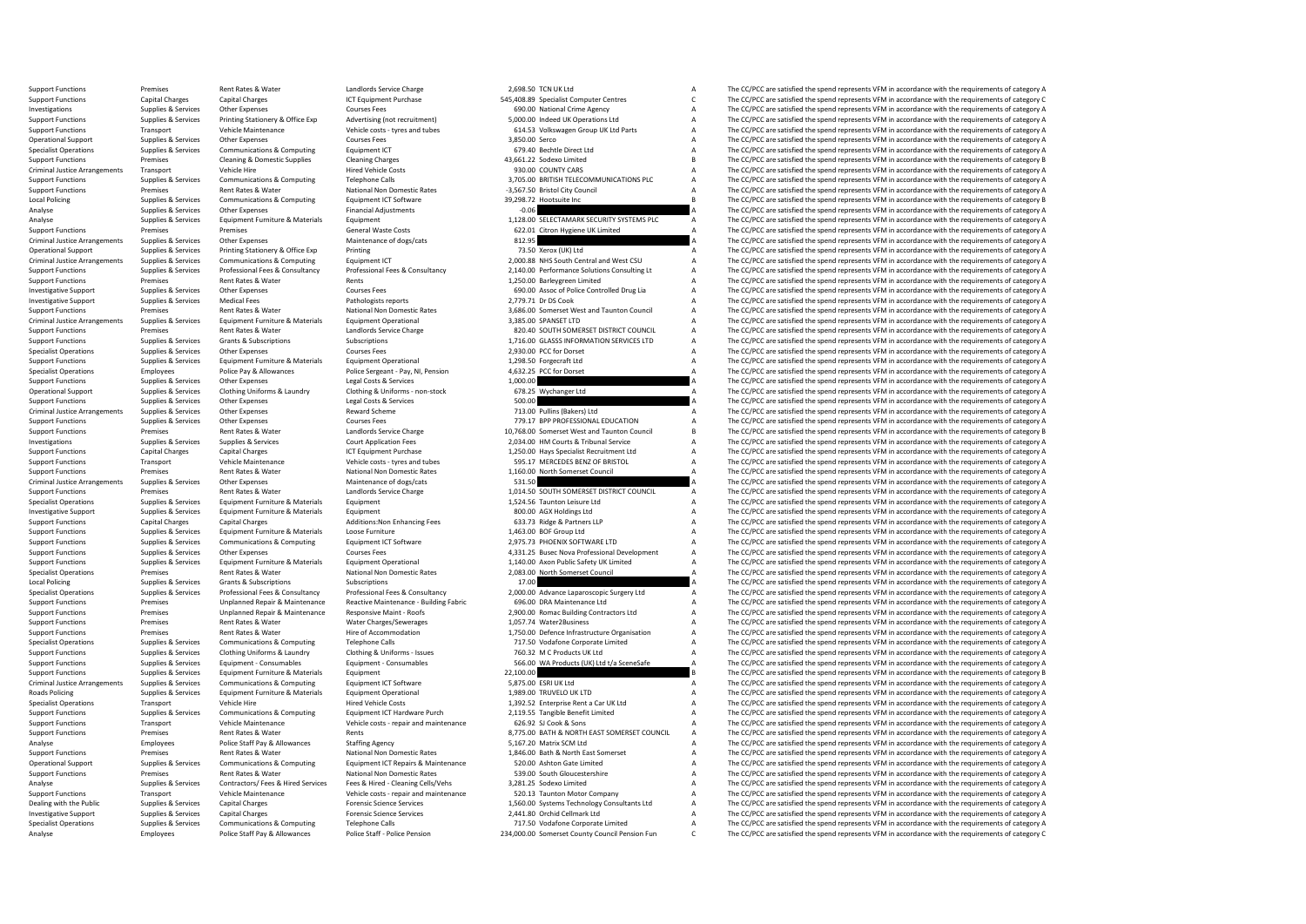Support Functions Premises Rent Rates & Water Landlords Service Charge 2,698.50 TCN UK Ltd A The CC/PCC are satisfied the spend represents VFM in accordance with the requirements of category A Category A Category A Categor Support Functions Capital Charges Capital Charges Capital Charges ICT Equipment Purchase 545,408.89 Specialist Computer Centres C The CC/PCC are satisfied the spend represents VFM in accordance with the requirements of cat Investigations Supplies Alexances Other Expenses Courses Fees Courses Fees 690.00 National Crime Agency A The CC/PCC are satisfied the spend represents VFM in accordance with the requirements of category A Supplies & Servi Printing Stationery & Office Exp Advertising (not recruitment) 5,000.00 Indeed UK Operations Ltd Manuscal The CC/PCC are satisfied the spend represents VFM in accordance with the requirements of category A<br>Vehicle costs - Support Functions Transport Vehicle Maintenance Vehicle costs - tyres and tubes 614.53 Volkswagen Group UK Ltd Parts A The CC/PCC are satisfied the spend represents VFM in accordance with the requirements of category A Cou Operational Support Supplies & Services Other Expenses Courses Courses Fees 3,850.00 Serco A The CC/PCC are satisfied the spend represents VFM in accordance with the requirements of category A Courses Fees Support Communic Specialist Operations Supplies & Services Communications & Computing Equipment ICT 679.40 Bechtle Direct Ltd A The CC/PCC are satisfied the spend represents VFM in accordance with the requirements of category A Cleaning Ap Support Functions Premises Cleaning & Domestic Supplies Cleaning Charges Cleaning Charges Cleaning Charges Cleaning Charges Cleaning Charges 43,661.22 Sodexo Limited B The CC/PCC are satisfied the spend represents VFM in a Vehicle Hire Hired Vehicle Costs 930.00 COUNTY CARS TRANS TRANS TRANSPORT PRESERVEN IN A THE CONTROLLED A THE CONTROLLED A THE CONTROLLED A THE CONTROLLED A THE CONTROLLED A THE CONTROLLED A THE CONTROLLED A THE CONTROLLED Support Functions Supplies & Services Communications & Computing Telephone Calls Telephone Calls 3,705.00 BRITISH TELECOMMUNICATIONS PLC A The CC/PCC are satisfied the spend represents VFM in accordance with the requiremen Support Functions Premises Premises Rent Rates & Water National Non Domestic Rates -3,567.50 Bristol City Council -3,567.50 Bristol City Council A The CC/PCC are satisfied the spend represents VFM in accordance with the re Supplies & Services Communications & Computing Equipment ICT Software 39,298.72 Hootsuite Inc and the service of the CC/PCC are satisfied the spend represents VFM in accordance with the requirements of category B<br>Sunnlies Analyse Supplies & Services Other Expenses Financial Adjustments Financial Adjustments -0.06 A The CC/PCC are satisfied the spend represents VFM in accordance with the requirements of category A A Analyse Supplies & Servic Analyse Supplies & Services Equipment Furniture & Materials Equipment Equipment Equipment 1,128.00 SELECTAMARK SECURITY SYSTEMS PLC A The CC/PCC are satisfied the spend represents VFM in accordance with the requirements of Support Functions Premises Premises Premises Premises Premises Support General Waste Costs 622.01 Citron Hygiene UK Limited A The CC/PCC are satisfied the spend represents VFM in accordance with the requirements of categor Criminal Justice Arrangements of category Arrangements of category Arrangements of category A The CC/PCC are satisfied the spend represents VFM in accordance with the requirements of category A<br>Printing Stategory Arrangeme Operational Support Supplies & Services Printing Stationery & Office Exp Printing Printing Printing Printing Printing Task A The CC/PCC are satisfied the spend represents VFM in accordance with the requirements of category Criminal Justice Arrangements Supplies & Services Communications & Computing Equipment ICT 2,000.88 NHS South Central and West CSU A The CC/PCC are satisfied the spend represents VFM in accordance with the requirements of Support Functions Supplies & Services Professional Fees & Consultancy Professional Fees & Consultancy Professional Fees & Consultancy Professional Fees & Consultancy 2,140.00 Performance Solutions Consulting Lt A The CC/PC Premises Rent Rates & Water Rents Rents Rents Rents (PEC ASSES) and Material Controller Dupline Controller Dupline Controller Dupline A The CC/PCC are satisfied the spend represents VFM in accordance with the requirements Investigative Support Supplies & Services Other Expenses Courses Fees Courses Fees 690.00 Assoc of Police Controlled Drug Lia A The CC/PCC are satisfied the spend represents VFM in accordance with the requirements of categ Investigative Support Supplies & Services Medical Fees Pathologists reports Pathologists reports 2,779.71 Dr DS Cook A The CC/PCC are satisfied the spend represents VFM in accordance with the requirements of category A Sup Support Functions Premises Rent Rates & Water National Non Domestic Rates 3,686.00 Somerset West and Taunton Council A The CC/PCC are satisfied the spend represents VFM in accordance with the requirements of category A Cri Criminal Justice Arrangements Supplies & Services Equipment Furniture & Materials Equipment Operational 3,385.00 SPANSET LTD A The CC/PCC are satisfied the spend represents VFM in accordance with the requirements of catego Support Functions Premises Premises Rent Rates & Water Landlords Service Charge 820.40 SOUTH SOMERSET DISTRICT COUNCIL A The CC/PCC are satisfied the spend represents VFM in accordance with the requirements of category A<br>S Support Functions Support Functions Subscriptions Subscriptions Subscriptions Subscriptions Subscriptions Subscriptions Subscriptions and the Subscriptions of the Subscriptions of the Subscriptions of the Subscriptions of Supplies & Services Other Expenses Courses Fees Courses Fees 2,930.00 PCC for Dorset A The CC/PCC are satisfied the spend represents VFM in accordance with the requirements of category A Courses Fees a Courses Courses Cour Support Functions Supplies & Services Equipment Functions Equipment Operations and the Consequent Consequent Consequent Consequent Consequent Consequent Consequent Consequent Consequent Consequent Consequent Consequent Con Specialist Operations Employees Police Pay & Allowances Police Sergeant - Pay, NI, Pension 4,632.25 PCC for Dorset A The CC/PCC are satisfied the spend represents VFM in accordance with the requirements of category A Suppl Support Functions Supplies & Services Other Expenses Legal Costs & Services Legal Costs & Services Legal Costs & Services Costs & Services Costs & Services Costs Costs Costs Costs Costs Costs Costs Costs Costs Costs Costs Operational Support Support Support Support Clothing Uniforms - non-stock 678.25 Wychanger Ltd Clothing A The CC/PCC are satisfied the spend represents VFM in accordance with the requirements of category A The CC/PCC are s Support Functions Supplies & Services Other Expenses Legal Costs & Services Legal Costs & Services Support Functions and the requirements of category A The CC/PCC are satisfied the spend represents VFM in accordance with t The CC/PCC are satisfied the spend represents VFM in accordance with the requirements of category A Support Functions Supplies & Services Other Expenses Courses Fees Courses Fees 779.17 BPP PROFESSIONAL EDUCATION A The CC/PCC are satisfied the spend represents VFM in accordance with the requirements of category A Langlog Premises Rent Rates & Water Manufords Service Charge 10,768.00 Somerset West and Taunton Council B The CC/PCC are satisfied the spend represents VFM in accordance with the requirements of category B<br>Support Support Support Investigations Supplies & Services Supplies & Services Supplies & Services Court Application Fees 2,034.00 HM Courts & Tribunal Service A The CC/PCC are satisfied the spend represents VFM in accordance with the requirement Support Functions Capital Charges Capital Charges Capital Charges ICT Equipment Purchase 1,250.00 Hays Specialist Recruitment Ltd A The CC/PCC are satisfied the spend represents VFM in accordance with the requirements of c Support Functions Transport Vehicle Maintenance Vehicle costs - tyres and tubes 595.17 MERCEDES BENZ OF BRISTOL A The CC/PCC are satisfied the spend represents VFM in accordance with the requirements of category A Support Premises Rent Rates & Water National Non Domestic Rates 1,160.00 North Somerset Council A The CC/PCC are satisfied the spend represents VFM in accordance with the requirements of category A<br>State Some State Maintenance of Criminal Justice Arrangements Supplies & Services Other Expenses Maintenance of dogs/cats Maintenance of dogs/cats 531.50 531.50 A The CC/PCC are satisfied the spend represents VFM in accordance with the requirements of ca Support Functions Premises Premises Rent Rates & Water Landlords Service Charge Landlords Service Charge 1,014.50 SOUTH SOMERSET DISTRICT COUNCIL A The CC/PCC are satisfied the spend represents VFM in accordance with the r Specialist Operations Supplies & Services Equipment Furniture & Materials Equipment Equipment Equipment 1,524.56 Taunton Leisure Ltd A The CC/PCC are satisfied the spend represents VFM in accordance with the requirements o Investigative Support Support Support Support Support Support Equipment Equipment Equipment Equipment Equipment<br>Support Support Support Support Support Support A A The CC/PCC are satisfied the spend represents VFM in accor Support Functions:Non Enhancing Fees 633.73 Ridge & Partners LLP a The CC/PCC are satisfied the spend represents VFM in accordance with the requirements of category A capital Charges and the spend represents VFM in accorda Support Functions Supplies & Services Equipment Furniture & Materials Loose Furniture Constructions Loose Functions and the CONSCOPTION A The CC/PCC are satisfied the spend represents VFM in accordance with the requirement Supplies & Services Communications & Computing Equipment ICT Software 2,975.73 PHOENIX SOFTWARE LTD A The CC/PCC are satisfied the spend represents VFM in accordance with the requirements of category A Support A Support A Support Functions Supplies & Services Other Expenses Courses Fees Courses Fees and Courses Fees 4,331.25 Busec Nova Professional Development A The CC/PCC are satisfied the spend represents VFM in accordance with the requir Support Functions Supplies & Services Equipment Furniture & Materials Equipment Operational Equipment Operational<br>Specialist Operations Specifical operations Premises Rent Rates Water National Non Domestic Rates National N Specialist Operations Premises Rent Rates & Water National Non Domestic Rates 2,083.00 North Somerset Council A The CC/PCC are satisfied the spend represents VFM in accordance with the requirements of category A Local Poli Local Policing Supplies & Services Grants & Subscriptions Subscriptions Subscriptions Subscriptions Subscriptions Subscriptions and the companism of the Subscriptions of the Subscriptions of the Subscriptions of the Subscr Specialist Operations Supplies & Services Professional Fees & Consultancy Professional Fees & Consultancy Professional Fees & Consultancy (2000) Advance Laparoscopic Surgery Ltd A The CC/PCC are satisfied the spend represe Examport Functions Support Functions Premises Mainten Unplanned Repair & Maintenance Reactive Maintenance - Building Fabric 1996.00 DRA Maintenance Ltd Maintenance Ltd A The CC/PCC are satisfied the spend represents VFM in Support Functions Premises Unplanned Repair & Maintenance Responsive Maint - Roofs 2,900.00 Romac Building Contractors Ltd A The CC/PCC are satisfied the spend represents VFM in accordance with the requirements of category Rent Rates & Water Water Charges/Sewerages 1,057.74 Water2Business A The CC/PCC are satisfied the spend represents VFM in accordance with the requirements of category A<br>Rent Rates & Water Hire of Accommodation 1750.00 Defe Support Functions Premises Premises Rent Rates & Water Hire of Accommodation Hire of Accommodation 1,750.00 Defence Infrastructure Organisation A The CC/PCC are satisfied the spend represents VFM in accordance with the req Specialist Operations Supplies & Services Communications & Computing Telephone Calls 760.31 MC Products UK Ltd<br>
Support Functions Supplies & Services Clothine Uniforms A Laundry Clothine & Uniforms - Issues 760.32 MC Produ Support Functions Supplies & Services Clothing Uniforms & Laundry Clothing & Uniforms - Issues 760.32 M C Products UK Ltd A The CC/PCC are satisfied the spend represents VFM in accordance with the requirements of category Support Functions Supplies & Services Equipment - Consumables Consumables Equipment - Consumables Equipment - Consumables Equipment - Consumables 566.00 WA Products (UK) Ltd t/a SceneSafe A The CC/PCC are satisfied the spe Support Functions Supplies & Services Equipment Furniture & Materials Equipment Equipment Equipment Equipment Equipment Equipment Equipment Equipment Equipment and Equipment Equipment Equipment Functions Communications Acc Criminal Justice Arrangements Supplies & Services Communications & Computing Equipment ICT Software 5,875.00 ESRI UK Ltd A The CC/PCC are satisfied the spend represents VFM in accordance with the requirements of category A The CC/PCC are satisfied the spend represents VFM in accordance with the requirements of category A Specialist Operations Transport Vehicle Hire Hire Hired Vehicle Costs 1,392.52.52 Enterprise Rent a Car UK Ltd A The CC/PCC are satisfied the spend represents VFM in accordance with the requirements of category A Supplies & Services Communications & Computing Equipment ICT Hardware Purch 2,119.55 Tangible Benefit Limited<br>
Support Functions Transport Transport Vehicle Maintenance Vehicle costs - repair and maintenance 626.92 SJ Cook Support Functions Transport Vehicle Maintenance Vehicle costs - repair and maintenance 626.92 SJ Cook & Sons A The CC/PCC are satisfied the spend represents VFM in accordance with the requirements of category A The CC/PCC Fremises Rent Rates & Water Rents Rents Rents Rents Rent Rates Rent RATES AND BATH & NORTH EAST SOMERSET COUNCIL A The CC/PCC are satisfied the spend represents VFM in accordance with the requirements of category A Staffin Analyse Employees Police Staff Pay & Allowances Staffing Agency Staffing Agency States States States States States States States States States States States States States States States and the CO/PC are satisfied the spend Support Functions Premises Premises Rent Rates & Water National Non Domestic Rates 1,846.00 Bath & North East Somerset A The CC/PCC are satisfied the spend represents VFM in accordance with the requirements of category A C Operational Support Supplies & Services Communications & Computing Equipment ICT Repairs & Maintenance 520.00 Ashton Gate Limited Maintenance A The CC/PCC are satisfied the spend represents VFM in accordance with the requi The CC/PCC are satisfied the spend represents VFM in accordance with the requirements of category A Analyse Supplies & Services Contractors/ Fees & Hired Services Fees & Hired - Cleaning Cells/Vehs 3,281.25 Sodexo Limited A The CC/PCC are satisfied the spend represents VFM in accordance with the requirements of category Support Functions Transport Vehicle Maintenance Vehicle costs - repair and maintenance 520.13 Taunton Motor Company A The CC/PCC are satisfied the spend represents VFM in accordance with the requirements of category A Deal The CC/PCC are satisfied the spend represents VFM in accordance with the requirements of category A Investigative Support Supplies & Services Capital Charges Capital Charges Forensic Science Services 2,441.80 Orchid Cellmark Ltd A The CC/PCC are satisfied the spend represents VFM in accordance with the requirements of ca Supplies & Septies Communications & Computing Telephone Calls 717.50 Vodafone Compaste Limited A The CC/PCC are satisfied the spend represents VFM in accordance with the requirements of category A Employees Police Staff Pay & Allowances Police Staff - Police Pension 234,000.00 Somerset County Council Pension Fun C The CC/PCC are satisfied the spend represents VFM in accordance with the requirements of category C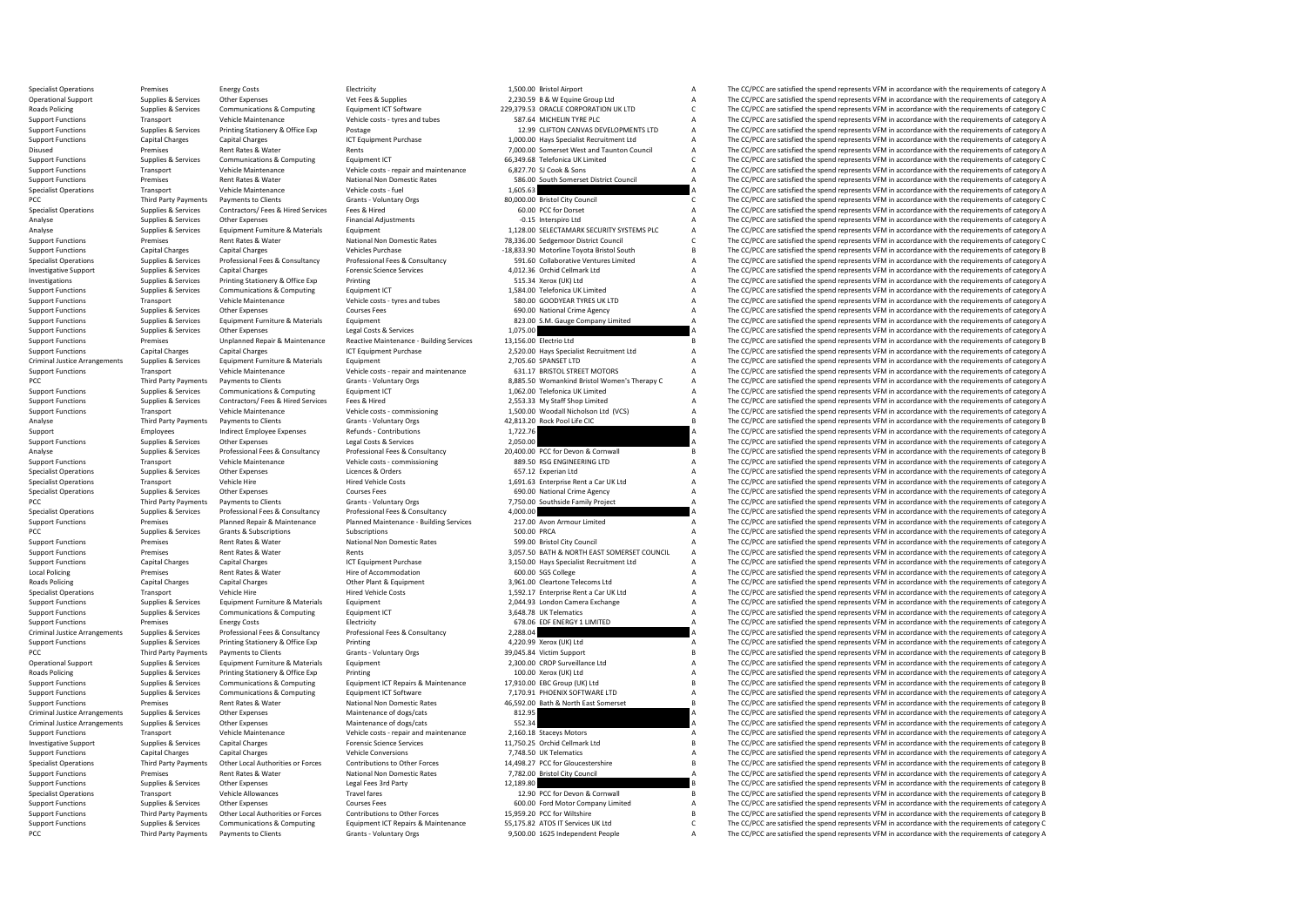Specialist Operations Premises Energy Costs Energy Costs Electricity Electricity Electricity Electricity 1,500.00 Bristol Airport A The CC/PCC are satisfied the spend represents VFM in accordance with the requirements of c Operational Support Supplies & Services Other Expenses Vet Fees & Supplies Vet Fees & Supplies 22,30.59 B & W Equine Group Ltd A The CC/PCC are satisfied the spend represents VFM in accordance with the requirements of cate Roads Policing Supplies & Services Communications & Computing Equipment ICT Software 229,379.53 ORACLE CORPORATION UK LTD C The CC/PCC are satisfied the spend represents VFM in accordance with the requirements of category Support Functions Transport Vehicle Maintenance Vehicle costs - tyres and tubes 587.64 MICHELIN TYRE PLC A The CC/PCC are satisfied the spend represents VFM in accordance with the requirements of category A<br>Support Functio Support Functions Supplies & Services Printing Stationery & Office Exp Postage Printing Postage Printing Postage Printing Postage Printing Postage Printing Postage Printing Postage 12.99 CLIFTON CANVAS DEVELOPMENTS LTD A T Support Functions Capital Charges Capital Charges Capital Charges ICT Equipment Purchase 1,000.00 Hays Specialist Recruitment Ltd A The CC/PCC are satisfied the spend represents VFM in accordance with the requirements of c Disused Premises Rent Rates & Water Rents Rents Rents Rents Rents 7,000.00 Somerset West and Taunton Council A The CC/PCC are satisfied the spend represents VFM in accordance with the requirements of category A Support Fra Support Functions Supplies & Services Communications & Computing Equipment ICT Equipment ICT 66,349.68 Telefonica UK Limited C The CC/PCC are satisfied the spend represents VFM in accordance vith the requirements of catego Support Functions Transport Functions Transport Transport Transport Transport Vehicle Maintenance WEM in accordance with the requirements of category A The CC/PCC are satisfied the spend represents VFM in accordance with t Support Functions Premises Rent Rates & Water National Non Domestic Rates 586.00 South Somerset District Council A The CC/PCC are satisfied the spend represents VFM in accordance with the requirements of category A Vehicle Specialist Operations Transport Vehicle Maintenance Vehicle costs - fuel Vehicle costs - fuel Vehicle costs - fuel 1,605.63 A The CC/PCC are satisfied the spend represents VFM in accordance with the requirements of categor PCC The CC/PCC are satisfied the spend represents VFM in accordance with the requirements of category C Crants Council C C The CC/PCC are satisfied the spend represents VFM in accordance with the requirements of category C Specialist Operations Supplies & Services Contractors/ Fees & Hired Services Fees & Hired Fees A Hired Fees A The CC/PCC are satisfied the spend represents VFM in accordance with the requirements of category A The CO/PCC a Analysies Supplies Aservices Other Expenses Financial Adjustments Financial Adjustments -0.15 Interspiro Ltd -0.15 Interspiro Ltd A The CC/PCC are satisfied the spend represents VFM in accordance with the requirements of c Analyse Supplies & Services Equipment Furniture & Materials Equipment Equipment Equipment Equipment Equipment<br>
Support Functions Support Functions and the requirements of category C Netword National Non Domestic Rates Nati The CC/PCC are satisfied the spend represents VFM in accordance with the requirements of category C Support Functions Capital Charges Capital Charges Capital Charges Vehicles Purchase -18,833.90 Motorline Toyota Bristol South B The CC/PCC are satisfied the spend represents VFM in accordance with the requirements of categ Specialist Operations Supplies & Services Professional Fees & Consultancy Professional Fees & Consultancy Professional Fees & Consultancy Supplies & Consultancy Services and The COPCC are satisfied the spend represents VFM Investigative Support Supplies & Services Capital Charges Forensic Science Services Forensic Science Services 4,012.36 Orchid Cellmark Ltd A The CC/PCC are satisfied the spend represents VFM in accordance with the requirem Investigations Supplies & Services Printing Stationery & Office Exp Printing Printing Printing Stationer Printing Stationer Printing Stations (UK) Ltd A The CC/PCC are satisfied the spend represents VFM in accordance with Support Functions Supplies & Services Communications & Computing Equipment ICT Equipment ICT 1,584.00 Telefonica UK Limited A The CC/PCC are satisfied the spend represents VFM in accordance with the requirements of categor Support Functions Transport Vehicle Maintenance Vehicle costs - tyres and tubes 580.00 GOODYEAR TYRES UK LTD A The CC/PCC are satisfied the spend represents VFM in accordance with the requirements of category A Courses Fee Support Functions Supplies & Services Other Expenses Courses Courses Fees Courses Courses Courses Courses Fees<br>Support Functions Supplies Agences Support Functions Support Equipment Courses Fees Fees 823.00 S.M. Gauge Comp Support Functions Supplies & Services Equipment Furniture & Materials Equipment Equipment Equipment Equipment Equipment Equipment A The CC/PCC are satisfied the spend represents VFM in accordance with the requirements of c Support Functions Supplies & Services Other Expenses Legal Costs & Services Legal Costs & Services 1,075.00 A The CC/PCC are satisfied the spend represents VFM in accordance with the requirements of category A Support Func Support Functions Premises Unplanned Repair & Maintenance Reactive Maintenance - Building Services 13,156.00 Electric Ltd B The CC/PCC are satisfied the spend represents VFM in accordance with the requirements of category Capital Charges Capital Charges Capital Charges ICT Equipment Purchase 2,520.00 Hays Specialist Recruitment Ltd A The CC/PCC are satisfied the spend represents VFM in accordance with the requirements of category A Support Criminal Justice Arrangements Supplies Services Equipment Furniture & Materials Equipment Equipment Equipment 2,705.60 SPANSET LTD A The CC/PCC are satisfied the spend represents VFM in accordance with the requirements of Support Functions Transport Vehicle Maintenance Vehicle costs - repair and maintenance 631.17 BRISTOL STREET MOTORS A The CC/PCC are satisfied the spend represents VFM in accordance with the requirements of category A CCC PCC Third Party Payments Payments of Clients Grants Grants - Voluntary Orgs 8,885.50 Womankind Bristol Women's Therapy C A The CC/PCC are satisfied the spend represents VFM in accordance with the requirements of category A Support Functions Support Functions Support Functions Communications Communications Computing Equipment ICT 1,062.00 Telefonica UK Limited A The CC/PCC are satisfied the spend represents VFM in accordance with the requirem Support Functions Supplies & Services Contractors/ Fees & Hired Services Fees & Hired Press Hired 2,553.33 My Staff Shop Limited A The CC/PCC are satisfied the spend represents VFM in accordance with the requirements of ca Transport Vehicle Maintenance Vehicle costs - commissioning 1,500.00 Woodall Nicholson Ltd (VCS) A The CC/PCC are satisfied the spend represents VFM in accordance with the requirements of category A Analyse Third Party Payments Payments to Clients Grants - Voluntary Orgs and Analyse Analyse Crants Crants Crants Grants of category B Crants - Voluntary Orgs and Analyse Crants Cranto Deck Pool Life CLC B The CC/PCC are s Support Employees Indirect Employee Expenses Refunds - Contributions 1,722.76 1,172.76 A The CC/PCC are satisfied the spend represents VFM in accordance with the requirements of category A Support in the requirements of ca Support Functions Supplies & Services Other Expenses Legal Costs & Services Services Consultancy Legal Costs & Services Services Consultancy Professional Fees & Consultancy Professional Fees & Consultancy Professional Fees Analyse The CC/PCC are attistied the spend represents VFM in accordance with the requirements of category B and<br>Supplies Supplies and the COMERON VERSION VERSION OF THE CONTRIGATION A The CC/PCC are satisfied the spend rep Support Functions Transport Vehicle Maintenance Vehicle costs commissioning 889.50 RSG ENGINEERING LTD A The CC/PCC are satisfied the spend represents VFM in accordance with the requirements of category A Secialist Operati Expecialist Comparisons Comparisons Comparisons Comparisons Comparisons Comparisons Comparisons Comparisons Compa<br>Hired Vehicle Costs of the specialist A The Comparisons Comparisons Comparisons Comparisons Comparisons Com Specialist Operations Transport Vehicle Hire Wehicle Hire Hired Vehicle Costs 1,691.63 Enterprise Rent a Car UK Ltd A The CC/PCC are satisfied the spend represents VFM in accordance with the requirements of category A Spec Specialist Operations Supplies & Services Other Expenses Courses Fees Courses Fees 690.00 National Crime Agency A The CC/PCC are satisfied the spend represents VFM in accordance with the requirements of category A Grants -PCC Third Party Payments Payments of Centers Grants - Voluntary Orgs 67 and a 7,750.00 Southside Family Project A The CC/PCC are satisfied the spend represents VFM in accordance with the requirements of category A Speciali Specialist Operations Supplies & Services Professional Fees & Consultancy Professional Fees & Consultancy Professional Fees & Consultancy 4,000.00 4,000.00 A The CC/PCC are satisfied the spend represents VFM in accordance Support Functions Planned Maintenance - Building Services 217.00 Avon Armour Limited a The CC/PCC are satisfied the spend represents VFM in accordance with the requirements of category A Subscriptions Subscriptions Subscri PCC Supplies & Services Grants & Subscriptions Subscriptions Subscriptions Subscriptions Subscriptions Subscriptions Subscriptions Subscriptions Subscriptions Subscriptions Subscriptions Subscriptions Subscriptions and the Support Functions Premises Rent Rates & Water National Non Domestic Rates 599.00 Bristol City Council City Council A The CC/PCC are satisfied the spend represents VFM in accordance with the requirements of category A Suppo Premises Rent Rates & Water Rents Rents Rents and Rents 3,057.50 BATH & NORTH EAST SOMERSET COUNCIL A The CC/PCC are satisfied the spend represents VFM in accordance with the requirements of category A Support Functions Capital Charges Capital Charges Capital Charges ICT Equipment Purchase 3,150.00 Hays Specialist Recruitment Ltd A The CC/PCC are satisfied the spend represents VFM in accordance with the requirements of c Local Policing Premises Rent Rates & Water Hire of Accommodation Hire of Accommodation 600.00 SGS College A The CC/PCC are satisfied the spend represents VFM in accordance with the requirements of category A Radis Policing Capital Charges Capital Charges Capital Charges Capital Charges Capital Charges Other Plant & Equipment 3,961.00 Cleartone Telecoms Ltd A The CC/PCC are satisfied the spend represents VFM in accordance with the requirement Specialist Operations Transport Vehicle Hire Vehicle Hire Hired Vehicle Costs 1,592.17 Enterprise Rent a Car UK Ltd A The CC/PCC are satisfied the spend represents VFM in accordance with the requirements of category A Supp Support Functions Supplies & Services Equipment Furniture & Materials Equipment Equipment Equipment Equipment Exclusive Equipment A The CC/PCC are satisfied the spend represents VFM in accordance with the requirements of c Support Functions Supplies & Services Communications & Computing Equipment ICT and the Support Telematics A The CC/PCC are satisfied the spend represents VFM in accordance with the requirements of category A Support Functi Energy Costs Electricity Electricity Electricity 678.06 EDF ENERGY 1 LIMITED A The CC/PCC are satisfied the spend represents VFM in accordance with the requirements of category A<br>Supplies & Services Professional Fees & Con Criminal Justice Arrangements Supplies & Services Professional Fees & Consultancy Professional Fees & Consultancy Professional Fees & Consultancy 2,288.04 a The CC/PCC are satisfied the spend represents VFM in accordance w Support Functions Supplies & Services Printing Stationery & Office Exp Printing Printing Printing Printing A The CC/PCC are satisfied the spend represents VFM in accordance with the requirements of category A Grants - Volu PCC Third Party Payments of Dents Crants Crants Crants Crants Crants Grants Crants Crants Crants Crants Crants Crants Crants Crants Crants Crants Crants Crants Crants Crants Crants Crants Crants Orgs 39,045.84 Victim Suppo Coperational Support Support Support Support Support Turniture Ltd A The CC/PCC are satisfied the spend represents VFM in accordance with the requirements of category A Roads Policing Supplies & Services Printing Stationery & Office Exp Printing Printing Printing 100.00 Xerox (UK) Ltd A The CC/PCC are satisfied the spend represents VFM in accordance swith the requirements of category A Su Support Functions Supplies & Services Communications & Computing Equipment ICT Repairs & Maintenance 17,910.00 EBC Group (UK) Ltd B The CC/PCC are satisfied the spend represents VFM in accordance with the requirements of c The CC/PCC are satisfied the spend represents VFM in accordance with the requirements of category A Support Functions Premises Rent Rates & Water National Non Domestic Rates 46,592.00 Bath & North East Somerset B The CC/PCC are satisfied the spend represents VFM in accordance with the requirements of category B Maintenan Supplies Arrangements of the Criminal Arrangement of dogs/cats and the Struments of category A The CC/PCC are satisfied the spend represents VFM in accordance with the requirements of category A Criminal Justice Arrangements Supplies & Services Other Expenses Maintenance of dogs/cats Maintenance of dogs/cats 552.34 552.34 A The CC/PCC are satisfied the spend represents VFM in accordance with the requirements of ca Transport Vehicle Maintenance Vehicle costs - repair and maintenance 2,160.18 Staceys Motors A The CC/PCC are satisfied the spend represents VFM in accordance with the requirements of category A Supportents of category A S Investigative Support Supplies & Services Capital Charges Capital Charges Forensic Science Services 11,750.25 Orchid Cellmark Ltd B The CC/PCC are satisfied the spend represents VFM in accordance with the requirements of c Support Functions Capital Charges Capital Charges Vehicle Conversions Vehicle Conversions 7,748.50 UK Telematics A The CC/PCC are satisfied the spend represents VFM in accordance with the requirements of category A Support Specialist Operations Third Party Payments Other Local Authorities or Forces Contributions to Other Forces 14,498.27 PCC for Gloucestershire B The CC/PCC are satisfied the spend represents VFM in accordance with the requir The CC/PCC are satisfied the spend represents VFM in accordance with the requirements of category A Support Functions Supplies & Services Other Expenses Legal Fees 3rd Party Legal Fees 3rd Party 12,189.80 B The CC/PCC are satisfied the spend represents VFM in accordance with the requirements of category B The Crime and t Specialist Operations Transport Vehicle Allowances Travel fares Travel fares 12.90 PCC for Devon & Cornwall B The CC/PCC are satisfied the spend represents VFM in accordance with the requirements of category B Corner Corne The CC/PCC are satisfied the spend represents VFM in accordance with the requirements of category A Support Functions Third Party Payments Other Local Authorities or Forces Contributions to Other Forces 15,959.20 PCC for Wiltshire Bull and the CC/PCC are satisfied the spend represents VFM in accordance with the requireme Support Eugenet Curricum Curricum Curricum Communications & Computing Countries Computer Description Curricum Curricum Curricum Curricum Curricum Curricum Curricum Curricum Curricum Curricum Curricum Curricum Curricum Curr PCC Third Party Payments Payments to Clients Grants Vignation Crants - Voluntary Orgs 9,500.00 1625 Independent People A The CC/PCC are satisfied the spend represents VFM in accordance with the requirements of category A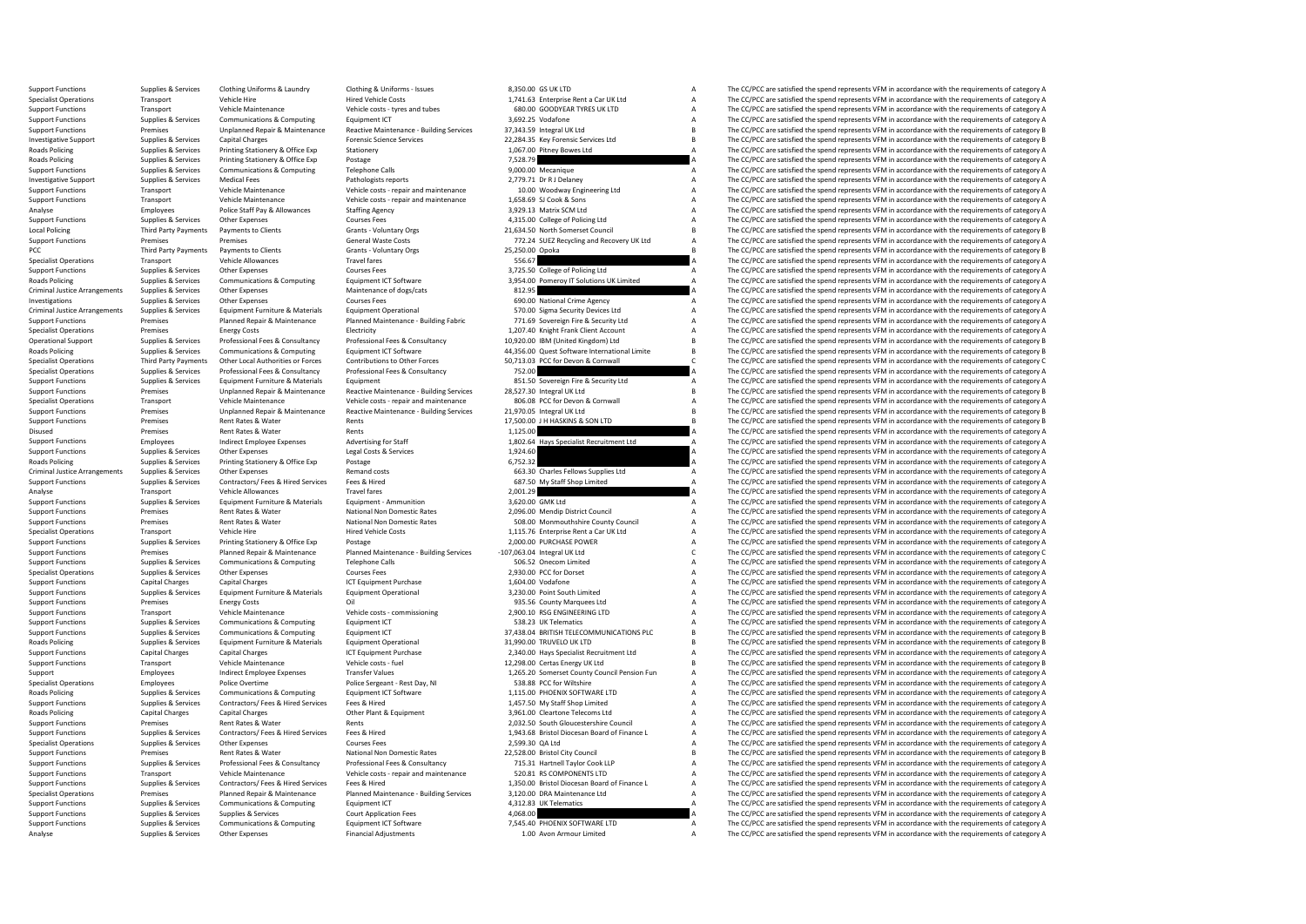Support Functions Supplies & Services Clothing Uniforms & Laundry Clothing & Uniforms - Issues 8,350.00 GS UK LTD A The CC/PCC are satisfied the spend represents VFM in accordance with the requirements of category A Hired Specialist Operations Transport Vehicle Hire Vehicle Costs Hired Vehicle Costs 1,741.63 Enterprise Rent a Car UK Ltd A The CC/PCC are satisfied the spend represents VFM in accordance with the requirements of category A Sup Support Functions Transport Vehicle Maintenance Vehicle costs - tyres and tubes 680.00 GOODYEAR TYRES UK LTD A The CC/PCC are satisfied the spend represents VFM in accordance with the requirements of category A<br>Support Fun Support Functions Supplies & Services Communications & Computing Equipment ICT 3,692.25 Vodafone 37,343.59 Integral UK List and The CC/PCC are satisfied the spend represents VFM in accordance with the requirements of categ of the control of the material of the material of the material of the material of the material of the material of the material of the material of the component of category B and the component of category B and the componen Investigative Support Supplies & Services Capital Charges Forensic Science Services 22,284.35 Key Forensic Services Ltd B The CC/PCC are satisfied the spend represents VFM in accordance with the requirements of category B Roads Policing Supplies & Services Printing Stationery Soffice Exp Stationery Stationery Stationery 1,067.00 Pitney Bowes Ltd A The CC/PCC are satisfied the spend represents VFM in accordance with the requirements of categ Roads Policing Supplies & Services Printing Stationery & Office Exp Postage Prostage 7,528.79 Printing Telephone Calls 7,528.79 A The CC/PCC are satisfied the spend represents VFM in accordance with the requirements of cat  $\begin{array}{r} \text{9,000.00}\end{array}$  Mecanique  $\begin{array}{r} \text{The C/CC are satisfied the spend represents VFM in accordance with the requirements of category A \end{array}$ Investigative Support Supplies & Services Medical Fees Pathologists reports Pathologists reports 2,779.71 Dr R J Delaney A The CC/PCC are satisfied the spend represents VFM in accordance with the requirements of category A Support Functions Transport Vehicle Maintenance Vehicle costs - repair and maintenance 10.00 Woodway Engineering Ltd A The CC/PCC are satisfied the spend represents VFM in accordance with the requirements of category A Veh Support Functions Transport Vehicle Maintenance Vehicle costs - repair and maintenance 1,658.69 SJ Cook & Sons A The CC/PCC are satisfied the spend represents VFM in accordance with the requirements of category A A The CC/ Analyse Employees Police Staff Pay & Allowances Staffing Agency Substitute State of Decomption Courses Fees Substitute 10 a The CC/PCC are satisfied the spend represents VFM in accordance with the requirements of category Support Functions Supplies & Services Other Expenses Courses Fees Courses Fees A,315.00 College of Policing Ltd A The CC/PCC are satisfied the spend represents VFM in accordance with the requirements of category A Corses F Local Policing Third Party Payments Payments of Clients Grants - Voluntary Orgs 21,634.50 North Somerset Council B The CC/PCC are satisfied the spend represents VFM in accordance with the requirements of category B General Support Functions Premises Premises Premises Premises Premises Premises VFM in accordance with the requirements of category A The CC/PCC are satisfied the spend represents VFM in accordance with the requirements of categor PCC Third Party Payments of Damis to Clients Grants - Voluntary Orgs 25,250.00 Opoka B The CC/PCC are satisfied the spend represents VFM in accordance with the requirements of category B Crants Crants Crants 25,250.00 Opok Specialist Operations Transport Vehicle Allowances Travel fares Travel fares 556.67 A The CC/PCC are satisfied the spend represents VFM in accordance with the requirements of category A<br>Support Functions Supplies & Service Support Functions Supplies & Services Other Expenses Courses Courses Fees Support Fees and the Courses Fees 3,725.50 College of Policing Ltd A The CC/PCC are satisfied the spend represents VFM in accordance with the requir Equipment ICT Software 3,954.00 Pomeroy IT Solutions UK Limited A The CC/PCC are satisfied the spend represents VFM in accordance with the requirements of category A<br>Maintenance of does/cats and the satisfied the spend of Criminal Justice Arrangements Supplies & Services Other Expenses Maintenance of dogs/cats Maintenance of dogs/cats 812.95 812.95 A The CC/PCC are satisfied the spend represents VFM in accordance with the requirements of ca Investigations Supplies & Services Other Expenses Courses Fees Courses Fees 690.00 National Crime Agency A The CC/PCC are satisfied the spend represents VFM in accordance with the requirements of category A Criminal Justic Criminal Justice Arrangements Supplies & Services Equipment Furniture & Materials Equipment Operational Equipment Operational STO.00 Sigma Security Devices Ltd A The CC/PCC are satisfied the spend represents VFM in accorda Support Functions Premises Planned Repair & Maintenance Planned Maintenance Building Fabric 771.69 Sovereign Fire & Security Ltd Maintenance Annual American Transmission of The COPCC are satisfied the spend represents VFM Specialist Operations Premises Premises Energy Costs Electricity Electricity Electricity Electricity 1,207.40 Knight Frank Client Account A The CC/PCC are satisfied the spend represents VFM in accordance with the requireme Operational Support Supplies & Services Professional Fees & Consultancy Professional Fees & Consultancy Professional Fees & Consultancy 10,920.00 IBM (United Kingdom) Ltd B The CC/PCC are satisfied the spend represents VFM Roads Policing Supplies & Services Communications & Computing Equipment ICT Software exacts and the A,356.00 Quest Software International Limite B The CC/PCC are satisfied the spend represents VFM in accordance with the re 71,713.03 PCC for Devon & Cornwall<br>A The CC/PCC are satisfied the spend represents VEM in accordance with the requirements of category C<br>The CC/PCC are satisfied the cooperate VEM in accordance with the could particle of c Specialist Operations Supplies & Services Professional Fees & Consultancy Professional Fees & Consultancy 752.00 752.00 A The CC/PCC are satisfied the spend represents VFM in accordance with the requirements of category A<br> Support Functions Supplies & Services Equipment Furniture & Materials Equipment Equipment Equipment Bunches Equipment Bunches Equipment and a Security Ltd A The CC/PCC are satisfied the spend represents VFM in accordance w Premises Unplanned Repair & Maintenance Reactive Maintenance Building Services 28,527.30 Integral UK Ltd B The CC/PCC are satisfied the spend represents VFM in accordance with the requirements of category B<br>Transport Vehic Specialist Operations Transport Vehicle Maintenance Vehicle costs - repair and maintenance 806.08 PCC for Devon & Cornwall A The CC/PCC are satisfied the spend represents VFM in accordance with the requirements of category The CC/PCC are satisfied the spend represents VFM in accordance with the requirements of category B Support Functions Premises Rent Rates & Water Rents Rents Rents Rents Rents Rents Rents 17,500.00 J H HASKINS & SON LTD B The CC/PCC are satisfied the spend represents VFM in accordance with the requirements of category B Pie CC/PCC are satisfied the spend represents VFM in accordance with the requirements of category A<br>A The CC/PCC are satisfied the spend represents VFM in accordance with the requirements of category A Support Functions Employees Indirect Employee Expenses Advertising for Staff 1,802.64 Hays Specialist Recruitment Ltd A The CC/PCC are satisfied the spend represents VFM in accordance with the requirements of category A Su Support Functions Supplies & Services Other Expenses Legal Costs & Services Legal Costs & Services Legal Costs & Services 1,924.60 A The CC/PCC are satisfied the spend represents VFM in accordance with the requirements of Roads Policing Supplies & Services Printing Stationery & Office Exp Postage Printing Stationery & Office Exp Postage 663.30 Charles Elevys Supplies Ltd A The CC/PCC are satisfied the spend represents VFM in accordance with Criminal Criminal Justice Arrangements of category A The CC/PCC are satisfied the spend represents VFM in accordance with the requirements of category A The Criminal Criminal Criminal Criminal Criminal Criminal Criminal A Support Functions Supplies & Services Contractors/ Fees & Hired Services Fees & Hired 687.50 My Staff Shop Limited A The CC/PCC are satisfied the spend represents VFM in accordance with the requirements of category A Than Analyse Transport Vehicle Allowances Travel fares Travel fares 2,001.29 A The CC/PCC are satisfied the spend represents VFM in accordance with the requirements of category A<br>Support Functions Supplies & Services Equipment Support Functions Supplies & Services Equipment Furniture & Materials Equipment - Ammunition and a material and the Service and the CC/PCC are satisfied the spend represents VFM in accordance with the requirements of categ Support Functions Premises Rent Rates & Water National Non Domestic Rates 2,096.00 Mendip District Council A The CC/PCC are satisfied the spend represents VFM in accordance with the requirements of category A National Non The CC/PCC are satisfied the spend represents VFM in accordance with the requirements of category A Specialist Operations Transport Vehicle Hire Vehicle Hire Hired Vehicle Costs Hired Vehicle Costs 1,115.76 Enterprise Rent a Car UK Ltd A The CC/PCC are satisfied the spend represents VFM in accordance with the requirement Support Functions Supplies & Services Printing Stationery & Office Exp Postage Protage Postage 2,000.00 PURCHASE POWER A The CC/PCC are satisfied the spend represents VFM in accordance with the requirements of category A S Support Functions Support Premises Premises Planned Repair & Maintenance Planned Maintenance-Building Services -107,063.04 Integral UK Ltd COPCC are satisfied the spend represents VFM in accordance with the requirements of Support Functions Supplies & Services Communications & Computing Telephone Calls 506.52 Onecom Limited a The CC/PCC are satisfied the spend represents VFM in accordance with the requirements of category A Curves Computing Specialist Operations Supplies & Services Other Expenses Courses Fees Courses Fees 2,930.00 PCC for Dorset A The CC/PCC are satisfied the spend represents VFM in accordance with the requirements of category A Support Funct Support Functions Capital Charges Capital Charges Capital Charges Capital Charges Capital Charges ICT Equipment Purchase 1,604.00 Vodafone 1,604.00 Vodafone A The CC/PCC are satisfied the spend represents VFM in accordance Support Functions Supplies & Services Equipment Furniture & Materials Equipment Operational and a service and the south Limited A The CC/PCC are satisfied the spend represents VFM in accordance with the requirements of cat Support Functions Premises Energy Costs Oil Oil 935.56 County Marquees Ltd A The CC/PCC are satisfied the spend represents VFM in accordance with the requirements of category A Cup in the spend represents VFM in accordance Support Functions Transport Vehicle Maintenance Vehicle costs - commissioning 2,900.10 RSG ENGINEERING LTD A The CC/PCC are satisfied the spend represents VFM in accordance with the requirements of category A<br>Support Funct Support Functions Support Functions Support Functions Supplies A The CC/PCC are satisfied the spend represents VFM in accordance with the requirements of category A The Cripment Support are satisfied the spend represents V Support Functions Supplies & Services Communications & Computing Equipment ICT 37,438.04 BRITISH TELECOMMUNICATIONS PLC B The CC/PCC are satisfied the spend represents VFM in accordance with the requirements of category B Roads Policing Supplies & Services Equipment Furniture & Materials Equipment Operational Equipment Operational 31,990.00 TRUVELO UK LTD B The CC/PCC are satisfied the spend represents VFM in accordance with the requirement Support Functions Capital Charges Capital Charges Capital Charges ICT Equipment Purchase 2,340.00 Hays Specialist Recruitment Ltd A The CC/PCC are satisfied the spend represents VFM in accordance with the requirements of c Transport Vehicle Maintenance Vehicle costs - fuel 12,298.00 Certas Energy UK Ltd B The CC/PCC are satisfied the spend represents VFM in accordance with the requirements of category B Support Employees Indirect Employee Expenses Transfer Values Transfer Values 1,265.20 Somerset County Council Pension Fun A The CC/PCC are satisfied the spend represents VFM in accordance with the requirements of category Specialist Operations Employees Police Overtime Police Sergeant - Rest Day, NI 538.88 PCC for Wiltshire A The CC/PCC are satisfied the spend represents VFM in accordance with the requirements of category A Roads Police A T The CC/PCC are satisfied the spend represents VFM in accordance with the requirements of category A Support Functions Supplies & Services Contractors/ Fees & Hired Services Fees & Hired 1,457.50 My Staff Shop Limited A The CC/PCC are satisfied the spend represents VFM in accordance with the requirements of category A Roads Policing Capital Charges Capital Charges Capital Charges Capital Charges Other Plant & Equipment Charges Charges Capital Charges Capital Charges Capital Charges Other Plant & Equipment 2,032.50 South Gloucestershire Support Functions Premises Rent Rates & Water Rents Rents Rents 2,032.50 South Gloucestershire Council A The CC/PCC are satisfied the spend represents VFM in accordance with the requirements of category A Support Functions Support Functions Supplies & Services Contractors/Fees & Hired Services Fees & Hired 1,943.68 Bristol Diocesan Board of Finance L A The CC/PCC are satisfied the spend represents VFM in accordance with the requirements of c The CC/PCC are satisfied the spend represents VFM in accordance with the requirements of category A Support Functions Premises Premises Premises Rent Rates & Water National Non Domestic Rates National Non Domestic Rates 22,528.00 Bristol City Council B The CC/PCC are satisfied the spend represents VFM in accordance with Support Functions Supplies & Services Professional Fees & Consultancy Professional Fees & Consultancy Professional Fees & Consultancy 715.31 Hartnell Taylor Cook LLP A The CC/PCC are satisfied the spend represents VFM in a The CC/PCC are satisfied the spend represents VFM in accordance with the requirements of category A Support Functions Supplies & Services Contractors/Fees & Hired Services Fees & Hired Hired 1,350.00 Bristol Diocesan Board of Finance L A The CC/PCC are satisfied the spend represents VFM in accordance with the requirement Specialist Operations Premises Premises Planned Repair & Maintenance Planned Maintenance Building Services 3,120.00 DRA Maintenance Ltd - The CC/PCC are satisfied the spend represents VFM in accordance with the requirement The CC/PCC are satisfied the spend represents VFM in accordance with the requirements of category A Support Functions Supplies & Services Supplies & Services Supplies & Services Court Application Fees Court Application Fees 4,068.00 A The CC/PCC are satisfied the spend represents VFM in accordance with the requirements o Support Functions Supplies & Services Communications & Computing Equipment ICT Software Functions 7,545.40 PHOENIX SOFTWARE LTD A The CC/PCC are satisfied the spend represents VFM in accordance with the requirements of cat Analyse Supplies & Services Other Expenses Financial Adjustments Financial Adjustments 1.00 Avon Armour Limited A The CC/PCC are satisfied the spend represents VFM in accordance with the requirements of category A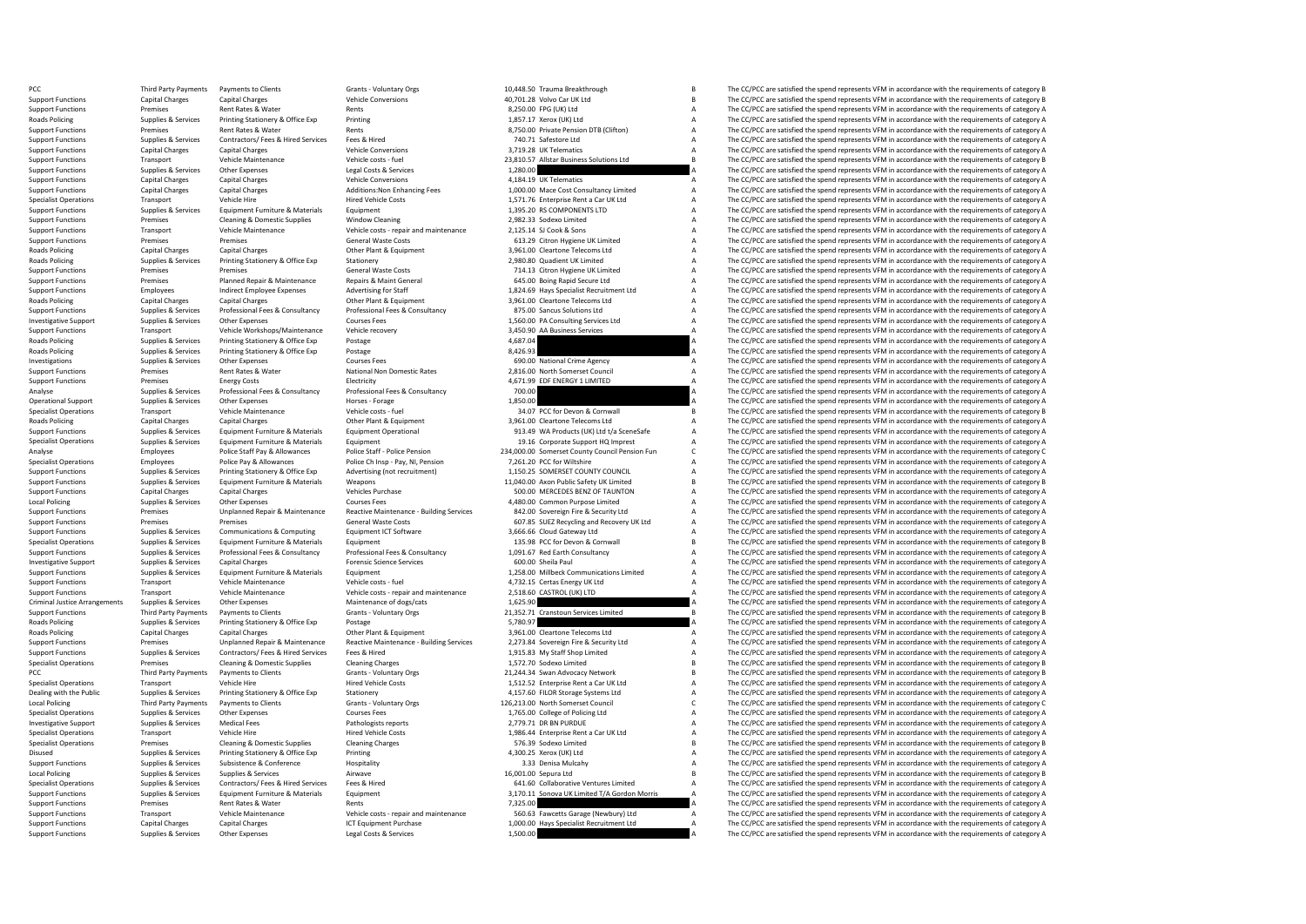PCC Third Party Payments Payments of Clients Grants Voluntary Orgs 6 10,448.50 Trauma Breakthrough B The CC/PCC are satisfied the spend represents VFM in accordance with the requirements of category B Grants VFM in accorda Support Functions Capital Charges Capital Charges Vehicle Conversions Vehicle Conversions 40,701.28 Volvo Car UK Ltd B The CC/PCC are satisfied the spend represents VFM in accordance with the requirements of category B Ren Support Functions Premises Premises Rent Rates & Water Rents Rents Rents Rents Rents Rents Rents Rent Rents Rent Rents 8,250.00 FPG (UK) Ltd A The CC/PCC are satisfied the spend represents VFM in accordance with the requir Roads Policing Supplies & Services Printing Stationery & Office Exp Printing Printing Printing 1,857.17 Xerox (UK) Ltd A The CC/PCC are satisfied the spend represents VFM in accordance with the requirements of category A S Support Functions Premises Rent Rates & Water Rents Rents Rents Rents Rents Rents Rents Rents Rents Rents Rents Rents Rents Rents Rents Rents Rents Rents Rents Rents Rents Rents Rents Rents Rents Rents Rents Rents Rents Re Support Functions Supplies & Services Contractors/ Fees & Hired Services Fees & Hired Fees A Hired The Technology and The CC/PCC are satisfied the spend represents VFM in accordance with the requirements of category A Vehi Support Functions Capital Charges Capital Charges Capital Charges Vehicle Conversions Vehicle Conversions 3,719.28 UK Telematics A The CC/PCC are satisfied the spend represents VFM in accordance with the requirements of ca Support Functions Transport Vehicle Maintenance Vehicle costs - fuel Vehicle costs - fuel Vehicle costs - fuel Vehicle costs - fuel Vehicle costs - fuel 23,810.57 Allstar Business Solutions Ltd B The CC/PCC are satisfied t Legal Costs & Services 2,280.00 1,280.00 1,280.00 1,280.00 A The CC/PCC are satisfied the spend represents VFM in accordance with the requirements of category A The Cripcial Costs & Services 1,280.00 1 (200) 2 and 114 The Support Functions Capital Charges Capital Charges Vehicle Conversions Vehicle Conversions 4,184.19 UK Telematics A The CC/PCC are satisfied the spend represents VFM in accordance with the requirements of category A Support Support Functions Capital Charges Capital Charges Additions:Non Enhancing Fees 1,000.00 Mace Cost Consultancy Limited A The CC/PCC are satisfied the spend represents VFM in accordance with the requirements of category A Se Specialist Operations Transport Vehicle Hire Vehicle Hired Vehicle Costs 1,571.76 Enterprise Rent a Car UK Ltd A The CC/PCC are satisfied the spend represents VFM in accordance with the requirements of category A Support F Support Functions Supplies & Services Equipment Furniture & Materials Equipment Equipment Equipment 1,395.20 RS COMPONENTS LTD A The CC/PCC are satisfied the spend represents VFM in accordance with the requirements of cate Support Functions Premises Cleaning & Domestic Supplies Window Cleaning Vindow Cleaning 2,982.33 Sodexo Limited A The CC/PCC are satisfied the spend represents VFM in accordance vith the requirements of category A Vehicle Support Functions Transport Vehicle Maintenance Vehicle costs - repair and maintenance 2,125.14 SJ Cook & Sons A The CC/PCC are satisfied the spend represents VFM in accordance with the requirements of category A Support F Support Functions Premises Conserved A The CC/PCC are satisfied the spend represents VFM in accordance with the requirements of category A The CC/PCC are satisfied the spend represents VFM in accordance with the requiremen Roads Policing Capital Charges Capital Charges Capital Charges Other Plant & Equipment Charges Capital Charges Other Plant & Equipment Charges Capital Charges Capital Charges Other Plant & Equipment Scheen Stategory A Char Roads Policing Supplies & Services Printing Stationery & Office Exp Stationery Stationery Stationery and Stationery Stationery and The CC/PCC are satisfied the spend represents VFM in accordance with the requirements of ca Support Functions Premises Premises Premises Premises Premises General Waste Costs Costs 714.13 Citron Hygiene UK Limited A The CC/PCC are satisfied the spend represents VFM in accordance with the requirements of category Support Functions Premises Planned Repairs Premises Planned Repairs Planned Repairs A The CC/PCC are satisfied the spend represents VFM in accordance with the requirements of category A The CC/PCC are satisfied the spend r Support Functions Employees Indirect Employee Expenses Advertising for Staff 1,824.69 Hays Specialist Recruitment Ltd A The CC/PCC are satisfied the spend represents VFM in accordance with the requirements of category A Ch Roads Policing Capital Charges Capital Charges Capital Charges Other Plant & Equipment 2,961.00 Cleartone Telecoms Ltd A The CC/PCC are satisfied the spend represents VFM in accordance with the requirements of category A S Support Functions Supplies & Services Professional Fees & Consultancy Professional Fees & Consultancy Consultancy and a consulting Services and the CC/PCC are satisfied the spend represents VFM in accordance with the requi Investigative Support Supplies & Services Other Expenses Courses Fees Courses Fees 1,560.00 PA Consulting Services Ltd A The CC/PCC are satisfied the spend represents VFM in accordance with the requirements of category A<br>S Support Functions Transport Vehicle Workshops/Maintenance Vehicle recovery 3,450.90 AA Business Services A The CC/PCC are satisfied the spend represents VFM in accordance with the requirements of category A<br>Boards Politica Roads Policing Supplies & Services Printing Stationery & Office Exp Postage Principal Printing Stationery & Office Exp Postage 9 Postage 1,687.04 4,687.04 A The CC/PCC are satisfied the spend represents VFM in accordance w  $\small \begin{minipage}[c]{0.9\textwidth} \begin{minipage}[c]{0.9\textwidth} \begin{minipage}[c]{0.9\textwidth} \begin{minipage}[c]{0.9\textwidth} \begin{minipage}[c]{0.9\textwidth} \begin{minipage}[c]{0.9\textwidth} \begin{minipage}[c]{0.9\textwidth} \begin{minipage}[c]{0.9\textwidth} \begin{minipage}[c]{0.9\textwidth} \begin{minipage}[c]{0.9\textwidth} \begin{minipage}[c]{0.9\textwidth} \begin{minipage}[c]{0.9\textwidth} \begin{minipage}[c]{0.9\textwidth} \begin{minipage}[c]{0.$ Investigations Supplies & Services Other Expenses Courses Fees 690.00 National Crime Agency A The CC/PCC are satisfied the spend represents VFM in accordance with the enquirements of category A The CC/PCC are satisfied the Support Functions Premises Rent Rates & Water National Non Domestic Rates 2,816.00 North Somerset Council A The CC/PCC are satisfied the spend represents VFM in accordance with the requirements of category A Flort in the s Energy Costs Energy Costs Electricity Electricity Electricity Electricity Electricity Electricity Electricity 4,671.99 EDF ENERGY 1 LIMITED A The CC/PCC are satisfied the spend represents VFM in accordance with the require Analyse Supplies & Services Professional Fees & Consultancy Professional Fees & Consultancy Professional Fees & Consultancy 700.00 A The CC/PCC are satisfied the spend represents VFM in accordance with the requirements of Operational Support Supplies & Services Other Expenses Horses - Forage Horses - Forage 1,850.00 A The CC/PCC are satisfied the spend represents VFM in accordance with the requirements of category A The CC/PC are satisfied The CC/PCC are satisfied the spend represents VFM in accordance with the requirements of category B Roads Policing Capital Charges Capital Charges Capital Charges Other Plant & Equipment Charactone Telecoms Capital Charges Capital Charges Capital Charges Other Plant & Equipment 3,961.00 Cleartone Telecoms Ltd A The CC/PC Equipment Furniture & Materials Equipment Operational 913.49 WA Products (UK) Ltd t/a SceneSafe A The CC/PCC are satisfied the spend represents VFM in accordance with the requirements of category A<br>For the CC/PCC are satis Specialist Operations Supplies & Services Equipment Furniture & Materials Equipment Equipment Equipment Equipment<br>Analyze Proper Police Staff Pay & Allowances Police Staff Police Penting Police Staff Police Penting Police Employees Police Staff Pay & Allowances Police Staff - Police Pension 234,000.00 Somerset County Council Pension Fun<br>Specialist Operations The CC/PCC are satisfied the spend represents VFM in accordance with the requiremen Specialist Operations Employees Police Pay & Allowances Police Ch Insp - Police Ch Insp - Pay, NI, Pension 7,261.20 PCC for Wiltshire A The CC/PCC are satisfied the spend represents VFM in accordance with the requirements Printing Stationery & Office Exp Advertising (not recruitment) 1,150.25 SOMERSET COUNTY COUNCIL A The CC/PCC are satisfied the spend represents VFM in accordance with the requirements of category A<br>Fruitment Furniture & Ma Support Functions Supplies & Services Equipment Furniture & Materials Weapons Materials Weapons 11,040.00 Axon Public Safety UK Limited B The CC/PCC are satisfied the spend represents VFM in accordance with the requirement Support Functions Capital Charges Capital Charges Capital Charges Solutions Charges Vehicles Purchase Solution<br>
Support Functions Courres Limited Courres Courres Courres Courres Exercises Courres Exercises Courres Courres<br> Local Policing Supplies Services Other Expenses Courses Fees Courses Fees 4,480.00 Common Purpose Limited A The CC/PCC are satisfied the spend represents VFM in accordance with the requirements of category A Supplies a Unp Support Functions Support Purchas Premises Unplanned Repair & Maintenance Reactive Maintenance - Building Services 842.00 Sovereign Fire & Security Ltd A The CC/PCC are satisfied the spend represents VFM in accordance with Support Functions Are Costs Controller Functions Controller Costs Functions Controller Costs 607.85 SUEZ Recycling and Recovery UK Ltd A The CC/PCC are satisfied the spend represents VFM in accordance with the requirements Support Functions Supplies & Services Communications & Computing Equipment ICT Software and Support and Software 3,666.66 Cloud Gateway Ltd A The CC/PCC are satisfied the spend represents VFM in accordance with the require Specialist Operations Supplies & Services Equipment Furniture & Materials Equipment Equipment 135.98 PCC for Devon & Cornwall B The CC/PCC are satisfied the spend represents VFM in accordance with the requirements of categ Supplies & Services Professional Fees & Consultancy Professional Fees & Consultancy 1,091.67 Red Earth Consultancy Manusdancy A The CC/PCC are satisfied the spend represents VFM in accordance with the requirements of categ Investigative Support Supplies & Services Capital Charges Capital Charges Forensic Science Services Forensic Science Services 600.00 Sheila Paul A The CC/PCC are satisfied the spend represents VFM in accordance with the re Support Functions Supplies & Services Equipment Furniture & Materials Equipment Equipment Equipment Equipment Equipment Equipment and Equipment 1,258.00 Millbeck Communications Limited A The CC/PCC are satisfied the spend Vehicle Maintenance Vehicle costs - fuel 4,732.15 Certas Energy UK Ltd A The CC/PCC are satisfied the spend represents VFM in accordance with the requirements of category A The CONTEC are satisfied the spend represents VFM Support Functions Transport Vehicle Maintenance Vehicle costs - repair and maintenance 2,518.60 CASTROL (UK) LTD A The CC/PCC are satisfied the spend represents VFM in accordance with the requirements of category A Crimina Criminal Justice Arrangements Supplies & Services Other Expenses Maintenance of dogs/cats Maintenance of dogs/cats 1,625.90 A The CC/PCC are satisfied the spend represents VFM in accordance with the requirements of categor Support Functions Third Party Payments Payments to Clients Grants Vients Grants Vients Crients Grants Crients Grants Vients Cranstophers Cranstophers Grants Cranstophers Crants Cranstophers Cranstophers Cranstophers Protia Postage experiment Supplies and Clear Supplies Supplies A The CC/PCC are satisfied the spend represents VFM in accordance with the requirements of category A<br>
The CC/PCC are satisfied the spend represents VFM in accordance Roads Policing Capital Charges Capital Charges Capital Charges Other Plant & Equipment 3,961.00 Cleartone Telecoms Ltd A The CC/PCC are satisfied the spend represents VFM in accordance with the requirements of category A S Support Functions Support Premises Premises Unplanned Repair & Maintenance Reactive Maintenance - Building Services 2,273.84 Sovereign Fire & Security Ltd A The CC/PCC are satisfied the spend represents VFM in accordance w Support Functions Supplies & Services Contractors/ Fees & Hired Services Fees & Hired 1,915.83 My Staff Shop Limited A The CC/PCC are satisfied the spend represents VFM in accordance with the requirements of category A Spe Premises Cleaning & Domestic Supplies Cleaning Charges 1,572.70 Sodexo Limited B The CC/PCC are satisfied the spend represents VFM in accordance with the requirements of category B PCC Third Party Payments of Damis to Clients Grants - Voluntary Orgs 21,244.34 Swan Advocacy Network B The CC/PCC are satisfied the spend represents VFM in accordance with the requirements of category B Grants Vehicle Hire Specialist Operations Transport Vehicle Hire Vehicle Hire Hired Vehicle Costs Hired Vehicle Costs 1,512.52 Enterprise Rent a Car UK Ltd A The CC/PCC are satisfied the spend represents VFM in accordance with the requirement The CC/PCC are satisfied the spend represents VFM in accordance with the requirements of category A Local Policing Third Party Payments Payments to Clients Grants Voluntary Orgs 126,213.00 North Somerset Council C The CC/PCC are satisfied the spend represents VFM in accordance with the requirements of category C Specialist Operations Supplies & Services Other Expenses Courses Fees Courses Fees 1,765.00 College of Policing Ltd A The CC/PCC are satisfied the spend represents VFM in accordance with the requirements of category A Puth Investigative Support Support Support Support Support Support Support Support Support Support Support Support Support Support Support Support Support Support Support Support Support Support Support Support Support Support Specialist Operations Transport Vehicle Hire Vehicle Hired Vehicle Costs 1,986.44 Enterprise Rent a Car UK Ltd A The CC/PCC are satisfied the spend represents VFM in accordance with the requirements of category A Cleaning Premises Cleaning & Domestic Supplies Cleaning Charges Cleaning Charges 576.39 Sodexo Limited B The CC/PCC are satisfied the spend represents VFM in accordance with the requirements of category B Disused Supplies & Services Printing Stationery & Office Exp Printing Printing Multip A 300.25 Xerox (UK) Ltd A The CC/PCC are satisfied the spend represents VFM in accordance with the requirements of category A Supplies & Support Functions Supplies & Services Subsistence Subsistence Hospitality Hospitality Hospitality and the Support Conference Hospitality and the Support of the CC/PCC are satisfied the spend represents VFM in accordance wi The CC/PCC are satisfied the spend represents VFM in accordance with the requirements of category B Specialist Operations Supplies & Services Contractors/Fees & Hired Services Fees & Hired 641.60 Collaborative Ventures Limited A The CC/PCC are satisfied the spend represents VFM in accordance with the requirements of cate Support Functions Supplies & Services Equipment Furniture & Materials Equipment Equipment Equipment Equipment<br>
Support Functions and the compare of category A and the compare and the compare of the CAPCC are satisfied the The CC/PCC are satisfied the spend represents VFM in accordance with the requirements of category A Support Functions Transport Control Control Control Control Control Control (Control Control of the Control Control of the Control of the Control of the Control Control of the Control Control of the Control Control Control Support Functions Capital Charges Capital Charges ICT Equipment Purchase 1,000.00 Hays Specialist Recruitment Ltd A The CC/PCC are satisfied the spend represents VFM in accordance with the requirements of category A Support Functions Supplies & Services Other Expenses Legal Costs & Services Legal Costs & Services 1,500.00 A The CC/PCC are satisfied the spend represents VFM in accordance with the requirements of category A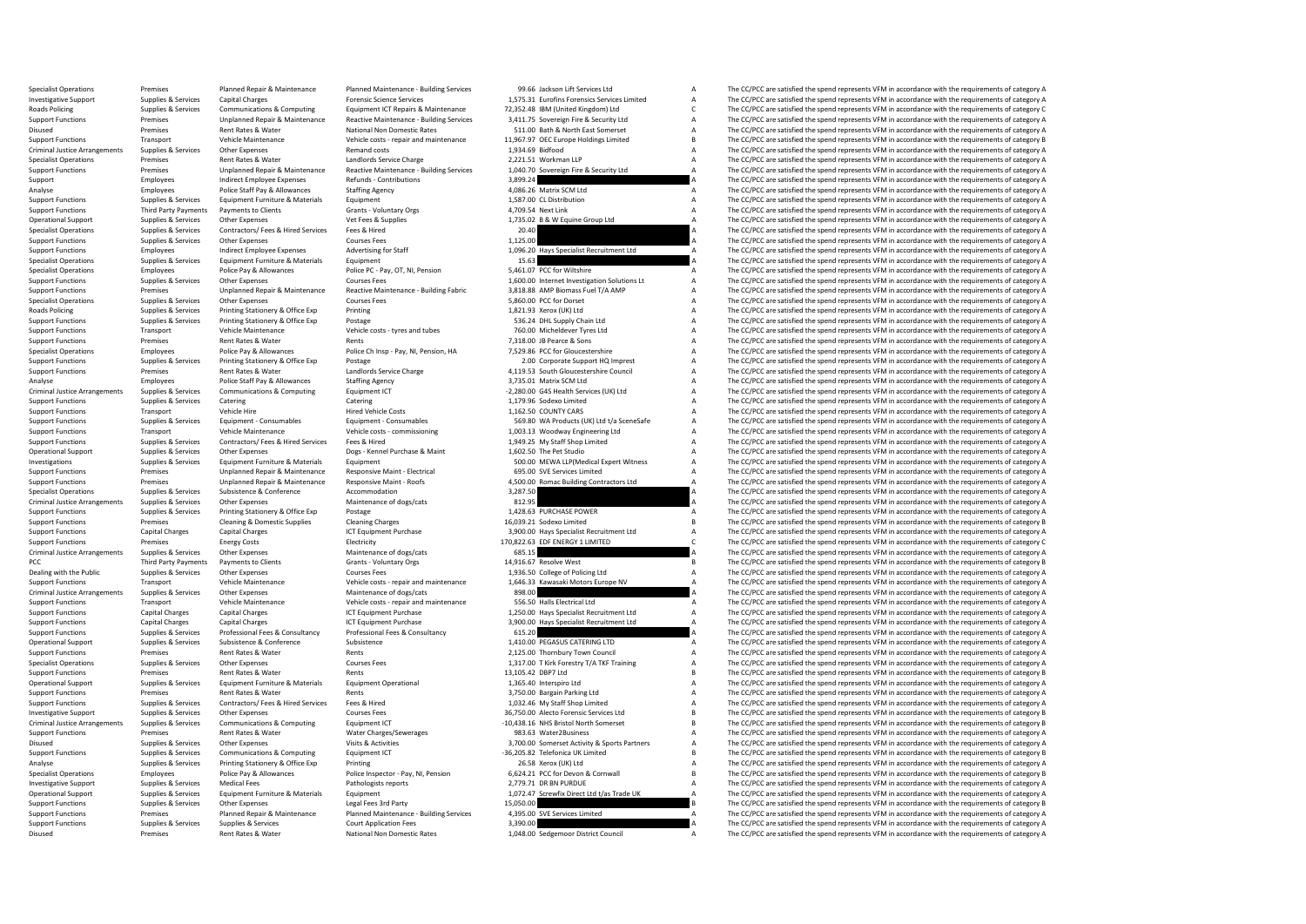Specialist Operations The Premises Premises Planned Repair & Maintenance Pulnned Maintenance Building Services 99.66 Jackson Lift Services Ltd A The CC/PCC are satisfied the spend represents VFM in accordance with the requ Investigative Support Supplies & Services Capital Charges Capital Charges Forensic Science Services and Support<br>Roads Policing Supplies & Services Communications & Computing Equipment ICT Repairs & Maintenance 72,352.48 IB Roads Policing Supplies & Services Communications & Computing Equipment ICT Repairs & Maintenance 72,352.48 IBM (United Kingdom) Ltd CCPCC are satisfied the spend represents VFM in accordance with the requirements of categ Unplanned Repair & Maintenance Reactive Maintenance - Building Services 3,411.75 Sovereign Fire & Security Ltd<br>
Bent Bathy Democratic Pater State of The CC/PCC are satisfied the spend represents VEM in accordance with the Disused Premises Rent Rates & Water National Non Domestic Rates S11.00 Bath & North East Somerset A The CC/PCC are satisfied the spend represents VFM in accordance with the requirements of category A Vehicle Maintenance Ve Support Eunctions Transport Vehicle Maintenance Vehicle costs - repair and maintenance 11,967.97 OEC Europe Holdings Limited B The CC/PCC are satisfied the spend represents VFM in accordance with the requirements of catego Criminal Justice Arrangements Supplies & Services Other Expenses Remand costs Remand costs Remand costs Remand costs 1,934.69 Bidfood A The CC/PCC are satisfied the spend represents VFM in accordance with the requirements Specialist Operations Premises Premises Premises Rent Rates & Water Landlords Service Charge Landlords Service Charge 2,221.51 Workman LLP A The CC/PCC are satisfied the spend represents VFM in accordance with the requirem Reactive Maintenance - Building Services 1,040.70 Sovereign Fire & Security Ltd A The CC/PCC are satisfied the spend represents VFM in accordance with the requirements of category A<br>Refunds - Contributions a sequence of ca Support Employees Indirect Employee Expenses Refunds - Contributions 3,899.24 3,899.24 A The CC/PCC are satisfied the spend represents VFM in accordance with the requirements of category A<br>Analyse Employees Police Staff Pa Analyse Employees Police Staff Pay & Allowances Staffing Agency 4,086.26 Matrix SCM Ltd A The CC/PCC are satisfied the spend represents VFM in accordance with the requirements of category A Support Function Support Functio Support Functions Supplies & Services Equipment Furniture & Materials Equipment Equipment Equipment Equipment 1,587.00 CL Distribution A The CC/PCC are satisfied the spend represents VFM in accordance with the requirements Support Functions Third Party Payments of Payments to Clients Grants Violuntary Orgs 4,709.54 Next Link A The CC/PCC are satisfied the spend represents VFM in accordance with the requirements of category A Creational Suppo Operational Support Supplies & Services Other Expenses Vet Fees & Supplies Vet Fees & Supplies 1,735.02 B & W Equine Group Ltd A The CC/PCC are satisfied the spend represents VFM in accordance with the requirements of cate Specialist Operations Supplies & Services Contractors/ Fees & Hired Fees & Hired 20.40 20.40 A The CC/PCC are satisfied the spend represents VFM in accordance with the requirements of category A Courses Fees Contractors Co Support Functions Courses Fees Courses Fees 1,125.00 1,125.00 A The CC/PCC are satisfied the spend represents VFM in accordance with the requirements of category A reduced to the spend represents VFM in accordance with the Support Functions Employees Indirect Employee Expenses Advertising for Staff 1,096.20 Hays Specialist Recruitment Ltd A The CC/PCC are satisfied the spend represents VFM in accordance with the requirements of category A Sp Specialist Operations Supplies & Services Equipment Furniture & Materials Equipment Equipment Equipment and Equipment 15.63 a The CC/PCC are satisfied the spend represents VFM in accordance with the requirements of categor Specialist Operations Employees Police Pay & Allowances Police PC - Pay, OT, NI, Pension 5,461.07 PCC for Wiltshire A The CC/PCC are satisfied the spend represents VFM in accordance with the requirements of category A Cour Courses Fees Courses Fees 1,600.00 Internet Investigation Solutions Lt A The CC/PCC are satisfied the spend represents VFM in accordance with the requirements of category A<br>1999 - Unplanned Rearing American Reartive Mainte Support Functions Premises Departion Unplanned Repair & Maintenance Reactive Maintenance - Building Fabric 3,818.88 AMP Biomass Fuel T/A AMP A The CC/PCC are satisfied the spend represents VFM in accordance with the requir Specialist Operations Supplies & Services Other Expenses Courses Fees Courses Fees Services Courses Fees Services Courses Fees The Services A The CC/PCC are satisfied the spend represents VFM in accordance with the require Roads Policing Supplies & Services Printing Stationery & Office Exp Printing Printing Stationer and the COMM in the COMM in a The CC/PCC are satisfied the spend represents VFM in accordance with the requirements of categor Support Functions Supplies & Services Printing Stationery & Office Exp Postage Protage Support Printing Stationery & Office Exp Postage 536.24 DHL Supply Chain Ltd A The CC/PCC are satisfied the spend represents VFM in acc Support Functions Transport Vehicle Maintenance Vehicle costs - tyres and tubes 760.00 Micheldever Tyres Ltd A The CC/PCC are satisfied the spend represents VFM in accordance with the requirements of category A<br>Support Fun Support Functions Premises Rent Rates & Water Rents Rents Rents Rents Rents Rents Rents Rents Rents Rents Rents Rents Rents Rents Rents Pay, NJ, Pension, HA The CC/PCC are satisfied the spend represents VFM in accordance w Specialist Operations Employees Police Pay & Allowances Police Chinsp - Pay, NJ, Pension, HA 7,529.86 PCC for Gloucestershire A The CC/PCC are satisfied the spend represents VFM in accordance with the requirements of categ Postage Support Functions Support Functions (2.00 Corporate Support HQ Imprest A The CC/PCC are satisfied the spend represents VFM in accordance with the requirements of category A The CripcC are satisfied the spend repres Support Functions Premises Premises Rent Rates & Water Landlords Service Charge Landlords Service Charge 4,119.53 South Gloucestershire Council A The CC/PCC are satisfied the spend represents VFM in accordance with the req Analyse Employees Police Staff Pay & Allowances Staffing Agency Staffing Agency and the State Agency 3,735.01 Matrix SCM Ltd A The CC/PCC are satisfied the spend represents VFM in accordance with the requirements of catego -2,280.00 G4S Health Services (UK) Ltd<br>1.179.96 Sodexo Limited and Stategory A The CC/PCC are satisfied the spend represents VFM in accordance with the requirements of category A The CC/PCC are satisfied the spend represen Support Functions Supplies & Services Catering Catering Catering Catering (and the catering Catering Catering Catering 1,179.96 Sodexo Limited A The CC/PCC are satisfied the spend represents VFM in accordance with the requ The CC/PCC are satisfied the spend represents VFM in accordance with the requirements of category A Support Functions Supplies & Services Equipment - Consumables Equipment - Consumables Equipment - Consumables<br>
Vehicle Maintenance Vehicle costs - commissioning 1,003.13 Woodway Engineering Ltd A The CC/PCC are satisfied t Transport Vehicle Maintenance Vehicle costs - commissioning 1,003.13 Woodway Engineering Ltd A The CC/PCC are satisfied the spend represents VFM in accordance with the requirements of category A<br>Sunnlies & Services Contrac Support Functions Supplies & Services Contractors/ Fees & Hired Services Fees & Hired 1,949.25 My Staff Shop Limited A The CC/PCC are satisfied the spend represents VFM in accordance with the requirements of category A Dec Operational Support Supplies & Services Other Expenses Dogs - Kennel Purchase & Maint 1,602.50 The Pet Studio A The CC/PCC are satisfied the spend represents VFM in accordance with the requirements of category A Declevents Investigations Supplies & Services Equipment Furniture & Materials Equipment Equipment Equipment 500.00 MEWA LLP(Medical Expert Witness A The CC/PCC are satisfied the spend represents VFM in accordance with the requirement Support Functions Premises Analysis Premises Unplanned Responsive Maint - Electrical 695.00 SVE Services Limited A The CC/PCC are satisfied the spend represents VFM in accordance with the requirements of category A The COV Support Functions Premises Unplanned Repair & Maintenance Responsive Maint - Roofs 4,500.00 Romac Building Contractors Ltd A The CC/PCC are satisfied the spend represents VFM in accordance with the requirements of category Specialist Operations Supplies & Services Subsistence Subsistence (Subsistence accommodation accommodation accommodation 3,287.50 a The CC/PCC are satisfied the spend represents VFM in accordance with the requirements of c Criminal Supplies & Services Other Expenses Maintenance of dogs/cats 812.95 812.95 BUSENSE POWER A The CC/PCC are satisfied the spend represents VFM in accordance with the requirements of category A<br>Supplies & Services Pri Support Functions Supplies & Services Printing Stationery & Office Exp Postage Printing Stationery and Postage 1,428.63 PURCHASE POWER A The CC/PCC are satisfied the spend represents VFM in accordance with the requirements Support Functions 2012 The CC/PCC are satisfied the spend represents VFM in accordance with the requirements of category B The CC/PCC are satisfied the spend represents VFM in accordance with the requirements of category A Support Functions Capital Charges Capital Charges ICT Equipment Purchase 3,900.00 Hays Specialist Recruitment Ltd A The CC/PCC are satisfied the spend represents VFM in accordance with the requirements of category A Electr Premises Energy Costs Electricity Electricity 170,822.63 EDF ENERGY 1 LIMITED C The CC/PCC are satisfied the spend represents VFM in accordance with the requirements of category C<br>Support of the Support of the Support of t Criminal Justice Arrangements Supplies & Services Other Expenses Maintenance of dogs/cats 685.15 **685.15** A The CC/PCC are satisfied the spend represents VFM in accordance with the requirements of category A PCC Third Party Payments Payments of Clients Grants Grants Voluntary Orgs and Stategory B 14,916.67 Resolve West B The CC/PCC are satisfied the spend represents VFM in accordance with the requirements of category B Courses Dealing with the Public Supplies & Services Other Expenses Courses Courses Fees 1,936.50 College of Policing Ltd A The CC/PCC are satisfied the spend represents VFM in accordance with the requirements of category A Support Transport Vehicle Maintenance Vehicle costs - repair and maintenance 1,646.33 Kawasaki Motors Europe NV A The CC/PCC are satisfied the spend represents VFM in accordance with the requirements of category A Support and the Criminal Justice Arrangements Supplies & Services Other Expenses Maintenance of dogs/cats Maintenance of dogs/cats and a service and a service of developments of category A The CC/PCC are satisfied the spend represents VFM Support Functions Transport Vehicle Maintenance Vehicle costs - repair and maintenance 556.50 Halls Electrical Ltd A The CC/PCC are satisfied the spend represents VFM in accordance with the requirements of category A Capit Support Functions Capital Charges Capital Charges Capital Charges ICT Equipment Purchase 1,250.00 Hays Specialist Recruitment Ltd A The CC/PCC are satisfied the spend represents VFM in accordance with the requirements of c Capital Charges Capital Charges Capital Charges Capital Charges ICT Equipment Purchase 3,900.00 Hays Specialist Recruitment Ltd A The CC/PCC are satisfied the spend represents VFM in accordance with the requirements of cat Support Functions Support Functions Supplies Professional Fees & Consultancy Professional Fees & Consultancy 615.20 A The CC/PCC are satisfied the spend represents VFM in accordance with the requirements of category A Operational Support Suppolies & Services Subsistence Subsistence Subsistence Subsistence Subsistence Subsistence Subsistence Subsistence Subsistence Subsistence Subsistence Subsistence Subsistence and the the Support of th Support Functions Premises Rent Rates & Water Rents Rents Rents Rents Rents 2,125.00 Thornbury Town Council A The CC/PCC are satisfied the spend represents VFM in accordance with the requirements of category A Specialist O The CC/PCC are satisfied the spend represents VFM in accordance with the requirements of category A Support Functions Premises Rent Rates & Water Rents Rents Rents Rents Rents Rents Rents Rents Rents Rents Rents Rents Rents Rents Rents Rents Rents Rents Rent Rents Rent Rents Rent Rents Rents Rents Functional Press 13,105 Operational Support Supplies & Services Equipment Furniture & Materials Equipment Operational Equipment Operational 1,365.40 Interspiro Ltd A The CC/PCC are satisfied the spend represents VFM in accordance with the require The CC/PCC are satisfied the spend represents VFM in accordance with the requirements of category A Support Functions Supplies & Services Contractors/ Fees & Hired Fees & Hired 1,032.46 My Staff Shop Limited A The CC/PCC are satisfied the spend represents VFM in accordance with the requirements of category A Investigative Support Support Support Support Support Other Expenses Courses Courses Fees Services Fees Courses Fees Courses Fees Services Courses Fees Services Computing Equipment ICT 36,750.00 Alecto Forensic Services Lt Criminal Justice Arrangements Supplies & Services Communications & Computing Equipment (The Development CT -10,438.16 NHS Bristol North Somerset B The CC/PCC are satisfied the spend represents VFM in accordance with the re Support Functions Premises Rent Rates & Water Water Water Charges/Sewerages 983.63 Water2Business A The CC/PCC are satisfied the spend represents VFM in accordance with the requirements of category A District A City Conser The CC/PCC are satisfied the spend represents VFM in accordance with the requirements of category A Support Functions Supplies & Services Communications & Computing Equipment ICT -36,205.82 Telefonica UK Limited B The CC/PCC are satisfied the spend represents VFM in accordance with the requirements of category B Printing Analyse Supplies & Services Printing Stationery & Office Exp Printing Printing Printing Printing 26.58 Xerox (UK) Ltd A The CC/PCC are satisfied the spend represents VFM in accordance with the requirements of category A Pr The CC/PCC are satisfied the spend represents VFM in accordance with the requirements of category B Investigative Support Supplies & Services Medical Fees Pathologists reports Pathologists reports 2,779.71 DR BN PURDUE A The CC/PCC are satisfied the spend represents VFM in accordance with the requirements of category A C Operational Support Supplies & Services Equipment Furniture & Materials Equipment Equipment Equipment Equipment<br>
Support Support Support Support Support Support Support Support Support Support Support Support Support Suppo The CC/PCC are satisfied the spend represents VFM in accordance with the requirements of category B Support Functions Supplies Premises Planned Repair & Maintenance Pulanned Maintenance Building Services 4,395.00 SVE Services Limited A The CC/PCC are satisfied the spend represents VFM in accordance with the requirements Support Functions Supplies & Services Supplies & Services Supplies Services Services Supplies and The CC/PCC are satisfied the spend represents VFM in accordance with the sourisements of category A Disused Premises Rent Rates & Water National Non Domestic Rates 1,048.00 Sedgemoor District Council A The CC/PCC are satisfied the spend represents VFM in accordance with the requirements of category A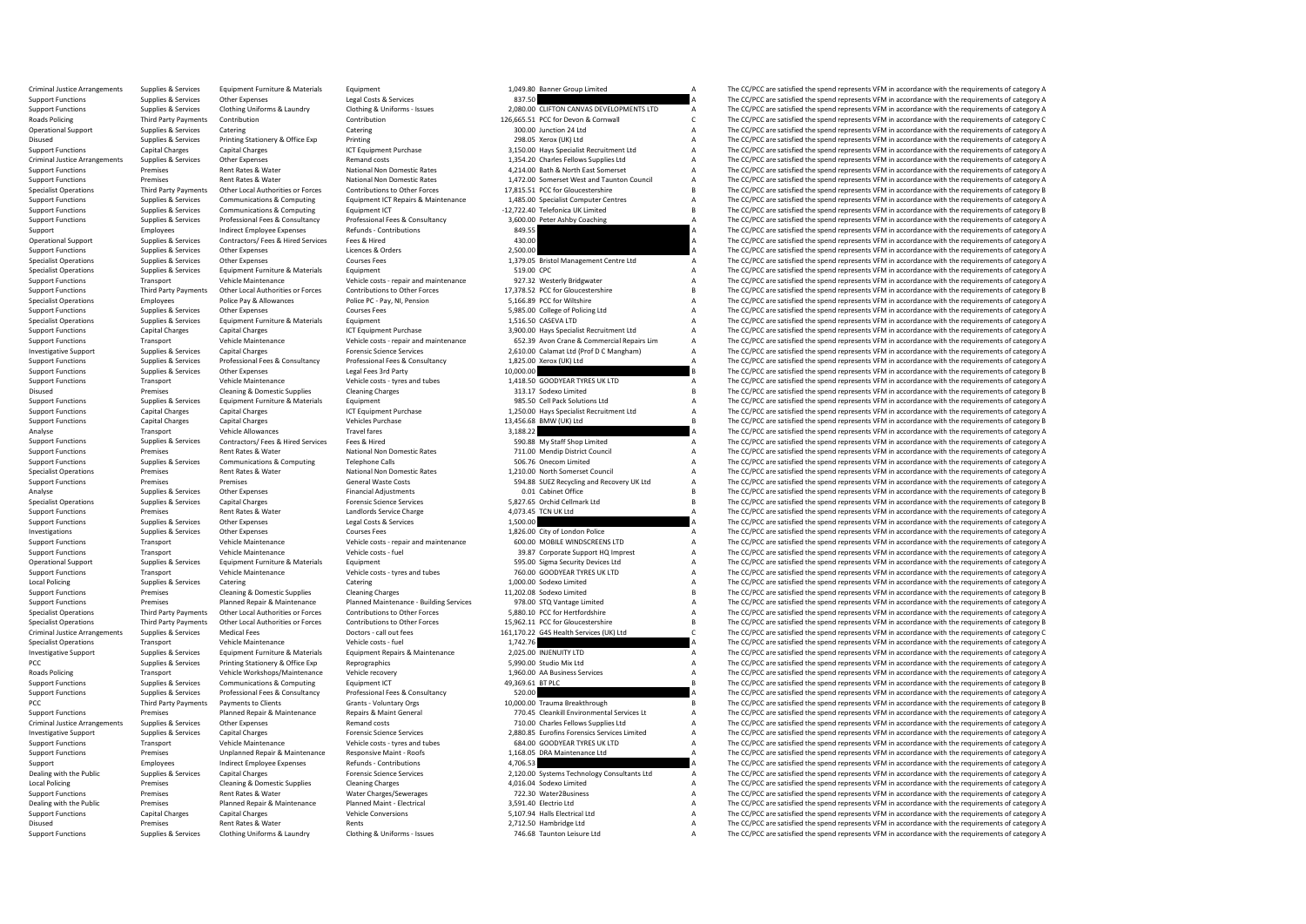Criminal Justice Arrangements Supplies & Services Equipment Furniture & Materials Equipment Equipment Equipment<br>
A The CC/PCC are satisfied the spend represents VFM in accordance with the requirements of category A Satisfi Support Functions Supplies & Services Other Expenses Legal Costs & Services Legal Costs & Services Legal Costs & Services 837.50 A The CC/PCC are satisfied the spend represents VFM in accordance with the requirements of ca Support Functions Supplies & Services Clothing Uniforms & Laundry Clothing & Uniforms - Issues 2,080.00 CLIFTON CANVAS DEVELOPMENTS LTD A The CC/PCC are satisfied the spend represents VFM in accordance with the requirement Roads Policing Third Party Payments Contribution Contribution Contribution Contribution Contribution 126,665.51 PCC for Devon & Cornwall C The CC/PCC are satisfied the spend represents VFM in accordance with the requiremen Operational Support Supplies & Services Catering Catering Catering Catering Catering Catering Catering Catering Catering Catering Catering Support and the CC/PCC are satisfied the spend represents VFM in accordance with th Disused Supplies & Services Printing Stationery & Office Exp Printing Printing Printing Printing Printing 298.05 Xerox (UK) Ltd A The CC/PCC are satisfied the spend represents VFM in accordance with the requirements of cat Support Functions Capital Charges Capital Charges Capital Charges ICT Equipment Purchase 3,150.00 Hays Specialist Recruitment Ltd A The CC/PCC are satisfied the spend represents VFM in accordance with the requirements of c Criminal Justice Arrangements Supplies & Services Other Expenses Remand costs Remand costs Remand costs Remand Costs 1,354.20 Charles Fellows Supplies Ltd A The CC/PCC are satisfied the spend represents VFM in accordance w Support Functions Premises Acts and Acts and Acts and Acts and Acts and The CC/PCC are satisfied the spend represents VFM in accordance with the requirements of category A<br>Bent Rates All the cauging and the spend of the sp Support Functions Premises Premises Rent Rates & Water National Non Domestic Rates 1,472.00 Somerset West and Taunton Council A The CC/PCC are satisfied the spend represents VFM in accordance with the requirements of categ Specialist Operations Third Party Payments Other Local Authorities or Forces Contributions to Other Forces 17,815.51 PCC for Gloucestershire B The CC/PCC are satisfied the spend represents VFM in accordance with the requir Support Functions Supplies & Services Communications & Computing Equipment ICT Repairs & Maintenance 1,485.00 Specialist Computer Centres A The CC/PCC are satisfied the spend represents VFM in accordance with the requireme Support Functions Supplies & Services Communications & Computing Equipment ICT Equipment ICT -12,722.40 Telefonica UK Limited B The CC/PCC are satisfied the spend represents VFM in accordance with the requirements of categ Professional Fees & Consultancy and the method of the Section of the Section of the CC/PCC are satisfied the spend represents VFM in accordance with the requirements of category A<br>
2015 Magnet Channel A The CC/PCC are sati Support Employees Indirect Employee Expenses Refunds - Contributions and a stategory and the expenditum of the Support A The CC/PCC are satisfied the spend represents VFM in accordance with the requirements of category A C AO.00 A The CC/PCC are satisfied the spend represents VFM in accordance with the requirements of category A<br>A The CC/PCC are satisfied the spend represents VFM in accordance with the requirements of category A Support Functions Supplies & Services Other Expenses Licences & Orders Licences & Orders 2,500.00 A The CC/PCC are satisfied the spend represents VFM in accordance with the requirements of category A Curves Fees Curves Fee Specialist Operations Supplies & Services Other Expenses Courses Fees Courses Fees 1,379.05 Bristol Management Centre Ltd A The CC/PCC are satisfied the spend represents VFM in accordance with the requirements of category Specialist Operations Supplies & Services Equipment Furniture & Materials Equipment Equipment Equipment Equipment<br>Support Functions Supplies Services Support Vehicle Costs Pendicular Costs Chicagory A Support of the CC/PCC Transport Vehicle Maintenance Vehicle costs - repair and maintenance 927.32 Westerly Bridgwater A The CC/PCC are satisfied the spend represents VFM in accordance with the requirements of category A The Crime of category A Support Functions Third Party Payments Other Local Authorities or Forces Contributions to Other Forces 17,378.52 PCC for Gloucestershire Barry and the CC/PCC are satisfied the spend represents VFM in accordance with the re Specialist Operations Employees Police Pay & Allowances Police PC - Pay, NI, Pension 5,166.89 PCC for Wiltshire Manushire A The CC/PCC are satisfied the spend represents VFM in accordance with the requirements of category Support Functions Supplies & Services Other Expenses Courses Fees Courses Fees Services Courses Fees Services Courses Fees Services Courses Fees Services Supplies & Services Other Expenses Courses Fees Services Courses Equ Specialist Operations Supplies & Services Equipment Furniture & Materials Equipment Equipment Equipment Equipment Equipment Equipment Equipment and Equipment and the spend and the CC/PCC are satisfied the spend represents Support Functions Capital Charges Capital Charges Capital Charges ICT Equipment Purchase 3,900.00 Hays Specialist Recruitment Ltd A The CC/PCC are satisfied the spend represents VFM in accordance with the requirements of c Support Functions Transport Transport Wehicle Maintenance Vehicle costs - repair and maintenance of the COMMAC ARE CONCORDING THE COPCC are satisfied the spend represents VFM in accordance with the requirements of category Supplies & Services Capital Charges Forensic Science Services and Exercic 2,610.00 Calamat Ltd (Prof D C Mangham) A The CC/PCC are satisfied the spend represents VFM in accordance with the requirements of category A servic Support Engines Supplies the Constant of the Constant of the Constant of the Constant of the Constant of the Constant of the Constant of the Constant of the Constant of the Constant of the Constant of the Constant of the C Support Functions Supplies & Services Other Expenses Legal Fees 3rd Party Legal Fees 3rd Party 10,000.00 B The CC/PCC are satisfied the spend represents VFM in accordance with the requirements of category B<br>Support Functio Vehicle Costs - tyres and tubes 1,418.50 GOODYEAR TYRES UK LTD A The CC/PCC are satisfied the spend represents VFM in accordance with the requirements of category B<br>Cleaning Cleaning Charges Cleaning Charges 313.17 Sodexo Disused Premises Cleaning & Domestic Supplies Cleaning Charges Cleaning Charges 313.17 Sodexo Limited B The CC/PCC are satisfied the spend represents VFM in accordance with the requirements of category B Supplies Cleaning Support Functions Supplies & Services Equipment Furniture & Materials Equipment Equipment Equipment Equipment<br>Support Functions Support Functions Cantal Charges Cantal Charges (CT Equipment Purchase 1750.00 Havs Specialist The CC/PCC are satisfied the spend represents VFM in accordance with the requirements of category A Support Functions Capital Charges Capital Charges Capital Charges Vehicles Purchase Vehicles Purchase 13,456.68 BMW (UK) Ltd B The CC/PCC are satisfied the spend represents VFM in accordance with the requirements of catego Travel fares Travel fares and the set of the CC/PCC are satisfied the spend represents VFM in accordance with the requirements of category A<br>Sunnline & Services Contractors/ Fees & Hired Services Fees & Hired Services Serv Support Functions Supplies & Services Contractors/ Fees & Hired Services Fees & Hired 590.88 My Staff Shop Limited A The CC/PCC are satisfied the spend represents VFM in accordance with the requirements of category A Natio Support Functions Premises Rent Rates & Water National Non Domestic Rates 711.00 Mendip District Council A The CC/PCC are satisfied the spend represents VFM in accordance with the requirements of category A Support Functio Support Functions Supplies & Services Communications & Computing Telephone Calls 506.76 Onecom Limited 506.76 Onecom Limited A The CC/PCC are satisfied the spend represents VFM in accordance with the requirements of catego Experiences Rent Rates & Water Mational Non Domestic Rates 1,210.00 North Somerset Council Mathematic Rates 1,210.00 North Somerset Council A The CC/PCC are satisfied the spend represents VFM in accordance with the require Support Functions Premises Premises Premises Premises Premises Seneral Waste Costs 594.88 SUEZ Recycling and Recovery UK Ltd A The CC/PCC are satisfied the spend represents VFM in accordance with the requirements of catego Analyse Supplies Analyse Supplies Services Other Expenses Financial Adjustments Financial Adjustments Control Cabinet Office B The CC/PCC are satisfied the spend represents VFM in accordance with the requirements of catego Specialist Operations Supplies & Services Capital Charges Forensic Science Services Forensic Science Services Forensic Science Services Services Services Services Service Service Services Service Charge and the Service Cha Support Functions Premises Rent Rates & Water Landlords Service Charge 4,073.45 TCN UK Ltd A The CC/PCC are satisfied the spend represents VFM in accordance with the requirements of category A Support Functions Support of Support Functions Supplies A Service Other Cases Constantine Costs Are Services Other Expenses Legal Constantine<br>1,826.00 City of London Police A The CC/PCC are satisfied the spend represents VFM in accordance with the req Investigations Supplies & Services Other Expenses Courses Expenses Courses Fees 1,826.00 City of London Police A The CC/PCC are satisfied the spend represents VFM in accordance with the requirements of category A The Crite Support Transport Vehicle Maintenance Vehicle costs - repair and maintenance 600.00 MOBILE WINDSCREENS LTD A The CC/PCC are satisfied the spend represents VFM in accordance with the requirements of category A Support Funct Transport Vehicle Maintenance Vehicle costs - fuel Market May a Support Functions Transport A The CC/PCC are satisfied the spend represents VFM in accordance with the requirements of category A Supplies A Support HQ Impres Operational Support Supplies & Services Equipment Furniture & Materials Equipment Equipment Equipment Support<br>
Support Functions Support Transport Vehicle Maintenance Vehicle Costs - tyres and tubes 760.00 GOODYEAR TYRES U Support Functions Transport Vehicle Maintenance Vehicle costs - tyres and tubes 760.00 GOODYEAR TYRES UK LTD A The CC/PCC are satisfied the spend represents VFM in accordance with the requirements of category A Catering Ca Catering Catering Catering Catering Catering Catering Catering Supplies and Category Catering Catering Catering 1,000.00 Sodexo Limited A The CC/PCC are satisfied the spend represents VFM in accordance with the requirement Support Functions Premises Cleaning & Domestic Supplies Cleaning Charges Cleaning Charges 11,202.08 Sodexo Limited B The CC/PCC are satisfied the spend represents VFM in accordance with the requirements of category B Suppo Support Functions Premises Planned Repair & Maintenance Pulanned Maintenance- Building Services 978.00 STQ Vantage Limited A The CC/PCC are satisfied the spend represents VFM in accordance with the requirements of category Specialist Operations Third Party Payments Other Local Authorities or Forces Contributions to Other Forces 5,880.10 PCC for Hertfordshire and The CC/PCC are satisfied the spend represents VFM in accordance with the require Other Local Authorities or Forces Contributions to Other Forces 15,962.11 PCC for Gloucestershire B<br>Doctors - call out fees 161170.22 GAS Health Services (IIK) I td COPCC are satisfied the spend represents VFM in accordanc Criminal lustice are appropriate the content of category Category Category Category Category Category Category Category Category Category Category Category Category Category Category Category Category Category Category Cat Specialist Operations Transport Vehicle Maintenance Vehicle costs - fuel Vehicle Costs - fuel Vehicle costs - fuel Vehicle Costs - fuel 1,742.76 A The CC/PCC are satisfied the spend represents VFM in accordance with the re Investigative Support Supplies & Services Equipment Furniture & Materials Equipment Repairs & Maintenance 2,025.00 INJENUITY LTD A The CC/PCC are satisfied the spend represents VFM in accordance with the requirements of ca The CC/PCC are satisfied the spend represents VFM in accordance with the requirements of category A Roads Policing Transport Vehicle Workshops/Maintenance Vehicle recovery 1,960.00 AA Business Services A The CC/PCC are satisfied the spend represents VFM in accordance with the requirements of category A Supportenance Cate Support Functions Supplies & Services Communications & Computing Equipment ICT 49,369.61 BT PLC ARE THE COMPUTIC COMPUTIC THE COMPUTIC COMPUTIC SUPPORT OF THE COMPUTIC COMPUTIC SUPPORT SUPPORT SUPPORT SUPPORT SUPPORT SUPPO The CC/PCC are satisfied the spend represents VFM in accordance with the requirements of category A PCC Third Party Payments Payments to Clients Grants - Voluntary Orgs 10,000.00 Trauma Breakthrough B The CC/PCC are satisfied the spend represents VFM in accordance with the requirements of category B Support Functions Premises Premises Planned Repair & Maintenance Repairs & Maint General Amaz 770.45 Cleankill Environmental Services Lt A The CC/PCC are satisfied the spend represents VFM in accordance with the requiremen Criminal Justice Arrangements Supplies & Services Other Expenses Remand costs Remand costs Remand costs 710.00 Charles Fellows Supplies Ltd A The CC/PCC are satisfied the spend represents VFM in accordance with the require Investigative Support Supplies & Services Capital Charges Capital Charges Forensic Science Services – 2,880.85 Eurofins Forensic Services Limited A The CC/PCC are satisfied the spend represents VFM in accordance with the r Transport Vehicle Maintenance Vehicle costs - tyres and tubes 684.00 GOODYEAR TYRES UK LTD A The CC/PCC are satisfied the spend represents VFM in accordance with the requirements of category A Support Functions Premises Unplanned Repair & Maintenance Responsive Maint - Roofs 1,168.05 DRA Maintenance Ltd A The CC/PCC are satisfied the spend represents VFM in accordance with the requirements of category A Refunds Support Employees Indirect Employee Expenses Refunds - Contributions 4,706.53 A The CC/PCC are satisfied the spend represents VFM in accordance with the requirements of category A<br>Dealing with the Public Supplies & Service The CC/PCC are satisfied the spend represents VFM in accordance with the requirements of category A Local Policing Premises Cleaning & Domestic Supplies Cleaning Charges Cleaning Charges 4,016.04 Sodexo Limited A The CC/PCC are satisfied the spend represents VFM in accordance with the requirements of category A November Support Functions Premises Rent Rates & Water Water Water Charges/Sewerages 722.30 Water2Business A The CC/PCC are satisfied the spend represents VFM in accordance with the requirements of category A Dealing with the Publi The CC/PCC are satisfied the spend represents VFM in accordance with the requirements of category A Support Functions Capital Charges Capital Charges Capital Conversions Support Charges Capital Conversions 5,107.94 Halls Electrical Ltd A The CC/PCC are satisfied the spend represents VFM in accordance with the requirement Disused Premises Rent Rates Rent Rents Rents Rents Rents 2,712.50 Hambridge Ltd A The CC/PCC are satisfied the spend represents VFM in accordance with the requirements of category A Support Functions Supplies & Services Clothing Uniforms & Laundry Clothing & Uniforms - Issues 746.68 Taunton Leisure Ltd A The CC/PCC are satisfied the spend represents VFM in accordance with the requirements of category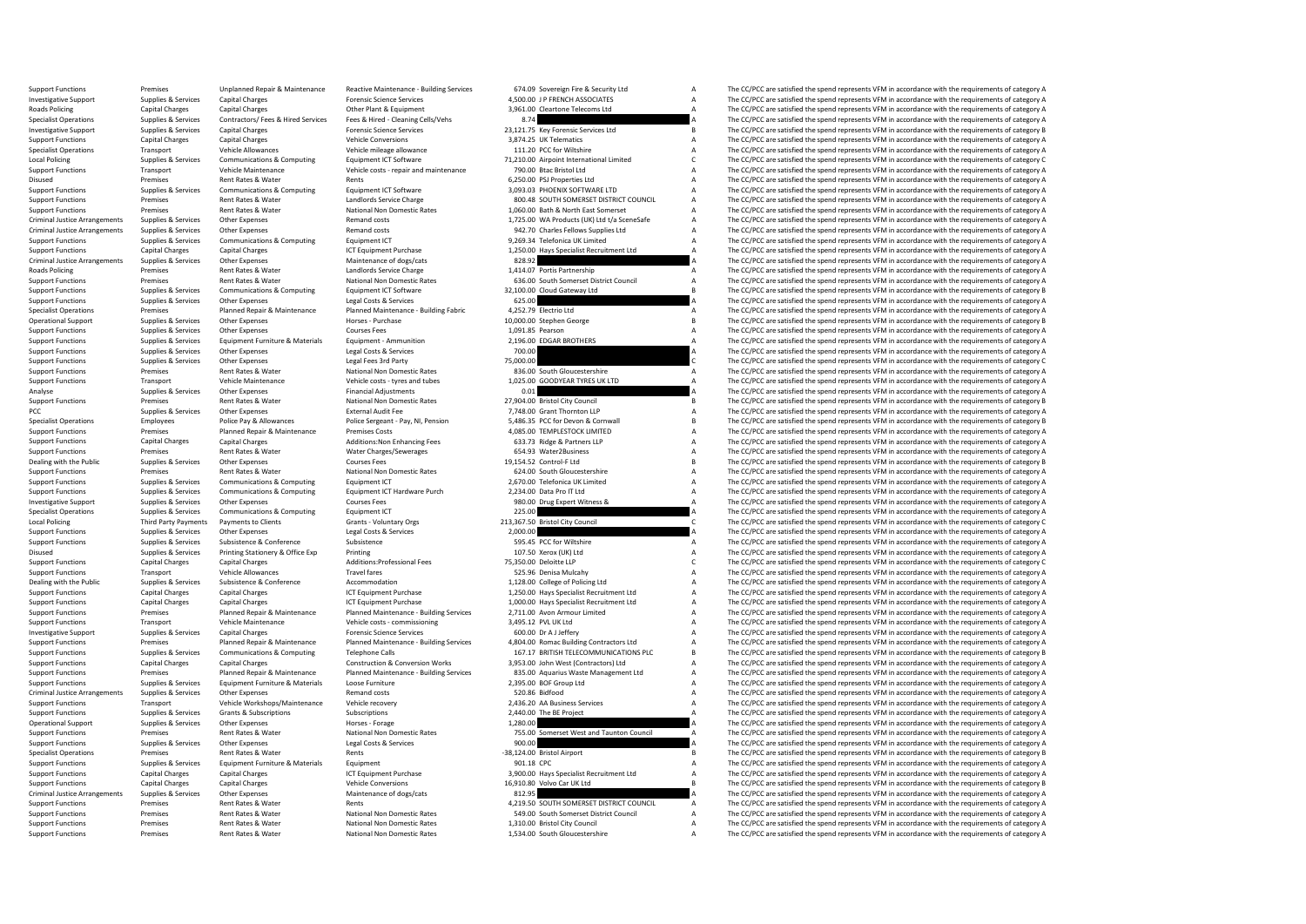Support Functions Support Premises Premises Unplanned Repair & Maintenance Reactive Maintenance - Building Services 674.09 Sovereign Fire & Security Ltd Maintenance A The CC/PCC are satisfied the spend represents VFM in ac Investigative Support Supplies & Services Capital Charges Forensic Science Services Forensic Science Services 4,500.00 J P FRENCH ASSOCIATES A The CC/PCC are satisfied the spend represents VFM in accordance with the requir Roads Policing Capital Charges Capital Charges Capital Charges Other Plant & Equipment 2,961.00 Cleartone Telecoms Ltd A The CC/PCC are satisfied the spend represents VFM in accordance with the requirements of category A S Specialist Operations Supplies & Services Contractors/ Fees & Hired Services Fees & Hired - Cleaning Cells/Vehs 8.000 and a B.74 a The CC/PCC are satisfied the spend represents VFM in accordance with the requirements of ca Investigative Support Support Supplies & Services Capital Charges Forensic Science Services 23,121.75 Key Forensic Services Ltd B The CC/PCC are satisfied the spend represents VFM in accordance with the requirements of cat Support Functions Capital Charges Capital Charges Vehicle Conversions Vehicle Conversions 3,874.25 UK Telematics A The CC/PCC are satisfied the spend represents VFM in accordance with the requirements of category A The CC/ Specialist Operations Transport Vehicle Allowances Vehicle mileage allowance 111.20 PCC for Wiltshire 111.20 PCC for Wiltshire A The CC/PCC are satisfied the spend represents VFM in accordance with the requirements of cate Local Policing The C/PCC are satisfied the spend represents VFM in accordance with the requirements of category C<br>
Support Functions Transport Transport Wehicle Maintenance Vehicle costs repair and maintenance 790.00 Btac The CC/PCC are satisfied the spend represents VFM in accordance with the requirements of category A Disused Premises Premises Rent Rates & Water Rents Rents Rents Rents Rents Computing Rents Rents Rents Rents A CONDITION CONDITION A The CC/PCC are satisfied the spend represents VFM in accordance with the requirements of Support Functions Supplies & Services Communications & Computing Equipment ICT Software Support 3,093.03 PHOENIX SOFTWARE LTD A The CC/PCC are satisfied the spend represents VFM in accordance with the requirements of categ Support Functions Premises Rent Rates & Water Landlords Service Charge 800.48 SOUTH SOMERSET DISTRICT COUNCIL A The CC/PCC are satisfied the spend represents VFM in accordance with the requirements of category A National N Support Functions Premises Rent Rates & Water National Non Domestic Rates 1,060.00 Bath & North East Somerset A The CC/PCC are satisfied the spend represents VFM in accordance with the requirements of category A Remand cos Criminal Justice Arrangements Supplies & Services Other Expenses Mand costs Remand costs Remand costs and Criminal Justice Arrangements VFM in accordance with the requirements of category A Criminal Justice Arrangements Su Criminal Justice Arrangements Supplies & Services Other Expenses Memand costs Remand costs 942.70 Charles Fellows Supplies Ltd A The CC/PCC are satisfied the spend represents VFM in accordance with the requirements of cate Support Functions Support Functions Support Transmitted A The CC/PCC are satisfied the spend represents VFM in accordance with the requirements of category A The CC/PCC are satisfied the spend represents VFM in accordance Support Functions Capital Charges Capital Charges Capital Charges ICT Equipment Purchase 1,250.00 Hays Specialist Recruitment Ltd A The CC/PCC are satisfied the spend represents VFM in accordance with the requirements of c Criminal Justice Arrangements Supplies & Services Other Expenses Maintenance of dogs/cats Maintenance of dogs/cats 828.92 A The CC/PCC are satisfied the spend represents VFM in accordance with the requirements of category Roads Policing Premises Rent Rates & Water Landlords Service Charge 1,414.07 Portis Partnership A The CC/PCC are satisfied the spend represents VFM in accordance with the requirements of category A National Non Domestic Ra Premises Rent Rates & Water National Non Domestic Rates 636.00 South Somerset District Council A The CC/PCC are satisfied the spend represents VFM in accordance with the requirements of category A<br>Support Some Some Communi Support Functions Supplies & Services Communications & Computing Equipment ICT Software and a status and a status and the CAL Dube of the CC/PCC are satisfied the spend represents VFM in accordance with the requirements of Support Functions Supplies & Services Other Expenses Legal Costs & Services Costs & Services Costs Agences Costs Agences 625.00 625.00 A The CC/PCC are satisfied the spend represents VFM in accordance with the requirements Specialist Operations Premises Planned Repair & Maintenance Planned Maintenance - Building Fabric 4,252.79 Electrio Ltd A The CC/PCC are satisfied the spend represents VFM in accordance with the requirements of category A Operational Support Supplies & Services Other Expenses Horses Purchase Horses - Purchase 10,000.00 Stephen George Services and The CC/PCC are satisfied the spend represents VFM in accordance with the requirements of catego Support Functions Supplies & Services Other Expenses Courses Courses Fees Courses Courses Fees 1,091.85 Pearson A The CC/PCC are satisfied the spend represents VFM in accordance with the requirements of category A Support Support Functions Supplies & Services Equipment Furniture & Materials Equipment - Ammunition 2,196.00 EDGAR BROTHERS A The CC/PCC are satisfied the spend represents VFM in accordance with the requirements of category A Lea Support Functions Support Functions Control Control Control Control Control Control Control Control Control Control Control Control Control Control Control Control Control Control Control Control Control Control Control Co Support Functions Supplies & Services Other Expenses Legal Fees 3rd Party 75,000.00 C The CC/PCC are satisfied the spend represents VFM in accordance with the enquirements of category C The CC/PCC are satisfied the spend r Support Functions Premises Premises Rent Rates & Water National Non Domestic Rates 836.00 South Gloucestershire A The CC/PCC are satisfied the spend represents VFM in accordance with the requirements of category A Vehicle Transport Vehicle Maintenance Vehicle costs - tyres and tubes 1,025.00 GOODYEAR TYRES UK LTD A The CC/PCC are satisfied the spend represents VFM in accordance with the requirements of category A<br>Supplies & Services Other E Analyse Supplies & Services Other Expenses Financial Adjustments Contributions and the CONCLUST CONTENT CONTENT AND THE CONTENT A The CC/PCC are satisfied the spend represents VFM in accordance with the requirements of cat Premises Rent Rates & Water Mational Non Domestic Rates 27,904.00 Bristol City Council City Council B The CC/PCC are satisfied the spend represents VFM in accordance with the requirements of category B<br>Support Support Stat PCC Supplies & Services Other Expenses External Audit Fee 7,748.00 Grant Thornton LLP A The CC/PCC are satisfied the spend represents VFM in accordance with the requirements of category A Specialist Operations Employees Police Pay & Allowances Police Sergeant - Pay, NJ, Pension 5,486.35 PCC for Devon & Cornwall Support The CC/PCC are satisfied the spend represents VFM in accordance with the requirements of Premises Planned Repair & Maintenance Premises Costs at the Support of the COSTS 4,085.00 TEMPLESTOCK LIMITED A The CC/PCC are satisfied the spend represents VFM in accordance with the requirements of category A antarchic Support Functions Capital Charges Capital Charges Additions:Non Enhancing Fees 633.73 Ridge & Partners LLP A The CC/PCC are satisfied the spend represents VFM in accordance with the requirements of category A Support Functions Premises Rent Rates & Water Water Charges/Sewerages 654.93 Water2Business A The CC/PCC are satisfied the spend represents VFM in accordance with the requirements of category A Courses Courses Courses Cour Dealing with the Public Supplies & Services Other Expenses Courses Fees Courses Fees 19,154.52 Control-F Ltd B The CC/PCC are satisfied the spend represents VFM in accordance with the requirements of category B<br>Support Fun Premises Rent Rates & Water National Non Domestic Rates 624.00 South Gloucestershire A The CC/PCC are satisfied the spend represents VFM in accordance with the requirements of category A<br>Support A Services Communications & Support Functions Supplies & Services Communications & Computing Equipment ICT Hardware Purch 2,670.00 Telefonica UK Limited A The CC/PCC are satisfied the spend represents VFM in accordance with the requirements of catego Support Functions Supplies & Services Communications & Computing Equipment ICT Hardware Purch 2,234.00 Data Pro IT Ltd A The CC/PCC are satisfied the spend represents VFM in accordance with the requirements of category A C Investigative Support Support Support Support Support Support Other Expenses Courses Courses Fees Courses Fees<br>Support Support Support Support Support Support Support Equiporte Equiport Ferenix Equiport Equiport Equiport<br>2 Specialist Operations Supplies & Services Communications & Computing Equipment ICT 225.00 225.00 A The CC/PCC are satisfied the spend represents VFM in accordance with the requirements of category A Computing Computing Com Local Policing Third Party Clients Third Party Party Party Payments Crants Crants Crants Crants Crants Crants C<br>213,367.50 Bristol City Council C The CC/PCC are satisfied the spend represents VFM in accordance with the req Support Functions Supplies & Services Other Expenses Legal Costs & Services 2,000.00 A The CC/PCC are satisfied the spend represents VFM in accordance with the requirements of category A<br>2. Support Functions Support Functi Support Functions Supplies & Services Subsistence Subsistence Subsistence Subsistence Subsistence Subsistence Subsistence Subsistence Subsistence Subsistence Subsistence Subsistence Subsistence Subsistence Subsistence Subs Printing Printing Supplies and Supplies A The CC/PCC are satisfied the spend represents VFM in accordance with the requirements of category A The CC/PCC are satisfied the spend represents VFM in accordance with the require Support Functions Capital Charges Capital Charges Capital Charges Additions:Professional Fees 75,350.00 Deloitte LLP C The CC/PCC are satisfied the spend represents VFM in accordance with the requirements of category C The Support Functions Transport Vehicle Allowances Travel fares Travel fares Support Travel fares Travel fares Travel fares and the Support Support Travel fares and the CC/PCC are satisfied the spend represents VFM in accordan Oubsistence Subsistence Accommodation accommodation 1,128.00 College of Policing Ltd A The CC/PCC are satisfied the spend represents VFM in accordance with the requirements of category A 1750.00 Have Specialist Recruitmen Support Functions Capital Charges Capital Charges ICT Equipment Purchase 1,250.00 Hays Specialist Recruitment Ltd A The CC/PCC are satisfied the spend represents VFM in accordance with the requirements of category A Suppor Support Functions Capital Charges Capital Charges Capital Charges ICT Equipment Purchase 1,000.00 Hays Specialist Recruitment Ltd A The CC/PCC are satisfied the spend represents VFM in accordance with the requirements of c Support Functions Transport of Planned Repair & Maintenance Planned Maintenance Building Services 2,711.00 Avon Armour Limited A The CC/PCC are satisfied the spend represents VFM in accordance with the requirements of cate Support Functions Transport Transport Transport Transport Transport Vehicle Maintenance Vehicle Maintenance Vehicle Maintenance With the requirements of category A The Cr/PCC are satisfied the spend represents VFM in acco Investigative Support Supplies & Services Capital Charges Capital Charges Forensic Science Services Continues<br>Support Forensies Support Planned Repair & Maintenance Pulmed Maintenance- Building Services 4,804.00 Romac Buil Support Functions Support Premises Premises Planned Repair & Maintenance Planned Maintenance Building Services 4,804.00 Romac Building Contractors Ltd Maintenance A The CC/PCC are satisfied the spend represents VFM in acco Supplies & Services Communications & Computing Telephone Calls 167.17 BRITISH TELECOMMUNICATIONS PLC B The CC/PCC are satisfied the spend represents VFM in accordance with the requirements of category B<br>Cantral Charges Can Support Functions Capital Charges Capital Charges Construction & Conversion Works 3,953.00 John West (Contractors) Ltd A The CC/PCC are satisfied the spend represents VFM in accordance with the requirements of category A Support Functions Support Premises Premises Planned Repair & Maintenance Planned Maintenance-Building Services 835.00 Aquarius Waste Management Ltd A The CC/PCC are satisfied the spend represents VFM in accordance with the Support Functions Supplies & Services Equipment Furniture & Materials Loose Furniture 2,395.00 BOF Group Ltd A The CC/PCC are satisfied the spend represents VFM in accordance with the requirements of category A Criminal Ju The CC/PCC are satisfied the spend represents VFM in accordance with the requirements of category A Support Functions Transport Vehicle Workshops/Maintenance Vehicle recovery 2,436.20 AA Business Services A The CC/PCC are satisfied the spend represents VFM in accordance with the requirements of category A Support Functions Supporters Support Grants & Subscriptions Subscriptions 2,440.00 The BE Project A The CC/PCC are satisfied the spend represents VFM in accordance with the requirements of category A Operational Support Suppolies & Services Other Expenses Horses Forage Horses - Forage Horses - Forage 1,280.00 A The CC/PCC are satisfied the spend represents VFM in accordance with the requirements of category A Support F Support Functions Premises Rent Rates & Water National Non Domestic Rates 755.00 Somerset West and Taunton Council A The CC/PCC are satisfied the spend represents VFM in accordance with the requirements of category A<br>Suppo The CC/PCC are satisfied the spend represents VFM in accordance with the requirements of category A Specialist Operations Premises Premises Rent Rates & Water Rents Rents Rents Rents Rents Rents Premises Rent Rents Premises Rent Rents Rents Premises Rent Rents Rent Rents Premises Rent Rents Premises Rent Rents Premises R Support Functions Supplies & Services Equipment Functions Materials Equipment Equipment Equipment Purchase examples and the Support Category A The CC/PCC are satisfied the spend represents VFM in accordance with the requir Support Functions Capital Charges Capital Charges Capital Charges ICT Equipment Purchase 3,900.00 Hays Specialist Recruitment Ltd A The CC/PCC are satisfied the spend represents VFM in accordance with the requirements of c Support Functions Capital Charges Capital Charges Vehicle Conversions Vehicle Conversions 16,910.80 Volvo Car UK Ltd B The CC/PCC are satisfied the spend represents VFM in accordance with the requirements of category B Mai Criminal Justice Arrangements Supplies & Services Other Expenses Maintenance of dogs/cats Maintenance of dogs/cats 812.95 A The CC/PCC are satisfied the spend represents VFM in accordance with the requirements of category The CC/PCC are satisfied the spend represents VFM in accordance with the requirements of category A Support Functions Premises Rent Rates & Water National Non Domestic Rates Support District Council Council A The CC/PCC are satisfied the spend represents VFM in accordance with the equirements of category A The CC/PCC are Support Functions Renties Rent Rates Rent Rates Rent Rates National Non Domestic Rates 1,210.00 Bristol City Council A The CC/PCC are satisfied the spend represents VFM in accordance with the requirements of category A Support Functions Premises Rent Rates & Water National Non Domestic Rates 1,534.00 South Gloucestershire A The CC/PCC are satisfied the spend represents VFM in accordance with the requirements of category A